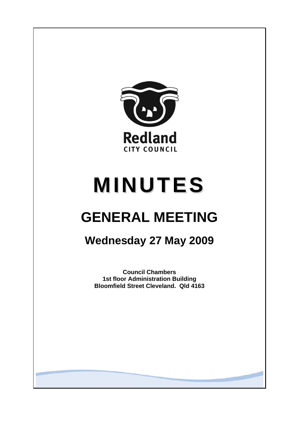

# **MINUTES**

## **GENERAL MEETING**

## **Wednesday 27 May 2009**

**Council Chambers 1st floor Administration Building Bloomfield Street Cleveland. Qld 4163**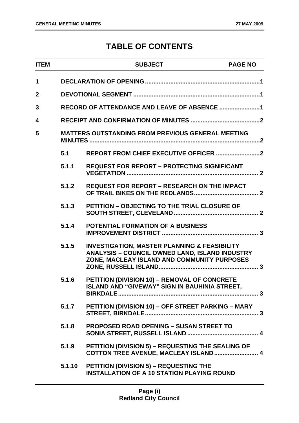### **TABLE OF CONTENTS**

| <b>ITEM</b>  |        | <b>SUBJECT</b>                                                                                                                                                  | <b>PAGE NO</b> |  |
|--------------|--------|-----------------------------------------------------------------------------------------------------------------------------------------------------------------|----------------|--|
| 1            |        |                                                                                                                                                                 |                |  |
| $\mathbf{2}$ |        |                                                                                                                                                                 |                |  |
| 3            |        | RECORD OF ATTENDANCE AND LEAVE OF ABSENCE 1                                                                                                                     |                |  |
| 4            |        |                                                                                                                                                                 |                |  |
| 5            |        | <b>MATTERS OUTSTANDING FROM PREVIOUS GENERAL MEETING</b>                                                                                                        |                |  |
|              | 5.1    |                                                                                                                                                                 |                |  |
|              | 5.1.1  | <b>REQUEST FOR REPORT - PROTECTING SIGNIFICANT</b>                                                                                                              |                |  |
|              | 5.1.2  | <b>REQUEST FOR REPORT - RESEARCH ON THE IMPACT</b>                                                                                                              |                |  |
|              | 5.1.3  | PETITION - OBJECTING TO THE TRIAL CLOSURE OF                                                                                                                    |                |  |
|              | 5.1.4  | <b>POTENTIAL FORMATION OF A BUSINESS</b>                                                                                                                        |                |  |
|              | 5.1.5  | <b>INVESTIGATION, MASTER PLANNING &amp; FEASIBILITY</b><br><b>ANALYSIS - COUNCIL OWNED LAND, ISLAND INDUSTRY</b><br>ZONE, MACLEAY ISLAND AND COMMUNITY PURPOSES |                |  |
|              | 5.1.6  | PETITION (DIVISION 10) - REMOVAL OF CONCRETE<br>ISLAND AND "GIVEWAY" SIGN IN BAUHINIA STREET,                                                                   |                |  |
|              | 5.1.7  | PETITION (DIVISION 10) - OFF STREET PARKING - MARY                                                                                                              |                |  |
|              | 5.1.8  | <b>PROPOSED ROAD OPENING - SUSAN STREET TO</b>                                                                                                                  |                |  |
|              | 5.1.9  | PETITION (DIVISION 5) - REQUESTING THE SEALING OF<br>COTTON TREE AVENUE, MACLEAY ISLAND  4                                                                      |                |  |
|              | 5.1.10 | <b>PETITION (DIVISION 5) - REQUESTING THE</b><br><b>INSTALLATION OF A 10 STATION PLAYING ROUND</b>                                                              |                |  |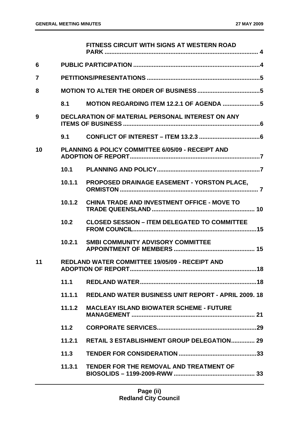|                |        | <b>FITNESS CIRCUIT WITH SIGNS AT WESTERN ROAD</b>          |
|----------------|--------|------------------------------------------------------------|
| 6              |        |                                                            |
| $\overline{7}$ |        |                                                            |
| 8              |        |                                                            |
|                | 8.1    |                                                            |
| 9              |        | <b>DECLARATION OF MATERIAL PERSONAL INTEREST ON ANY</b>    |
|                | 9.1    |                                                            |
| 10             |        | PLANNING & POLICY COMMITTEE 6/05/09 - RECEIPT AND          |
|                | 10.1   |                                                            |
|                | 10.1.1 | <b>PROPOSED DRAINAGE EASEMENT - YORSTON PLACE,</b>         |
|                | 10.1.2 | <b>CHINA TRADE AND INVESTMENT OFFICE - MOVE TO</b>         |
|                | 10.2   | <b>CLOSED SESSION - ITEM DELEGATED TO COMMITTEE</b>        |
|                | 10.2.1 | <b>SMBI COMMUNITY ADVISORY COMMITTEE</b>                   |
| 11             |        | <b>REDLAND WATER COMMITTEE 19/05/09 - RECEIPT AND</b>      |
|                | 11.1   |                                                            |
|                | 11.1.1 | <b>REDLAND WATER BUSINESS UNIT REPORT - APRIL 2009, 18</b> |
|                | 11.1.2 | <b>MACLEAY ISLAND BIOWATER SCHEME - FUTURE</b>             |
|                | 11.2   |                                                            |
|                | 11.2.1 | <b>RETAIL 3 ESTABLISHMENT GROUP DELEGATION 29</b>          |
|                | 11.3   |                                                            |
|                | 11.3.1 | TENDER FOR THE REMOVAL AND TREATMENT OF                    |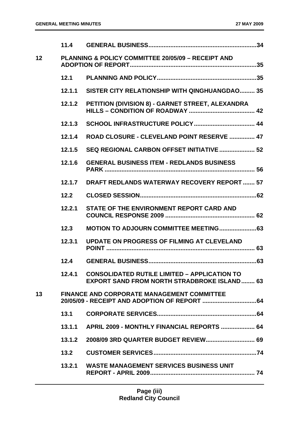|    | $11.4$ |                                                                                                           |
|----|--------|-----------------------------------------------------------------------------------------------------------|
| 12 |        | <b>PLANNING &amp; POLICY COMMITTEE 20/05/09 - RECEIPT AND</b>                                             |
|    | 12.1   |                                                                                                           |
|    | 12.1.1 | SISTER CITY RELATIONSHIP WITH QINGHUANGDAO 35                                                             |
|    | 12.1.2 | PETITION (DIVISION 8) - GARNET STREET, ALEXANDRA                                                          |
|    | 12.1.3 |                                                                                                           |
|    | 12.1.4 | ROAD CLOSURE - CLEVELAND POINT RESERVE  47                                                                |
|    | 12.1.5 | SEQ REGIONAL CARBON OFFSET INITIATIVE  52                                                                 |
|    | 12.1.6 | <b>GENERAL BUSINESS ITEM - REDLANDS BUSINESS</b>                                                          |
|    | 12.1.7 | <b>DRAFT REDLANDS WATERWAY RECOVERY REPORT  57</b>                                                        |
|    | 12.2   |                                                                                                           |
|    | 12.2.1 | STATE OF THE ENVIRONMENT REPORT CARD AND                                                                  |
|    | 12.3   |                                                                                                           |
|    | 12.3.1 | <b>UPDATE ON PROGRESS OF FILMING AT CLEVELAND</b>                                                         |
|    | 12.4   |                                                                                                           |
|    |        | 12.4.1 CONSOLIDATED RUTILE LIMITED - APPLICATION TO<br><b>EXPORT SAND FROM NORTH STRADBROKE ISLAND 63</b> |
| 13 |        | <b>FINANCE AND CORPORATE MANAGEMENT COMMITTEE</b>                                                         |
|    | 13.1   |                                                                                                           |
|    | 13.1.1 | APRIL 2009 - MONTHLY FINANCIAL REPORTS  64                                                                |
|    | 13.1.2 |                                                                                                           |
|    | 13.2   |                                                                                                           |
|    | 13.2.1 | <b>WASTE MANAGEMENT SERVICES BUSINESS UNIT</b>                                                            |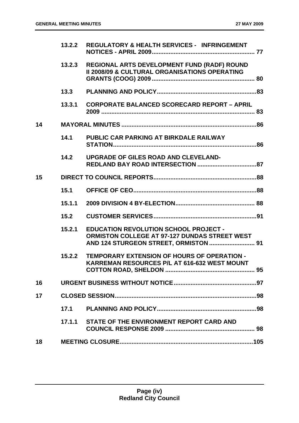|    | 13.2.2 | <b>REGULATORY &amp; HEALTH SERVICES - INFRINGEMENT</b>                                                                                        |  |
|----|--------|-----------------------------------------------------------------------------------------------------------------------------------------------|--|
|    | 13.2.3 | REGIONAL ARTS DEVELOPMENT FUND (RADF) ROUND<br><b>II 2008/09 &amp; CULTURAL ORGANISATIONS OPERATING</b>                                       |  |
|    | 13.3   |                                                                                                                                               |  |
|    | 13.3.1 | <b>CORPORATE BALANCED SCORECARD REPORT - APRIL</b>                                                                                            |  |
| 14 |        |                                                                                                                                               |  |
|    | 14.1   | PUBLIC CAR PARKING AT BIRKDALE RAILWAY                                                                                                        |  |
|    | 14.2   | UPGRADE OF GILES ROAD AND CLEVELAND-                                                                                                          |  |
| 15 |        |                                                                                                                                               |  |
|    | 15.1   |                                                                                                                                               |  |
|    | 15.1.1 |                                                                                                                                               |  |
|    | 15.2   |                                                                                                                                               |  |
|    | 15.2.1 | <b>EDUCATION REVOLUTION SCHOOL PROJECT -</b><br><b>ORMISTON COLLEGE AT 97-127 DUNDAS STREET WEST</b><br>AND 124 STURGEON STREET, ORMISTON  91 |  |
|    | 15.2.2 | <b>TEMPORARY EXTENSION OF HOURS OF OPERATION -</b><br>KARREMAN RESOURCES P/L AT 616-632 WEST MOUNT                                            |  |
| 16 |        |                                                                                                                                               |  |
| 17 |        |                                                                                                                                               |  |
|    | 17.1   |                                                                                                                                               |  |
|    | 17.1.1 | STATE OF THE ENVIRONMENT REPORT CARD AND                                                                                                      |  |
| 18 |        |                                                                                                                                               |  |
|    |        |                                                                                                                                               |  |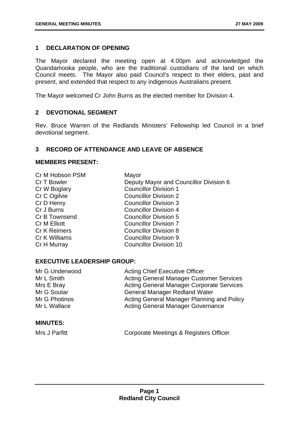#### <span id="page-5-0"></span>**1 DECLARATION OF OPENING**

The Mayor declared the meeting open at 4.00pm and acknowledged the Quandamooka people, who are the traditional custodians of the land on which Council meets. The Mayor also paid Council's respect to their elders, past and present, and extended that respect to any indigenous Australians present.

The Mayor welcomed Cr John Burns as the elected member for Division 4.

#### **2 DEVOTIONAL SEGMENT**

Rev. Bruce Warren of the Redlands Ministers' Fellowship led Council in a brief devotional segment.

#### **3 RECORD OF ATTENDANCE AND LEAVE OF ABSENCE**

#### **MEMBERS PRESENT:**

| Cr M Hobson PSM     | Mayor                                  |
|---------------------|----------------------------------------|
| Cr T Bowler         | Deputy Mayor and Councillor Division 6 |
| Cr W Boglary        | <b>Councillor Division 1</b>           |
| Cr C Ogilvie        | <b>Councillor Division 2</b>           |
| Cr D Henry          | <b>Councillor Division 3</b>           |
| Cr J Burns          | <b>Councillor Division 4</b>           |
| Cr B Townsend       | <b>Councillor Division 5</b>           |
| <b>Cr M Elliott</b> | <b>Councillor Division 7</b>           |
| <b>Cr K Reimers</b> | <b>Councillor Division 8</b>           |
| Cr K Williams       | <b>Councillor Division 9</b>           |
| Cr H Murray         | <b>Councillor Division 10</b>          |
|                     |                                        |

#### **EXECUTIVE LEADERSHIP GROUP:**

| Mr G Underwood | <b>Acting Chief Executive Officer</b>            |
|----------------|--------------------------------------------------|
| Mr L Smith     | <b>Acting General Manager Customer Services</b>  |
| Mrs E Bray     | <b>Acting General Manager Corporate Services</b> |
| Mr G Soutar    | <b>General Manager Redland Water</b>             |
| Mr G Photinos  | Acting General Manager Planning and Policy       |
| Mr L Wallace   | <b>Acting General Manager Governance</b>         |

#### **MINUTES:**

Mrs J Parfitt **Corporate Meetings & Registers Officer**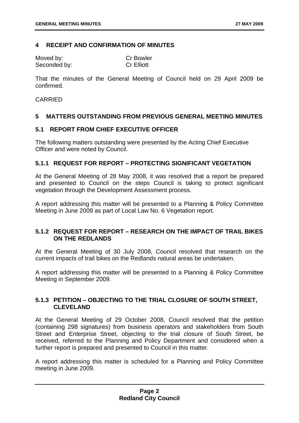#### <span id="page-6-0"></span>**4 RECEIPT AND CONFIRMATION OF MINUTES**

| Moved by:    | <b>Cr Bowler</b>  |
|--------------|-------------------|
| Seconded by: | <b>Cr Elliott</b> |

That the minutes of the General Meeting of Council held on 29 April 2009 be confirmed.

#### CARRIED

#### **5 MATTERS OUTSTANDING FROM PREVIOUS GENERAL MEETING MINUTES**

#### **5.1 REPORT FROM CHIEF EXECUTIVE OFFICER**

The following matters outstanding were presented by the Acting Chief Executive Officer and were noted by Council.

#### **5.1.1 REQUEST FOR REPORT – PROTECTING SIGNIFICANT VEGETATION**

At the General Meeting of 28 May 2008, it was resolved that a report be prepared and presented to Council on the steps Council is taking to protect significant vegetation through the Development Assessment process.

A report addressing this matter will be presented to a Planning & Policy Committee Meeting in June 2009 as part of Local Law No. 6 Vegetation report.

#### **5.1.2 REQUEST FOR REPORT – RESEARCH ON THE IMPACT OF TRAIL BIKES ON THE REDLANDS**

At the General Meeting of 30 July 2008, Council resolved that research on the current impacts of trail bikes on the Redlands natural areas be undertaken.

A report addressing this matter will be presented to a Planning & Policy Committee Meeting in September 2009.

#### **5.1.3 PETITION – OBJECTING TO THE TRIAL CLOSURE OF SOUTH STREET, CLEVELAND**

At the General Meeting of 29 October 2008, Council resolved that the petition (containing 298 signatures) from business operators and stakeholders from South Street and Enterprise Street, objecting to the trial closure of South Street, be received, referred to the Planning and Policy Department and considered when a further report is prepared and presented to Council in this matter.

A report addressing this matter is scheduled for a Planning and Policy Committee meeting in June 2009.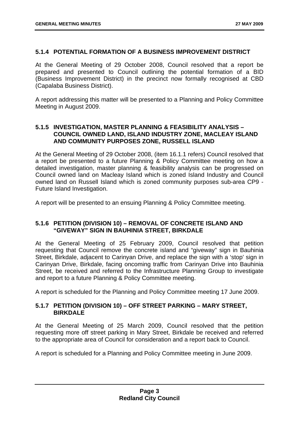#### <span id="page-7-0"></span>**5.1.4 POTENTIAL FORMATION OF A BUSINESS IMPROVEMENT DISTRICT**

At the General Meeting of 29 October 2008, Council resolved that a report be prepared and presented to Council outlining the potential formation of a BID (Business Improvement District) in the precinct now formally recognised at CBD (Capalaba Business District).

A report addressing this matter will be presented to a Planning and Policy Committee Meeting in August 2009.

#### **5.1.5 INVESTIGATION, MASTER PLANNING & FEASIBILITY ANALYSIS – COUNCIL OWNED LAND, ISLAND INDUSTRY ZONE, MACLEAY ISLAND AND COMMUNITY PURPOSES ZONE, RUSSELL ISLAND**

At the General Meeting of 29 October 2008, (item 16.1.1 refers) Council resolved that a report be presented to a future Planning & Policy Committee meeting on how a detailed investigation, master planning & feasibility analysis can be progressed on Council owned land on Macleay Island which is zoned Island Industry and Council owned land on Russell Island which is zoned community purposes sub-area CP9 - Future Island Investigation.

A report will be presented to an ensuing Planning & Policy Committee meeting.

#### **5.1.6 PETITION (DIVISION 10) – REMOVAL OF CONCRETE ISLAND AND "GIVEWAY" SIGN IN BAUHINIA STREET, BIRKDALE**

At the General Meeting of 25 February 2009, Council resolved that petition requesting that Council remove the concrete island and "giveway" sign in Bauhinia Street, Birkdale, adjacent to Carinyan Drive, and replace the sign with a 'stop' sign in Carinyan Drive, Birkdale, facing oncoming traffic from Carinyan Drive into Bauhinia Street, be received and referred to the Infrastructure Planning Group to investigate and report to a future Planning & Policy Committee meeting.

A report is scheduled for the Planning and Policy Committee meeting 17 June 2009.

#### **5.1.7 PETITION (DIVISION 10) – OFF STREET PARKING – MARY STREET, BIRKDALE**

At the General Meeting of 25 March 2009, Council resolved that the petition requesting more off street parking in Mary Street, Birkdale be received and referred to the appropriate area of Council for consideration and a report back to Council.

A report is scheduled for a Planning and Policy Committee meeting in June 2009.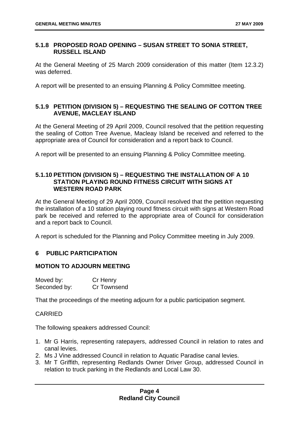#### <span id="page-8-0"></span>**5.1.8 PROPOSED ROAD OPENING – SUSAN STREET TO SONIA STREET, RUSSELL ISLAND**

At the General Meeting of 25 March 2009 consideration of this matter (Item 12.3.2) was deferred.

A report will be presented to an ensuing Planning & Policy Committee meeting.

#### **5.1.9 PETITION (DIVISION 5) – REQUESTING THE SEALING OF COTTON TREE AVENUE, MACLEAY ISLAND**

At the General Meeting of 29 April 2009, Council resolved that the petition requesting the sealing of Cotton Tree Avenue, Macleay Island be received and referred to the appropriate area of Council for consideration and a report back to Council.

A report will be presented to an ensuing Planning & Policy Committee meeting.

#### **5.1.10 PETITION (DIVISION 5) – REQUESTING THE INSTALLATION OF A 10 STATION PLAYING ROUND FITNESS CIRCUIT WITH SIGNS AT WESTERN ROAD PARK**

At the General Meeting of 29 April 2009, Council resolved that the petition requesting the installation of a 10 station playing round fitness circuit with signs at Western Road park be received and referred to the appropriate area of Council for consideration and a report back to Council.

A report is scheduled for the Planning and Policy Committee meeting in July 2009.

#### **6 PUBLIC PARTICIPATION**

#### **MOTION TO ADJOURN MEETING**

| Moved by:    | Cr Henry    |
|--------------|-------------|
| Seconded by: | Cr Townsend |

That the proceedings of the meeting adjourn for a public participation segment.

#### CARRIED

The following speakers addressed Council:

- 1. Mr G Harris, representing ratepayers, addressed Council in relation to rates and canal levies.
- 2. Ms J Vine addressed Council in relation to Aquatic Paradise canal levies.
- 3. Mr T Griffith, representing Redlands Owner Driver Group, addressed Council in relation to truck parking in the Redlands and Local Law 30.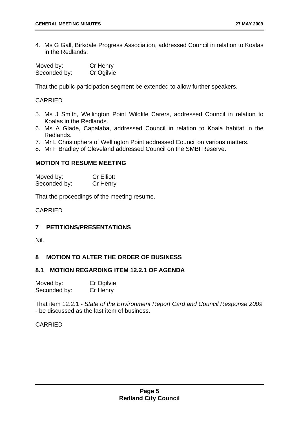<span id="page-9-0"></span>4. Ms G Gall, Birkdale Progress Association, addressed Council in relation to Koalas in the Redlands.

| Moved by:    | Cr Henry   |
|--------------|------------|
| Seconded by: | Cr Ogilvie |

That the public participation segment be extended to allow further speakers.

#### **CARRIED**

- 5. Ms J Smith, Wellington Point Wildlife Carers, addressed Council in relation to Koalas in the Redlands.
- 6. Ms A Glade, Capalaba, addressed Council in relation to Koala habitat in the Redlands.
- 7. Mr L Christophers of Wellington Point addressed Council on various matters.
- 8. Mr F Bradley of Cleveland addressed Council on the SMBI Reserve.

#### **MOTION TO RESUME MEETING**

| Moved by:    | <b>Cr Elliott</b> |
|--------------|-------------------|
| Seconded by: | Cr Henry          |

That the proceedings of the meeting resume.

#### **CARRIED**

#### **7 PETITIONS/PRESENTATIONS**

Nil.

#### **8 MOTION TO ALTER THE ORDER OF BUSINESS**

#### **8.1 MOTION REGARDING ITEM 12.2.1 OF AGENDA**

| Moved by:    | Cr Ogilvie |
|--------------|------------|
| Seconded by: | Cr Henry   |

That item 12.2.1 - *State of the Environment Report Card and Council Response 2009* - be discussed as the last item of business.

#### CARRIED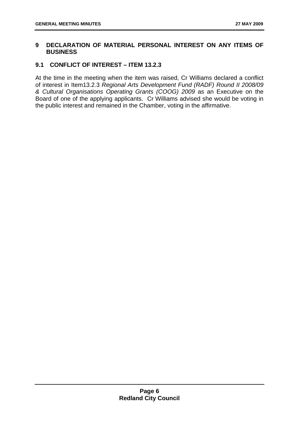#### <span id="page-10-0"></span>**9 DECLARATION OF MATERIAL PERSONAL INTEREST ON ANY ITEMS OF BUSINESS**

#### **9.1 CONFLICT OF INTEREST – ITEM 13.2.3**

At the time in the meeting when the item was raised, Cr Williams declared a conflict of interest in Item13.2.3 *Regional Arts Development Fund (RADF) Round II 2008/09 & Cultural Organisations Operating Grants (COOG) 2009* as an Executive on the Board of one of the applying applicants. Cr Williams advised she would be voting in the public interest and remained in the Chamber, voting in the affirmative.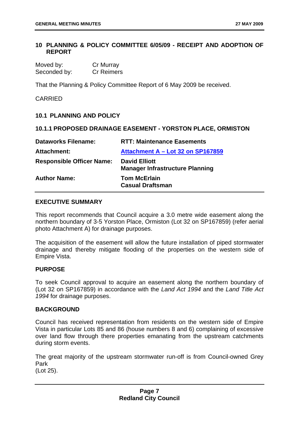#### <span id="page-11-0"></span>**10 PLANNING & POLICY COMMITTEE 6/05/09 - RECEIPT AND ADOPTION OF REPORT**

| Moved by:    | Cr Murray         |
|--------------|-------------------|
| Seconded by: | <b>Cr Reimers</b> |

That the Planning & Policy Committee Report of 6 May 2009 be received.

CARRIED

#### **10.1 PLANNING AND POLICY**

#### **10.1.1 PROPOSED DRAINAGE EASEMENT - YORSTON PLACE, ORMISTON**

| <b>Dataworks Filename:</b>       | <b>RTT: Maintenance Easements</b>                              |
|----------------------------------|----------------------------------------------------------------|
| <b>Attachment:</b>               | Attachment A - Lot 32 on SP167859                              |
| <b>Responsible Officer Name:</b> | <b>David Elliott</b><br><b>Manager Infrastructure Planning</b> |
| <b>Author Name:</b>              | <b>Tom McErlain</b><br><b>Casual Draftsman</b>                 |

#### **EXECUTIVE SUMMARY**

This report recommends that Council acquire a 3.0 metre wide easement along the northern boundary of 3-5 Yorston Place, Ormiston (Lot 32 on SP167859) (refer aerial photo Attachment A) for drainage purposes.

The acquisition of the easement will allow the future installation of piped stormwater drainage and thereby mitigate flooding of the properties on the western side of Empire Vista.

#### **PURPOSE**

To seek Council approval to acquire an easement along the northern boundary of (Lot 32 on SP167859) in accordance with the *Land Act 1994* and the *Land Title Act 1994* for drainage purposes.

#### **BACKGROUND**

Council has received representation from residents on the western side of Empire Vista in particular Lots 85 and 86 (house numbers 8 and 6) complaining of excessive over land flow through there properties emanating from the upstream catchments during storm events.

The great majority of the upstream stormwater run-off is from Council-owned Grey Park

(Lot 25).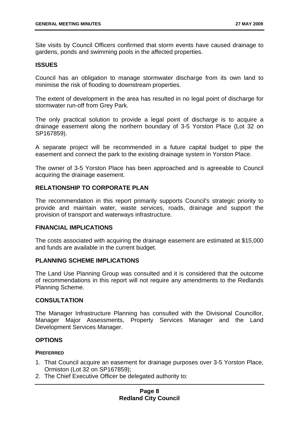Site visits by Council Officers confirmed that storm events have caused drainage to gardens, ponds and swimming pools in the affected properties.

#### **ISSUES**

Council has an obligation to manage stormwater discharge from its own land to minimise the risk of flooding to downstream properties.

The extent of development in the area has resulted in no legal point of discharge for stormwater run-off from Grey Park.

The only practical solution to provide a legal point of discharge is to acquire a drainage easement along the northern boundary of 3-5 Yorston Place (Lot 32 on SP167859).

A separate project will be recommended in a future capital budget to pipe the easement and connect the park to the existing drainage system in Yorston Place.

The owner of 3-5 Yorston Place has been approached and is agreeable to Council acquiring the drainage easement.

#### **RELATIONSHIP TO CORPORATE PLAN**

The recommendation in this report primarily supports Council's strategic priority to provide and maintain water, waste services, roads, drainage and support the provision of transport and waterways infrastructure.

#### **FINANCIAL IMPLICATIONS**

The costs associated with acquiring the drainage easement are estimated at \$15,000 and funds are available in the current budget.

#### **PLANNING SCHEME IMPLICATIONS**

The Land Use Planning Group was consulted and it is considered that the outcome of recommendations in this report will not require any amendments to the Redlands Planning Scheme.

#### **CONSULTATION**

The Manager Infrastructure Planning has consulted with the Divisional Councillor, Manager Major Assessments, Property Services Manager and the Land Development Services Manager.

#### **OPTIONS**

#### **PREFERRED**

- 1. That Council acquire an easement for drainage purposes over 3-5 Yorston Place, Ormiston (Lot 32 on SP167859);
- 2. The Chief Executive Officer be delegated authority to: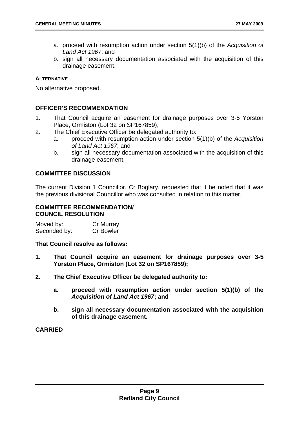- a. proceed with resumption action under section 5(1)(b) of the *Acquisition of Land Act 1967*; and
- b. sign all necessary documentation associated with the acquisition of this drainage easement.

#### **ALTERNATIVE**

No alternative proposed.

#### **OFFICER'S RECOMMENDATION**

- 1. That Council acquire an easement for drainage purposes over 3-5 Yorston Place, Ormiston (Lot 32 on SP167859);
- 2. The Chief Executive Officer be delegated authority to:
	- a. proceed with resumption action under section 5(1)(b) of the *Acquisition of Land Act 1967*; and
	- b. sign all necessary documentation associated with the acquisition of this drainage easement.

#### **COMMITTEE DISCUSSION**

The current Division 1 Councillor, Cr Boglary, requested that it be noted that it was the previous divisional Councillor who was consulted in relation to this matter.

#### **COMMITTEE RECOMMENDATION/ COUNCIL RESOLUTION**

Moved by: Cr Murray Seconded by: Cr Bowler

#### **That Council resolve as follows:**

- **1. That Council acquire an easement for drainage purposes over 3-5 Yorston Place, Ormiston (Lot 32 on SP167859);**
- **2. The Chief Executive Officer be delegated authority to:** 
	- **a. proceed with resumption action under section 5(1)(b) of the**  *Acquisition of Land Act 1967***; and**
	- **b. sign all necessary documentation associated with the acquisition of this drainage easement.**

#### **CARRIED**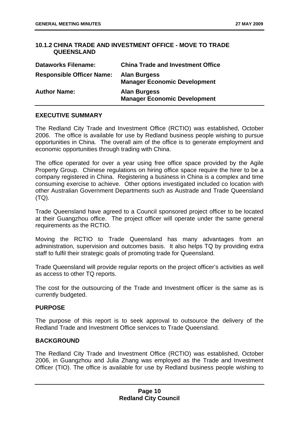#### <span id="page-14-0"></span>**10.1.2 CHINA TRADE AND INVESTMENT OFFICE - MOVE TO TRADE QUEENSLAND**

| <b>Dataworks Filename:</b>       | <b>China Trade and Investment Office</b>                   |
|----------------------------------|------------------------------------------------------------|
| <b>Responsible Officer Name:</b> | <b>Alan Burgess</b><br><b>Manager Economic Development</b> |
| <b>Author Name:</b>              | <b>Alan Burgess</b><br><b>Manager Economic Development</b> |

#### **EXECUTIVE SUMMARY**

The Redland City Trade and Investment Office (RCTIO) was established, October 2006. The office is available for use by Redland business people wishing to pursue opportunities in China. The overall aim of the office is to generate employment and economic opportunities through trading with China.

The office operated for over a year using free office space provided by the Agile Property Group. Chinese regulations on hiring office space require the hirer to be a company registered in China. Registering a business in China is a complex and time consuming exercise to achieve. Other options investigated included co location with other Australian Government Departments such as Austrade and Trade Queensland  $(TQ)$ .

Trade Queensland have agreed to a Council sponsored project officer to be located at their Guangzhou office. The project officer will operate under the same general requirements as the RCTIO.

Moving the RCTIO to Trade Queensland has many advantages from an administration, supervision and outcomes basis. It also helps TQ by providing extra staff to fulfil their strategic goals of promoting trade for Queensland.

Trade Queensland will provide regular reports on the project officer's activities as well as access to other TQ reports.

The cost for the outsourcing of the Trade and Investment officer is the same as is currently budgeted.

#### **PURPOSE**

The purpose of this report is to seek approval to outsource the delivery of the Redland Trade and Investment Office services to Trade Queensland.

#### **BACKGROUND**

The Redland City Trade and Investment Office (RCTIO) was established, October 2006, in Guangzhou and Julia Zhang was employed as the Trade and Investment Officer (TIO). The office is available for use by Redland business people wishing to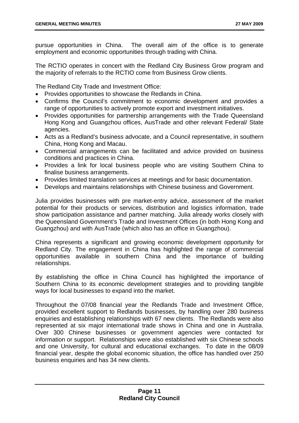pursue opportunities in China. The overall aim of the office is to generate employment and economic opportunities through trading with China.

The RCTIO operates in concert with the Redland City Business Grow program and the majority of referrals to the RCTIO come from Business Grow clients.

The Redland City Trade and Investment Office:

- Provides opportunities to showcase the Redlands in China.
- Confirms the Council's commitment to economic development and provides a range of opportunities to actively promote export and investment initiatives.
- Provides opportunities for partnership arrangements with the Trade Queensland Hong Kong and Guangzhou offices, AusTrade and other relevant Federal/ State agencies.
- Acts as a Redland's business advocate, and a Council representative, in southern China, Hong Kong and Macau.
- Commercial arrangements can be facilitated and advice provided on business conditions and practices in China.
- Provides a link for local business people who are visiting Southern China to finalise business arrangements.
- Provides limited translation services at meetings and for basic documentation.
- Develops and maintains relationships with Chinese business and Government.

Julia provides businesses with pre market-entry advice, assessment of the market potential for their products or services, distribution and logistics information, trade show participation assistance and partner matching. Julia already works closely with the Queensland Government's Trade and Investment Offices (in both Hong Kong and Guangzhou) and with AusTrade (which also has an office in Guangzhou).

China represents a significant and growing economic development opportunity for Redland City. The engagement in China has highlighted the range of commercial opportunities available in southern China and the importance of building relationships.

By establishing the office in China Council has highlighted the importance of Southern China to its economic development strategies and to providing tangible ways for local businesses to expand into the market.

Throughout the 07/08 financial year the Redlands Trade and Investment Office, provided excellent support to Redlands businesses, by handling over 280 business enquiries and establishing relationships with 67 new clients. The Redlands were also represented at six major international trade shows in China and one in Australia. Over 300 Chinese businesses or government agencies were contacted for information or support. Relationships were also established with six Chinese schools and one University, for cultural and educational exchanges. To date in the 08/09 financial year, despite the global economic situation, the office has handled over 250 business enquiries and has 34 new clients.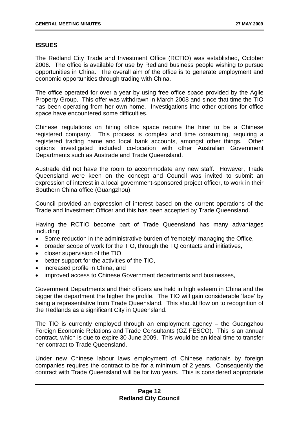#### **ISSUES**

The Redland City Trade and Investment Office (RCTIO) was established, October 2006. The office is available for use by Redland business people wishing to pursue opportunities in China. The overall aim of the office is to generate employment and economic opportunities through trading with China.

The office operated for over a year by using free office space provided by the Agile Property Group. This offer was withdrawn in March 2008 and since that time the TIO has been operating from her own home. Investigations into other options for office space have encountered some difficulties.

Chinese regulations on hiring office space require the hirer to be a Chinese registered company. This process is complex and time consuming, requiring a registered trading name and local bank accounts, amongst other things. Other options investigated included co-location with other Australian Government Departments such as Austrade and Trade Queensland.

Austrade did not have the room to accommodate any new staff. However, Trade Queensland were keen on the concept and Council was invited to submit an expression of interest in a local government-sponsored project officer, to work in their Southern China office (Guangzhou).

Council provided an expression of interest based on the current operations of the Trade and Investment Officer and this has been accepted by Trade Queensland.

Having the RCTIO become part of Trade Queensland has many advantages including:

- Some reduction in the administrative burden of 'remotely' managing the Office,
- broader scope of work for the TIO, through the TQ contacts and initiatives,
- closer supervision of the TIO,
- better support for the activities of the TIO,
- increased profile in China, and
- improved access to Chinese Government departments and businesses,

Government Departments and their officers are held in high esteem in China and the bigger the department the higher the profile. The TIO will gain considerable 'face' by being a representative from Trade Queensland. This should flow on to recognition of the Redlands as a significant City in Queensland.

The TIO is currently employed through an employment agency – the Guangzhou Foreign Economic Relations and Trade Consultants (GZ FESCO). This is an annual contract, which is due to expire 30 June 2009. This would be an ideal time to transfer her contract to Trade Queensland.

Under new Chinese labour laws employment of Chinese nationals by foreign companies requires the contract to be for a minimum of 2 years. Consequently the contract with Trade Queensland will be for two years. This is considered appropriate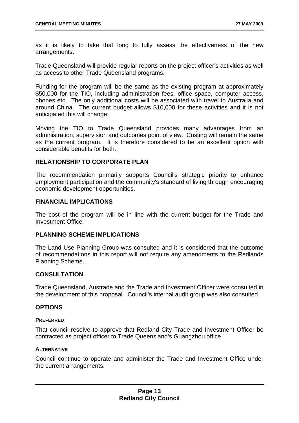as it is likely to take that long to fully assess the effectiveness of the new arrangements.

Trade Queensland will provide regular reports on the project officer's activities as well as access to other Trade Queensland programs.

Funding for the program will be the same as the existing program at approximately \$50,000 for the TIO, including administration fees, office space, computer access, phones etc. The only additional costs will be associated with travel to Australia and around China. The current budget allows \$10,000 for these activities and it is not anticipated this will change.

Moving the TIO to Trade Queensland provides many advantages from an administration, supervision and outcomes point of view. Costing will remain the same as the current program. It is therefore considered to be an excellent option with considerable benefits for both.

#### **RELATIONSHIP TO CORPORATE PLAN**

The recommendation primarily supports Council's strategic priority to enhance employment participation and the community's standard of living through encouraging economic development opportunities.

#### **FINANCIAL IMPLICATIONS**

The cost of the program will be in line with the current budget for the Trade and Investment Office.

#### **PLANNING SCHEME IMPLICATIONS**

The Land Use Planning Group was consulted and it is considered that the outcome of recommendations in this report will not require any amendments to the Redlands Planning Scheme.

#### **CONSULTATION**

Trade Queensland, Austrade and the Trade and Investment Officer were consulted in the development of this proposal. Council's internal audit group was also consulted.

#### **OPTIONS**

#### **PREFERRED**

That council resolve to approve that Redland City Trade and Investment Officer be contracted as project officer to Trade Queensland's Guangzhou office.

#### **ALTERNATIVE**

Council continue to operate and administer the Trade and Investment Office under the current arrangements.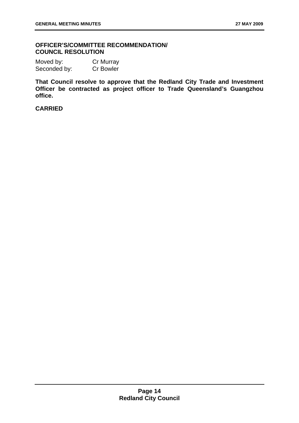#### **OFFICER'S/COMMITTEE RECOMMENDATION/ COUNCIL RESOLUTION**

Moved by: Cr Murray Seconded by: Cr Bowler

**That Council resolve to approve that the Redland City Trade and Investment Officer be contracted as project officer to Trade Queensland's Guangzhou office.** 

**CARRIED**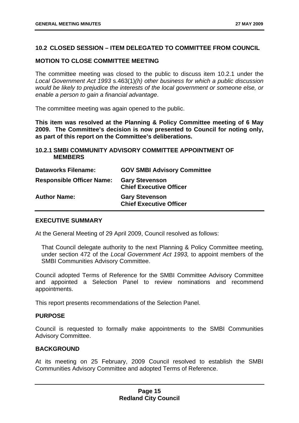#### <span id="page-19-0"></span>**10.2 CLOSED SESSION – ITEM DELEGATED TO COMMITTEE FROM COUNCIL**

#### **MOTION TO CLOSE COMMITTEE MEETING**

The committee meeting was closed to the public to discuss item 10.2.1 under the *Local Government Act 1993* s.463(1)*(h) other business for which a public discussion would be likely to prejudice the interests of the local government or someone else, or enable a person to gain a financial advantage*.

The committee meeting was again opened to the public.

**This item was resolved at the Planning & Policy Committee meeting of 6 May 2009. The Committee's decision is now presented to Council for noting only, as part of this report on the Committee's deliberations.** 

#### **10.2.1 SMBI COMMUNITY ADVISORY COMMITTEE APPOINTMENT OF MEMBERS**

| <b>Dataworks Filename:</b>       | <b>GOV SMBI Advisory Committee</b>                      |
|----------------------------------|---------------------------------------------------------|
| <b>Responsible Officer Name:</b> | <b>Gary Stevenson</b><br><b>Chief Executive Officer</b> |
| <b>Author Name:</b>              | <b>Gary Stevenson</b><br><b>Chief Executive Officer</b> |

#### **EXECUTIVE SUMMARY**

At the General Meeting of 29 April 2009, Council resolved as follows:

 That Council delegate authority to the next Planning & Policy Committee meeting, under section 472 of the *Local Government Act 1993,* to appoint members of the SMBI Communities Advisory Committee.

Council adopted Terms of Reference for the SMBI Committee Advisory Committee and appointed a Selection Panel to review nominations and recommend appointments.

This report presents recommendations of the Selection Panel.

#### **PURPOSE**

Council is requested to formally make appointments to the SMBI Communities Advisory Committee.

#### **BACKGROUND**

At its meeting on 25 February, 2009 Council resolved to establish the SMBI Communities Advisory Committee and adopted Terms of Reference.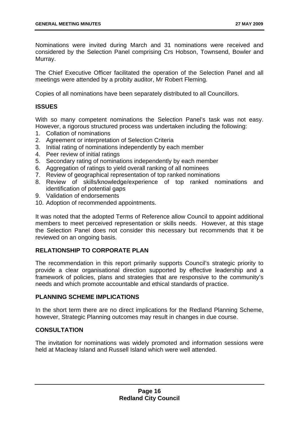Nominations were invited during March and 31 nominations were received and considered by the Selection Panel comprising Crs Hobson, Townsend, Bowler and Murray.

The Chief Executive Officer facilitated the operation of the Selection Panel and all meetings were attended by a probity auditor, Mr Robert Fleming.

Copies of all nominations have been separately distributed to all Councillors.

#### **ISSUES**

With so many competent nominations the Selection Panel's task was not easy. However, a rigorous structured process was undertaken including the following:

- 1. Collation of nominations
- 2. Agreement or interpretation of Selection Criteria
- 3. Initial rating of nominations independently by each member
- 4. Peer review of initial ratings
- 5. Secondary rating of nominations independently by each member
- 6. Aggregation of ratings to yield overall ranking of all nominees
- 7. Review of geographical representation of top ranked nominations
- 8. Review of skills/knowledge/experience of top ranked nominations and identification of potential gaps
- 9. Validation of endorsements
- 10. Adoption of recommended appointments.

It was noted that the adopted Terms of Reference allow Council to appoint additional members to meet perceived representation or skills needs. However, at this stage the Selection Panel does not consider this necessary but recommends that it be reviewed on an ongoing basis.

#### **RELATIONSHIP TO CORPORATE PLAN**

The recommendation in this report primarily supports Council's strategic priority to provide a clear organisational direction supported by effective leadership and a framework of policies, plans and strategies that are responsive to the community's needs and which promote accountable and ethical standards of practice.

#### **PLANNING SCHEME IMPLICATIONS**

In the short term there are no direct implications for the Redland Planning Scheme, however, Strategic Planning outcomes may result in changes in due course.

#### **CONSULTATION**

The invitation for nominations was widely promoted and information sessions were held at Macleay Island and Russell Island which were well attended.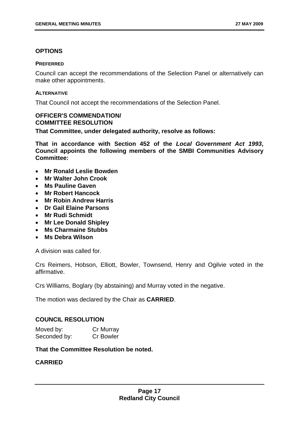#### **OPTIONS**

#### **PREFERRED**

Council can accept the recommendations of the Selection Panel or alternatively can make other appointments.

#### **ALTERNATIVE**

That Council not accept the recommendations of the Selection Panel.

#### **OFFICER'S COMMENDATION/ COMMITTEE RESOLUTION**

**That Committee, under delegated authority, resolve as follows:** 

**That in accordance with Section 452 of the** *Local Government Act 1993***, Council appoints the following members of the SMBI Communities Advisory Committee:** 

- **Mr Ronald Leslie Bowden**
- **Mr Walter John Crook**
- **Ms Pauline Gaven**
- **Mr Robert Hancock**
- **Mr Robin Andrew Harris**
- **Dr Gail Elaine Parsons**
- **Mr Rudi Schmidt**
- **Mr Lee Donald Shipley**
- **Ms Charmaine Stubbs**
- **Ms Debra Wilson**

A division was called for.

Crs Reimers, Hobson, Elliott, Bowler, Townsend, Henry and Ogilvie voted in the affirmative.

Crs Williams, Boglary (by abstaining) and Murray voted in the negative.

The motion was declared by the Chair as **CARRIED**.

#### **COUNCIL RESOLUTION**

| Moved by:    | Cr Murray        |
|--------------|------------------|
| Seconded by: | <b>Cr Bowler</b> |

#### **That the Committee Resolution be noted.**

#### **CARRIED**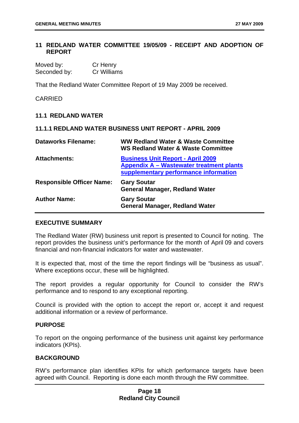#### <span id="page-22-0"></span>**11 REDLAND WATER COMMITTEE 19/05/09 - RECEIPT AND ADOPTION OF REPORT**

| Moved by:    | Cr Henry    |
|--------------|-------------|
| Seconded by: | Cr Williams |

That the Redland Water Committee Report of 19 May 2009 be received.

CARRIED

#### **11.1 REDLAND WATER**

|                                  | 11.1.1 REDLAND WATER BUSINESS UNIT REPORT - APRIL 2009                                                                        |
|----------------------------------|-------------------------------------------------------------------------------------------------------------------------------|
| <b>Dataworks Filename:</b>       | <b>WW Redland Water &amp; Waste Committee</b><br><b>WS Redland Water &amp; Waste Committee</b>                                |
| <b>Attachments:</b>              | <b>Business Unit Report - April 2009</b><br>Appendix A - Wastewater treatment plants<br>supplementary performance information |
| <b>Responsible Officer Name:</b> | <b>Gary Soutar</b><br><b>General Manager, Redland Water</b>                                                                   |
| <b>Author Name:</b>              | <b>Gary Soutar</b><br><b>General Manager, Redland Water</b>                                                                   |

#### **EXECUTIVE SUMMARY**

The Redland Water (RW) business unit report is presented to Council for noting. The report provides the business unit's performance for the month of April 09 and covers financial and non-financial indicators for water and wastewater.

It is expected that, most of the time the report findings will be "business as usual". Where exceptions occur, these will be highlighted.

The report provides a regular opportunity for Council to consider the RW's performance and to respond to any exceptional reporting.

Council is provided with the option to accept the report or, accept it and request additional information or a review of performance.

#### **PURPOSE**

To report on the ongoing performance of the business unit against key performance indicators (KPIs).

#### **BACKGROUND**

RW's performance plan identifies KPIs for which performance targets have been agreed with Council. Reporting is done each month through the RW committee.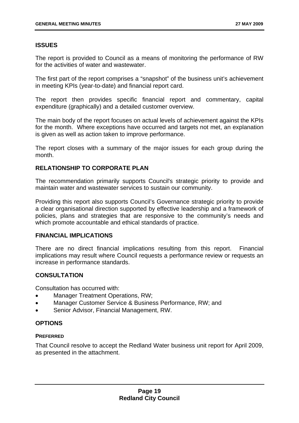#### **ISSUES**

The report is provided to Council as a means of monitoring the performance of RW for the activities of water and wastewater.

The first part of the report comprises a "snapshot" of the business unit's achievement in meeting KPIs (year-to-date) and financial report card.

The report then provides specific financial report and commentary, capital expenditure (graphically) and a detailed customer overview.

The main body of the report focuses on actual levels of achievement against the KPIs for the month. Where exceptions have occurred and targets not met, an explanation is given as well as action taken to improve performance.

The report closes with a summary of the major issues for each group during the month.

#### **RELATIONSHIP TO CORPORATE PLAN**

The recommendation primarily supports Council's strategic priority to provide and maintain water and wastewater services to sustain our community.

Providing this report also supports Council's Governance strategic priority to provide a clear organisational direction supported by effective leadership and a framework of policies, plans and strategies that are responsive to the community's needs and which promote accountable and ethical standards of practice.

#### **FINANCIAL IMPLICATIONS**

There are no direct financial implications resulting from this report. Financial implications may result where Council requests a performance review or requests an increase in performance standards.

#### **CONSULTATION**

Consultation has occurred with:

- Manager Treatment Operations, RW:
- Manager Customer Service & Business Performance, RW; and
- Senior Advisor, Financial Management, RW.

#### **OPTIONS**

#### **PREFERRED**

That Council resolve to accept the Redland Water business unit report for April 2009, as presented in the attachment.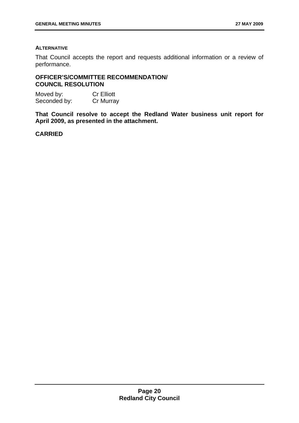#### **ALTERNATIVE**

That Council accepts the report and requests additional information or a review of performance.

#### **OFFICER'S/COMMITTEE RECOMMENDATION/ COUNCIL RESOLUTION**

Moved by: Cr Elliott Seconded by: Cr Murray

**That Council resolve to accept the Redland Water business unit report for April 2009, as presented in the attachment.** 

#### **CARRIED**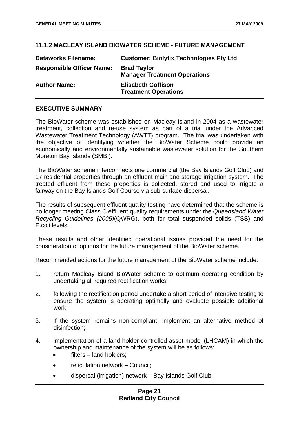#### <span id="page-25-0"></span>**11.1.2 MACLEAY ISLAND BIOWATER SCHEME - FUTURE MANAGEMENT**

| <b>Dataworks Filename:</b>       | <b>Customer: Biolytix Technologies Pty Ltd</b>            |
|----------------------------------|-----------------------------------------------------------|
| <b>Responsible Officer Name:</b> | <b>Brad Taylor</b><br><b>Manager Treatment Operations</b> |
| <b>Author Name:</b>              | <b>Elisabeth Coffison</b><br><b>Treatment Operations</b>  |

#### **EXECUTIVE SUMMARY**

The BioWater scheme was established on Macleay Island in 2004 as a wastewater treatment, collection and re-use system as part of a trial under the Advanced Wastewater Treatment Technology (AWTT) program. The trial was undertaken with the objective of identifying whether the BioWater Scheme could provide an economically and environmentally sustainable wastewater solution for the Southern Moreton Bay Islands (SMBI).

The BioWater scheme interconnects one commercial (the Bay Islands Golf Club) and 17 residential properties through an effluent main and storage irrigation system. The treated effluent from these properties is collected, stored and used to irrigate a fairway on the Bay Islands Golf Course via sub-surface dispersal.

The results of subsequent effluent quality testing have determined that the scheme is no longer meeting Class C effluent quality requirements under the *Queensland Water Recycling Guidelines (2005)*(QWRG), both for total suspended solids (TSS) and E.coli levels.

These results and other identified operational issues provided the need for the consideration of options for the future management of the BioWater scheme.

Recommended actions for the future management of the BioWater scheme include:

- 1. return Macleay Island BioWater scheme to optimum operating condition by undertaking all required rectification works;
- 2. following the rectification period undertake a short period of intensive testing to ensure the system is operating optimally and evaluate possible additional work;
- 3. if the system remains non-compliant, implement an alternative method of disinfection;
- 4. implementation of a land holder controlled asset model (LHCAM) in which the ownership and maintenance of the system will be as follows:
	- filters land holders:
	- reticulation network Council:
	- dispersal (irrigation) network Bay Islands Golf Club.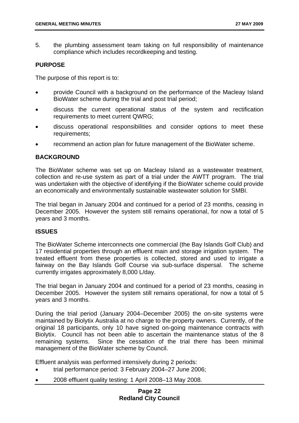5. the plumbing assessment team taking on full responsibility of maintenance compliance which includes recordkeeping and testing.

#### **PURPOSE**

The purpose of this report is to:

- provide Council with a background on the performance of the Macleay Island BioWater scheme during the trial and post trial period;
- discuss the current operational status of the system and rectification requirements to meet current QWRG;
- discuss operational responsibilities and consider options to meet these requirements;
- recommend an action plan for future management of the BioWater scheme.

#### **BACKGROUND**

The BioWater scheme was set up on Macleay Island as a wastewater treatment, collection and re-use system as part of a trial under the AWTT program. The trial was undertaken with the objective of identifying if the BioWater scheme could provide an economically and environmentally sustainable wastewater solution for SMBI.

The trial began in January 2004 and continued for a period of 23 months, ceasing in December 2005. However the system still remains operational, for now a total of 5 years and 3 months.

#### **ISSUES**

The BioWater Scheme interconnects one commercial (the Bay Islands Golf Club) and 17 residential properties through an effluent main and storage irrigation system. The treated effluent from these properties is collected, stored and used to irrigate a fairway on the Bay Islands Golf Course via sub-surface dispersal. The scheme currently irrigates approximately 8,000 L/day.

The trial began in January 2004 and continued for a period of 23 months, ceasing in December 2005. However the system still remains operational, for now a total of 5 years and 3 months.

During the trial period (January 2004–December 2005) the on-site systems were maintained by Biolytix Australia at no charge to the property owners. Currently, of the original 18 participants, only 10 have signed on-going maintenance contracts with Biolytix. Council has not been able to ascertain the maintenance status of the 8 remaining systems. Since the cessation of the trial there has been minimal management of the BioWater scheme by Council.

Effluent analysis was performed intensively during 2 periods:

- trial performance period: 3 February 2004–27 June 2006;
- 2008 effluent quality testing: 1 April 2008–13 May 2008.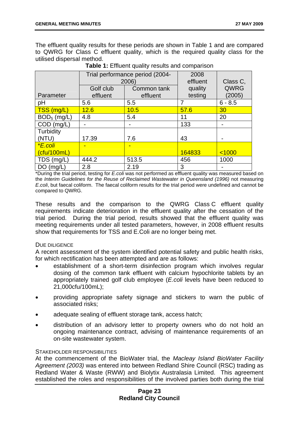The effluent quality results for these periods are shown in Table 1 and are compared to QWRG for Class C effluent quality, which is the required quality class for the utilised dispersal method.

|                    | Trial performance period (2004-<br>2006) |                         | 2008<br>effluent   | Class C,       |
|--------------------|------------------------------------------|-------------------------|--------------------|----------------|
| Parameter          | Golf club<br>effluent                    | Common tank<br>effluent | quality<br>testing | QWRG<br>(2005) |
| pH                 | 5.6                                      | 5.5                     | 7                  | $6 - 8.5$      |
| TSS (mg/L)         | 12.6                                     | 10.5                    | 57.6               | 30             |
| $BOD5$ (mg/L)      | 4.8                                      | 5.4                     | 11                 | 20             |
| $COD$ (mg/L)       |                                          |                         | 133                |                |
| Turbidity<br>(NTU) | 17.39                                    | 7.6                     | 43                 |                |
| *E.coli            |                                          | -                       |                    |                |
| (cfu/100mL)        |                                          |                         | 164833             | < 1000         |
| TDS (mg/L)         | 444.2                                    | 513.5                   | 456                | 1000           |
| $DO$ (mg/L)        | 2.8                                      | 2.19                    | 3                  |                |

|  |  |  |  |  | Table 1: Effluent quality results and comparison |
|--|--|--|--|--|--------------------------------------------------|
|--|--|--|--|--|--------------------------------------------------|

\*During the trial period, testing for *E.coli* was not performed as effluent quality was measured based on the *Interim Guidelines for the Reuse of Reclaimed Wastewater in Queensland (1996)* not measuring *E.coli*, but faecal coliform. The faecal coliform results for the trial period were undefined and cannot be compared to QWRG.

These results and the comparison to the QWRG Class C effluent quality requirements indicate deterioration in the effluent quality after the cessation of the trial period. During the trial period, results showed that the effluent quality was meeting requirements under all tested parameters, however, in 2008 effluent results show that requirements for TSS and E.Coli are no longer being met.

#### DUE DILIGENCE

A recent assessment of the system identified potential safety and public health risks, for which rectification has been attempted and are as follows:

- establishment of a short-term disinfection program which involves regular dosing of the common tank effluent with calcium hypochlorite tablets by an appropriately trained golf club employee (*E.coli* levels have been reduced to 21,000cfu/100mL);
- providing appropriate safety signage and stickers to warn the public of associated risks;
- adequate sealing of effluent storage tank, access hatch;
- distribution of an advisory letter to property owners who do not hold an ongoing maintenance contract, advising of maintenance requirements of an on-site wastewater system.

#### STAKEHOLDER RESPONSIBILITIES

At the commencement of the BioWater trial, the *Macleay Island BioWater Facility Agreement (2003)* was entered into between Redland Shire Council (RSC) trading as Redland Water & Waste (RWW) and Biolytix Australasia Limited. This agreement established the roles and responsibilities of the involved parties both during the trial

#### **Page 23 Redland City Council**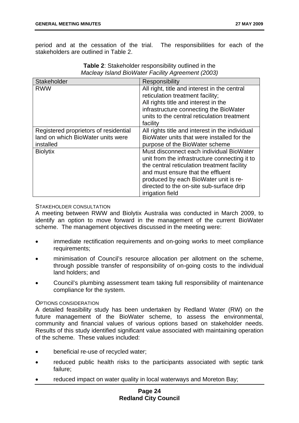period and at the cessation of the trial. The responsibilities for each of the stakeholders are outlined in Table 2.

| <b>Stakeholder</b>                                                                      | Responsibility                                                                                                                                                                                                                                                                         |
|-----------------------------------------------------------------------------------------|----------------------------------------------------------------------------------------------------------------------------------------------------------------------------------------------------------------------------------------------------------------------------------------|
| <b>RWW</b>                                                                              | All right, title and interest in the central<br>reticulation treatment facility;<br>All rights title and interest in the<br>infrastructure connecting the BioWater<br>units to the central reticulation treatment<br>facility                                                          |
| Registered proprietors of residential<br>land on which BioWater units were<br>installed | All rights title and interest in the individual<br>BioWater units that were installed for the<br>purpose of the BioWater scheme                                                                                                                                                        |
| <b>Biolytix</b>                                                                         | Must disconnect each individual BioWater<br>unit from the infrastructure connecting it to<br>the central reticulation treatment facility<br>and must ensure that the effluent<br>produced by each BioWater unit is re-<br>directed to the on-site sub-surface drip<br>irrigation field |

| <b>Table 2:</b> Stakeholder responsibility outlined in the |  |
|------------------------------------------------------------|--|
| Macleay Island BioWater Facility Agreement (2003)          |  |

#### STAKEHOLDER CONSULTATION

A meeting between RWW and Biolytix Australia was conducted in March 2009, to identify an option to move forward in the management of the current BioWater scheme. The management objectives discussed in the meeting were:

- immediate rectification requirements and on-going works to meet compliance requirements;
- minimisation of Council's resource allocation per allotment on the scheme, through possible transfer of responsibility of on-going costs to the individual land holders; and
- Council's plumbing assessment team taking full responsibility of maintenance compliance for the system.

#### OPTIONS CONSIDERATION

A detailed feasibility study has been undertaken by Redland Water (RW) on the future management of the BioWater scheme, to assess the environmental, community and financial values of various options based on stakeholder needs. Results of this study identified significant value associated with maintaining operation of the scheme. These values included:

- beneficial re-use of recycled water;
- reduced public health risks to the participants associated with septic tank failure;
- reduced impact on water quality in local waterways and Moreton Bay;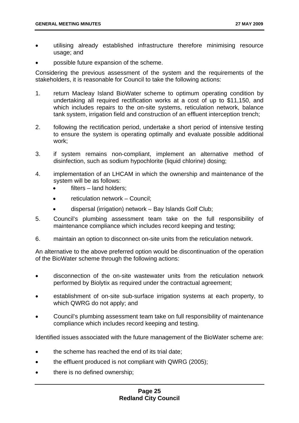- utilising already established infrastructure therefore minimising resource usage; and
- possible future expansion of the scheme.

Considering the previous assessment of the system and the requirements of the stakeholders, it is reasonable for Council to take the following actions:

- 1. return Macleay Island BioWater scheme to optimum operating condition by undertaking all required rectification works at a cost of up to \$11,150, and which includes repairs to the on-site systems, reticulation network, balance tank system, irrigation field and construction of an effluent interception trench;
- 2. following the rectification period, undertake a short period of intensive testing to ensure the system is operating optimally and evaluate possible additional work;
- 3. if system remains non-compliant, implement an alternative method of disinfection, such as sodium hypochlorite (liquid chlorine) dosing;
- 4. implementation of an LHCAM in which the ownership and maintenance of the system will be as follows:
	- filters land holders:
	- reticulation network Council:
	- dispersal (irrigation) network Bay Islands Golf Club;
- 5. Council's plumbing assessment team take on the full responsibility of maintenance compliance which includes record keeping and testing;
- 6. maintain an option to disconnect on-site units from the reticulation network.

An alternative to the above preferred option would be discontinuation of the operation of the BioWater scheme through the following actions:

- disconnection of the on-site wastewater units from the reticulation network performed by Biolytix as required under the contractual agreement;
- establishment of on-site sub-surface irrigation systems at each property, to which QWRG do not apply; and
- Council's plumbing assessment team take on full responsibility of maintenance compliance which includes record keeping and testing.

Identified issues associated with the future management of the BioWater scheme are:

- the scheme has reached the end of its trial date;
- the effluent produced is not compliant with QWRG (2005);
- there is no defined ownership;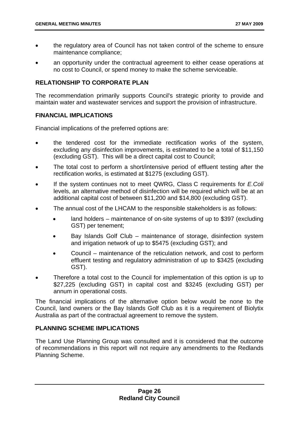- the regulatory area of Council has not taken control of the scheme to ensure maintenance compliance;
- an opportunity under the contractual agreement to either cease operations at no cost to Council, or spend money to make the scheme serviceable.

#### **RELATIONSHIP TO CORPORATE PLAN**

The recommendation primarily supports Council's strategic priority to provide and maintain water and wastewater services and support the provision of infrastructure.

#### **FINANCIAL IMPLICATIONS**

Financial implications of the preferred options are:

- the tendered cost for the immediate rectification works of the system, excluding any disinfection improvements, is estimated to be a total of \$11,150 (excluding GST). This will be a direct capital cost to Council;
- The total cost to perform a short/intensive period of effluent testing after the rectification works, is estimated at \$1275 (excluding GST).
- If the system continues not to meet QWRG, Class C requirements for *E.Coli* levels, an alternative method of disinfection will be required which will be at an additional capital cost of between \$11,200 and \$14,800 (excluding GST).
- The annual cost of the LHCAM to the responsible stakeholders is as follows:
	- land holders maintenance of on-site systems of up to \$397 (excluding GST) per tenement;
	- Bay Islands Golf Club maintenance of storage, disinfection system and irrigation network of up to \$5475 (excluding GST); and
	- Council maintenance of the reticulation network, and cost to perform effluent testing and regulatory administration of up to \$3425 (excluding GST).
- Therefore a total cost to the Council for implementation of this option is up to \$27,225 (excluding GST) in capital cost and \$3245 (excluding GST) per annum in operational costs.

The financial implications of the alternative option below would be none to the Council, land owners or the Bay Islands Golf Club as it is a requirement of Biolytix Australia as part of the contractual agreement to remove the system.

#### **PLANNING SCHEME IMPLICATIONS**

The Land Use Planning Group was consulted and it is considered that the outcome of recommendations in this report will not require any amendments to the Redlands Planning Scheme.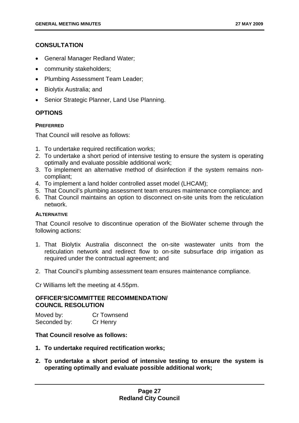#### **CONSULTATION**

- General Manager Redland Water;
- community stakeholders;
- Plumbing Assessment Team Leader;
- Biolytix Australia; and
- Senior Strategic Planner, Land Use Planning.

#### **OPTIONS**

#### **PREFERRED**

That Council will resolve as follows:

- 1. To undertake required rectification works;
- 2. To undertake a short period of intensive testing to ensure the system is operating optimally and evaluate possible additional work;
- 3. To implement an alternative method of disinfection if the system remains noncompliant;
- 4. To implement a land holder controlled asset model (LHCAM);
- 5. That Council's plumbing assessment team ensures maintenance compliance; and
- 6. That Council maintains an option to disconnect on-site units from the reticulation network.

#### **ALTERNATIVE**

That Council resolve to discontinue operation of the BioWater scheme through the following actions:

- 1. That Biolytix Australia disconnect the on-site wastewater units from the reticulation network and redirect flow to on-site subsurface drip irrigation as required under the contractual agreement; and
- 2. That Council's plumbing assessment team ensures maintenance compliance.

Cr Williams left the meeting at 4.55pm.

#### **OFFICER'S/COMMITTEE RECOMMENDATION/ COUNCIL RESOLUTION**

| Moved by:    | Cr Townsend |
|--------------|-------------|
| Seconded by: | Cr Henry    |

#### **That Council resolve as follows:**

- **1. To undertake required rectification works;**
- **2. To undertake a short period of intensive testing to ensure the system is operating optimally and evaluate possible additional work;**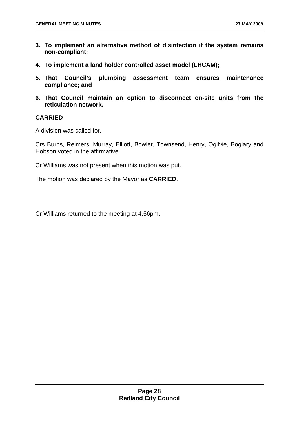- **3. To implement an alternative method of disinfection if the system remains non-compliant;**
- **4. To implement a land holder controlled asset model (LHCAM);**
- **5. That Council's plumbing assessment team ensures maintenance compliance; and**
- **6. That Council maintain an option to disconnect on-site units from the reticulation network.**

#### **CARRIED**

A division was called for.

Crs Burns, Reimers, Murray, Elliott, Bowler, Townsend, Henry, Ogilvie, Boglary and Hobson voted in the affirmative.

Cr Williams was not present when this motion was put.

The motion was declared by the Mayor as **CARRIED**.

Cr Williams returned to the meeting at 4.56pm.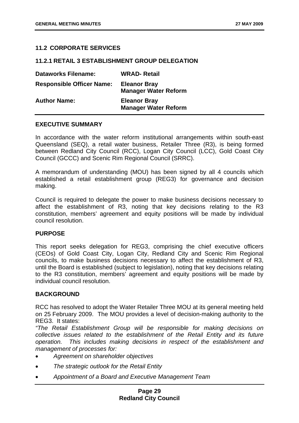#### <span id="page-33-0"></span>**11.2 CORPORATE SERVICES**

#### **11.2.1 RETAIL 3 ESTABLISHMENT GROUP DELEGATION**

| <b>Dataworks Filename:</b>       | <b>WRAD-Retail</b>                                 |
|----------------------------------|----------------------------------------------------|
| <b>Responsible Officer Name:</b> | <b>Eleanor Bray</b><br><b>Manager Water Reform</b> |
| <b>Author Name:</b>              | <b>Eleanor Bray</b><br><b>Manager Water Reform</b> |

#### **EXECUTIVE SUMMARY**

In accordance with the water reform institutional arrangements within south-east Queensland (SEQ), a retail water business, Retailer Three (R3), is being formed between Redland City Council (RCC), Logan City Council (LCC), Gold Coast City Council (GCCC) and Scenic Rim Regional Council (SRRC).

A memorandum of understanding (MOU) has been signed by all 4 councils which established a retail establishment group (REG3) for governance and decision making.

Council is required to delegate the power to make business decisions necessary to affect the establishment of R3, noting that key decisions relating to the R3 constitution, members' agreement and equity positions will be made by individual council resolution.

#### **PURPOSE**

This report seeks delegation for REG3, comprising the chief executive officers (CEOs) of Gold Coast City, Logan City, Redland City and Scenic Rim Regional councils, to make business decisions necessary to affect the establishment of R3, until the Board is established (subject to legislation), noting that key decisions relating to the R3 constitution, members' agreement and equity positions will be made by individual council resolution.

#### **BACKGROUND**

RCC has resolved to adopt the Water Retailer Three MOU at its general meeting held on 25 February 2009. The MOU provides a level of decision-making authority to the REG3. It states:

*"The Retail Establishment Group will be responsible for making decisions on collective issues related to the establishment of the Retail Entity and its future operation. This includes making decisions in respect of the establishment and management of processes for:* 

- *Agreement on shareholder objectives*
- *The strategic outlook for the Retail Entity*
- *Appointment of a Board and Executive Management Team*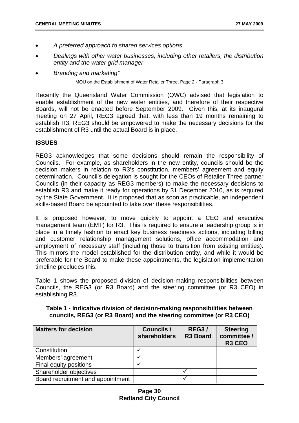- *A preferred approach to shared services options*
- *Dealings with other water businesses, including other retailers, the distribution entity and the water grid manager*
- *Branding and marketing"*

MOU on the Establishment of Water Retailer Three, Page 2 - Paragraph 3

Recently the Queensland Water Commission (QWC) advised that legislation to enable establishment of the new water entities, and therefore of their respective Boards, will not be enacted before September 2009. Given this, at its inaugural meeting on 27 April, REG3 agreed that, with less than 19 months remaining to establish R3, REG3 should be empowered to make the necessary decisions for the establishment of R3 until the actual Board is in place.

#### **ISSUES**

REG3 acknowledges that some decisions should remain the responsibility of Councils. For example, as shareholders in the new entity, councils should be the decision makers in relation to R3's constitution, members' agreement and equity determination. Council's delegation is sought for the CEOs of Retailer Three partner Councils (in their capacity as REG3 members) to make the necessary decisions to establish R3 and make it ready for operations by 31 December 2010, as is required by the State Government. It is proposed that as soon as practicable, an independent skills-based Board be appointed to take over these responsibilities.

It is proposed however, to move quickly to appoint a CEO and executive management team (EMT) for R3. This is required to ensure a leadership group is in place in a timely fashion to enact key business readiness actions, including billing and customer relationship management solutions, office accommodation and employment of necessary staff (including those to transition from existing entities). This mirrors the model established for the distribution entity, and while it would be preferable for the Board to make these appointments, the legislation implementation timeline precludes this.

Table 1 shows the proposed division of decision-making responsibilities between Councils, the REG3 (or R3 Board) and the steering committee (or R3 CEO) in establishing R3.

| Table 1 - Indicative division of decision-making responsibilities between |  |  |
|---------------------------------------------------------------------------|--|--|
| councils, REG3 (or R3 Board) and the steering committee (or R3 CEO)       |  |  |

| <b>Matters for decision</b>       | Councils /<br>shareholders | <b>REG3/</b><br><b>R3 Board</b> | <b>Steering</b><br>committee /<br>R <sub>3</sub> C <sub>EO</sub> |
|-----------------------------------|----------------------------|---------------------------------|------------------------------------------------------------------|
| Constitution                      |                            |                                 |                                                                  |
| Members' agreement                |                            |                                 |                                                                  |
| Final equity positions            |                            |                                 |                                                                  |
| Shareholder objectives            |                            |                                 |                                                                  |
| Board recruitment and appointment |                            |                                 |                                                                  |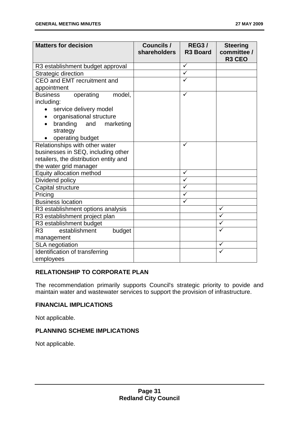| <b>Matters for decision</b>                                                                                                                                                | Councils /<br>shareholders | <b>REG3/</b><br><b>R3 Board</b> | <b>Steering</b><br>committee /<br>R <sub>3</sub> CEO |
|----------------------------------------------------------------------------------------------------------------------------------------------------------------------------|----------------------------|---------------------------------|------------------------------------------------------|
| R3 establishment budget approval                                                                                                                                           |                            | $\checkmark$                    |                                                      |
| Strategic direction                                                                                                                                                        |                            | $\overline{\checkmark}$         |                                                      |
| CEO and EMT recruitment and                                                                                                                                                |                            | ✓                               |                                                      |
| appointment                                                                                                                                                                |                            |                                 |                                                      |
| <b>Business</b><br>model,<br>operating<br>including:<br>service delivery model<br>organisational structure<br>branding<br>and<br>marketing<br>strategy<br>operating budget |                            | $\checkmark$                    |                                                      |
| Relationships with other water<br>businesses in SEQ, including other<br>retailers, the distribution entity and<br>the water grid manager                                   |                            | ✓                               |                                                      |
| Equity allocation method                                                                                                                                                   |                            | ✓                               |                                                      |
| Dividend policy                                                                                                                                                            |                            | ✓                               |                                                      |
| Capital structure                                                                                                                                                          |                            | ✓                               |                                                      |
| Pricing                                                                                                                                                                    |                            | $\checkmark$                    |                                                      |
| <b>Business location</b>                                                                                                                                                   |                            | $\checkmark$                    |                                                      |
| R3 establishment options analysis                                                                                                                                          |                            |                                 | ✓                                                    |
| R3 establishment project plan                                                                                                                                              |                            |                                 | ✓                                                    |
| R3 establishment budget                                                                                                                                                    |                            |                                 | $\checkmark$                                         |
| establishment<br>R <sub>3</sub><br>budget<br>management                                                                                                                    |                            |                                 | $\checkmark$                                         |
| <b>SLA</b> negotiation                                                                                                                                                     |                            |                                 | ✓                                                    |
| Identification of transferring<br>employees                                                                                                                                |                            |                                 |                                                      |

#### **RELATIONSHIP TO CORPORATE PLAN**

The recommendation primarily supports Council's strategic priority to povide and maintain water and wastewater services to support the provision of infrastructure.

#### **FINANCIAL IMPLICATIONS**

Not applicable.

#### **PLANNING SCHEME IMPLICATIONS**

Not applicable.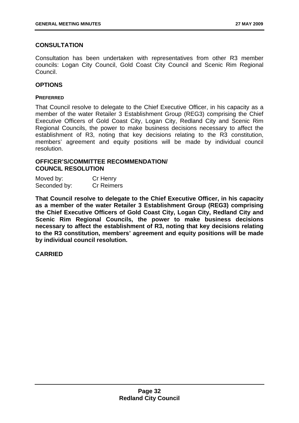# **CONSULTATION**

Consultation has been undertaken with representatives from other R3 member councils: Logan City Council, Gold Coast City Council and Scenic Rim Regional Council.

### **OPTIONS**

#### **PREFERRED**

That Council resolve to delegate to the Chief Executive Officer, in his capacity as a member of the water Retailer 3 Establishment Group (REG3) comprising the Chief Executive Officers of Gold Coast City, Logan City, Redland City and Scenic Rim Regional Councils, the power to make business decisions necessary to affect the establishment of R3, noting that key decisions relating to the R3 constitution, members' agreement and equity positions will be made by individual council resolution.

### **OFFICER'S/COMMITTEE RECOMMENDATION/ COUNCIL RESOLUTION**

| Moved by:    | Cr Henry          |
|--------------|-------------------|
| Seconded by: | <b>Cr Reimers</b> |

**That Council resolve to delegate to the Chief Executive Officer, in his capacity as a member of the water Retailer 3 Establishment Group (REG3) comprising the Chief Executive Officers of Gold Coast City, Logan City, Redland City and Scenic Rim Regional Councils, the power to make business decisions necessary to affect the establishment of R3, noting that key decisions relating to the R3 constitution, members' agreement and equity positions will be made by individual council resolution.**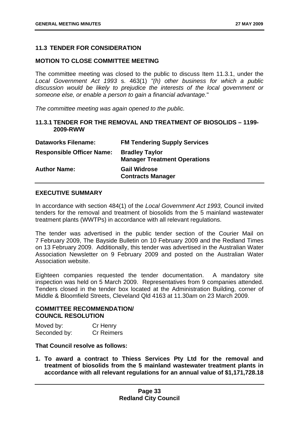# **11.3 TENDER FOR CONSIDERATION**

### **MOTION TO CLOSE COMMITTEE MEETING**

The committee meeting was closed to the public to discuss Item 11.3.1, under the *Local Government Act 1993* s. 463(1) *"(h) other business for which a public discussion would be likely to prejudice the interests of the local government or someone else, or enable a person to gain a financial advantage.*"

*The committee meeting was again opened to the public.* 

### **11.3.1 TENDER FOR THE REMOVAL AND TREATMENT OF BIOSOLIDS – 1199- 2009-RWW**

| <b>Dataworks Filename:</b>       | <b>FM Tendering Supply Services</b>                          |
|----------------------------------|--------------------------------------------------------------|
| <b>Responsible Officer Name:</b> | <b>Bradley Taylor</b><br><b>Manager Treatment Operations</b> |
| <b>Author Name:</b>              | <b>Gail Widrose</b><br><b>Contracts Manager</b>              |

### **EXECUTIVE SUMMARY**

In accordance with section 484(1) of the *Local Government Act 1993,* Council invited tenders for the removal and treatment of biosolids from the 5 mainland wastewater treatment plants (WWTPs) in accordance with all relevant regulations.

The tender was advertised in the public tender section of the Courier Mail on 7 February 2009, The Bayside Bulletin on 10 February 2009 and the Redland Times on 13 February 2009. Additionally, this tender was advertised in the Australian Water Association Newsletter on 9 February 2009 and posted on the Australian Water Association website.

Eighteen companies requested the tender documentation. A mandatory site inspection was held on 5 March 2009. Representatives from 9 companies attended. Tenders closed in the tender box located at the Administration Building, corner of Middle & Bloomfield Streets, Cleveland Qld 4163 at 11.30am on 23 March 2009.

#### **COMMITTEE RECOMMENDATION/ COUNCIL RESOLUTION**

| Moved by:    | Cr Henry          |
|--------------|-------------------|
| Seconded by: | <b>Cr Reimers</b> |

### **That Council resolve as follows:**

**1. To award a contract to Thiess Services Pty Ltd for the removal and treatment of biosolids from the 5 mainland wastewater treatment plants in accordance with all relevant regulations for an annual value of \$1,171,728.18**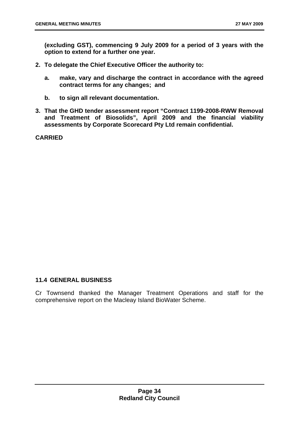**(excluding GST), commencing 9 July 2009 for a period of 3 years with the option to extend for a further one year.** 

- **2. To delegate the Chief Executive Officer the authority to:** 
	- **a. make, vary and discharge the contract in accordance with the agreed contract terms for any changes; and**
	- **b. to sign all relevant documentation.**
- **3. That the GHD tender assessment report "Contract 1199-2008-RWW Removal and Treatment of Biosolids", April 2009 and the financial viability assessments by Corporate Scorecard Pty Ltd remain confidential.**

**CARRIED** 

# **11.4 GENERAL BUSINESS**

Cr Townsend thanked the Manager Treatment Operations and staff for the comprehensive report on the Macleay Island BioWater Scheme.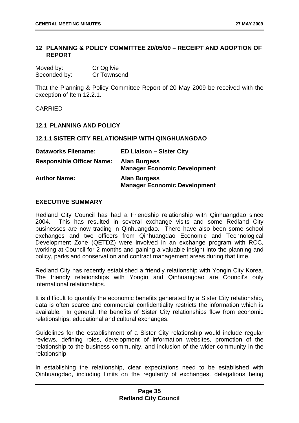# **12 PLANNING & POLICY COMMITTEE 20/05/09 – RECEIPT AND ADOPTION OF REPORT**

| Moved by:    | Cr Ogilvie  |
|--------------|-------------|
| Seconded by: | Cr Townsend |

That the Planning & Policy Committee Report of 20 May 2009 be received with the exception of Item 12.2.1.

# CARRIED

## **12.1 PLANNING AND POLICY**

#### **12.1.1 SISTER CITY RELATIONSHIP WITH QINGHUANGDAO**

| <b>Dataworks Filename:</b>       | <b>ED Liaison - Sister City</b>                            |
|----------------------------------|------------------------------------------------------------|
| <b>Responsible Officer Name:</b> | <b>Alan Burgess</b><br><b>Manager Economic Development</b> |
| <b>Author Name:</b>              | <b>Alan Burgess</b><br><b>Manager Economic Development</b> |

#### **EXECUTIVE SUMMARY**

Redland City Council has had a Friendship relationship with Qinhuangdao since 2004. This has resulted in several exchange visits and some Redland City businesses are now trading in Qinhuangdao. There have also been some school exchanges and two officers from Qinhuangdao Economic and Technological Development Zone (QETDZ) were involved in an exchange program with RCC, working at Council for 2 months and gaining a valuable insight into the planning and policy, parks and conservation and contract management areas during that time.

Redland City has recently established a friendly relationship with Yongin City Korea. The friendly relationships with Yongin and Qinhuangdao are Council's only international relationships.

It is difficult to quantify the economic benefits generated by a Sister City relationship, data is often scarce and commercial confidentiality restricts the information which is available. In general, the benefits of Sister City relationships flow from economic relationships, educational and cultural exchanges.

Guidelines for the establishment of a Sister City relationship would include regular reviews, defining roles, development of information websites, promotion of the relationship to the business community, and inclusion of the wider community in the relationship.

In establishing the relationship, clear expectations need to be established with Qinhuangdao, including limits on the regularity of exchanges, delegations being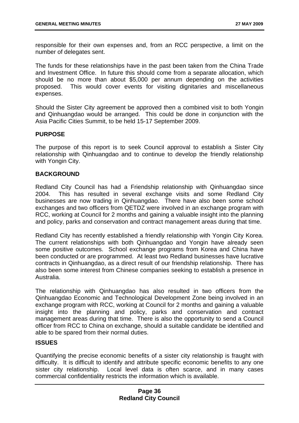responsible for their own expenses and, from an RCC perspective, a limit on the number of delegates sent.

The funds for these relationships have in the past been taken from the China Trade and Investment Office. In future this should come from a separate allocation, which should be no more than about \$5,000 per annum depending on the activities proposed. This would cover events for visiting dignitaries and miscellaneous expenses.

Should the Sister City agreement be approved then a combined visit to both Yongin and Qinhuangdao would be arranged. This could be done in conjunction with the Asia Pacific Cities Summit, to be held 15-17 September 2009.

# **PURPOSE**

The purpose of this report is to seek Council approval to establish a Sister City relationship with Qinhuangdao and to continue to develop the friendly relationship with Yongin City.

# **BACKGROUND**

Redland City Council has had a Friendship relationship with Qinhuangdao since 2004. This has resulted in several exchange visits and some Redland City businesses are now trading in Qinhuangdao. There have also been some school exchanges and two officers from QETDZ were involved in an exchange program with RCC, working at Council for 2 months and gaining a valuable insight into the planning and policy, parks and conservation and contract management areas during that time.

Redland City has recently established a friendly relationship with Yongin City Korea. The current relationships with both Qinhuangdao and Yongin have already seen some positive outcomes. School exchange programs from Korea and China have been conducted or are programmed. At least two Redland businesses have lucrative contracts in Qinhuangdao, as a direct result of our friendship relationship. There has also been some interest from Chinese companies seeking to establish a presence in Australia.

The relationship with Qinhuangdao has also resulted in two officers from the Qinhuangdao Economic and Technological Development Zone being involved in an exchange program with RCC, working at Council for 2 months and gaining a valuable insight into the planning and policy, parks and conservation and contract management areas during that time. There is also the opportunity to send a Council officer from RCC to China on exchange, should a suitable candidate be identified and able to be spared from their normal duties.

### **ISSUES**

Quantifying the precise economic benefits of a sister city relationship is fraught with difficulty. It is difficult to identify and attribute specific economic benefits to any one sister city relationship. Local level data is often scarce, and in many cases commercial confidentiality restricts the information which is available.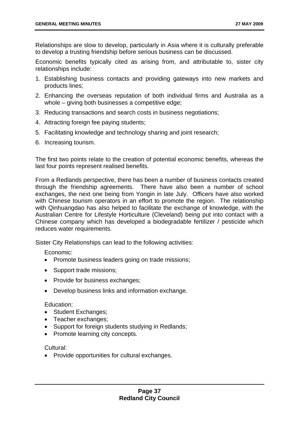Relationships are slow to develop, particularly in Asia where it is culturally preferable to develop a trusting friendship before serious business can be discussed.

Economic benefits typically cited as arising from, and attributable to, sister city relationships include:

- 1. Establishing business contacts and providing gateways into new markets and products lines;
- 2. Enhancing the overseas reputation of both individual firms and Australia as a whole – giving both businesses a competitive edge;
- 3. Reducing transactions and search costs in business negotiations;
- 4. Attracting foreign fee paying students;
- 5. Facilitating knowledge and technology sharing and joint research;
- 6. Increasing tourism.

The first two points relate to the creation of potential economic benefits, whereas the last four points represent realised benefits.

From a Redlands perspective, there has been a number of business contacts created through the friendship agreements. There have also been a number of school exchanges, the next one being from Yongin in late July. Officers have also worked with Chinese tourism operators in an effort to promote the region. The relationship with Qinhuangdao has also helped to facilitate the exchange of knowledge, with the Australian Centre for Lifestyle Horticulture (Cleveland) being put into contact with a Chinese company which has developed a biodegradable fertilizer / pesticide which reduces water requirements.

Sister City Relationships can lead to the following activities:

Economic:

- Promote business leaders going on trade missions;
- Support trade missions;
- Provide for business exchanges;
- Develop business links and information exchange.

### Education:

- Student Exchanges;
- Teacher exchanges;
- Support for foreign students studying in Redlands;
- Promote learning city concepts.

### Cultural:

• Provide opportunities for cultural exchanges.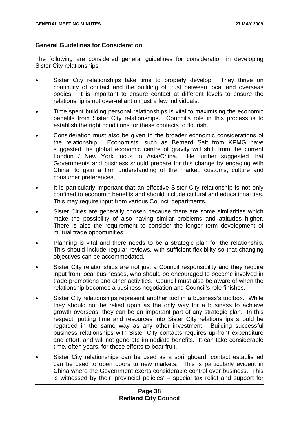# **General Guidelines for Consideration**

The following are considered general guidelines for consideration in developing Sister City relationships.

- Sister City relationships take time to properly develop. They thrive on continuity of contact and the building of trust between local and overseas bodies. It is important to ensure contact at different levels to ensure the relationship is not over-reliant on just a few individuals.
- Time spent building personal relationships is vital to maximising the economic benefits from Sister City relationships. Council's role in this process is to establish the right conditions for these contacts to flourish.
- Consideration must also be given to the broader economic considerations of the relationship. Economists, such as Bernard Salt from KPMG have suggested the global economic centre of gravity will shift from the current London / New York focus to Asia/China. He further suggested that Governments and business should prepare for this change by engaging with China, to gain a firm understanding of the market, customs, culture and consumer preferences.
- It is particularly important that an effective Sister City relationship is not only confined to economic benefits and should include cultural and educational ties. This may require input from various Council departments.
- Sister Cities are generally chosen because there are some similarities which make the possibility of also having similar problems and attitudes higher. There is also the requirement to consider the longer term development of mutual trade opportunities.
- Planning is vital and there needs to be a strategic plan for the relationship. This should include regular reviews, with sufficient flexibility so that changing objectives can be accommodated.
- Sister City relationships are not just a Council responsibility and they require input from local businesses, who should be encouraged to become involved in trade promotions and other activities. Council must also be aware of when the relationship becomes a business negotiation and Council's role finishes.
- Sister City relationships represent another tool in a business's toolbox. While they should not be relied upon as the only way for a business to achieve growth overseas, they can be an important part of any strategic plan. In this respect, putting time and resources into Sister City relationships should be regarded in the same way as any other investment. Building successful business relationships with Sister City contacts requires up-front expenditure and effort, and will not generate immediate benefits. It can take considerable time, often years, for these efforts to bear fruit.
- Sister City relationships can be used as a springboard, contact established can be used to open doors to new markets. This is particularly evident in China where the Government exerts considerable control over business. This is witnessed by their 'provincial policies' – special tax relief and support for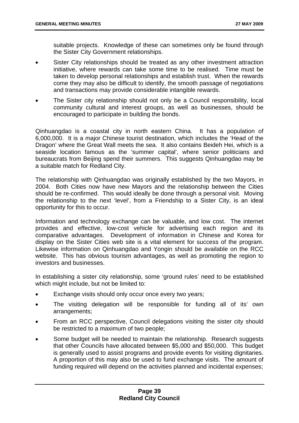suitable projects. Knowledge of these can sometimes only be found through the Sister City Government relationships.

- Sister City relationships should be treated as any other investment attraction initiative, where rewards can take some time to be realised. Time must be taken to develop personal relationships and establish trust. When the rewards come they may also be difficult to identify, the smooth passage of negotiations and transactions may provide considerable intangible rewards.
- The Sister city relationship should not only be a Council responsibility, local community cultural and interest groups, as well as businesses, should be encouraged to participate in building the bonds.

Qinhuangdao is a coastal city in north eastern China. It has a population of 6,000,000. It is a major Chinese tourist destination, which includes the 'Head of the Dragon' where the Great Wall meets the sea. It also contains Beideh Hei, which is a seaside location famous as the 'summer capital', where senior politicians and bureaucrats from Beijing spend their summers. This suggests Qinhuangdao may be a suitable match for Redland City.

The relationship with Qinhuangdao was originally established by the two Mayors, in 2004. Both Cities now have new Mayors and the relationship between the Cities should be re-confirmed. This would ideally be done through a personal visit. Moving the relationship to the next 'level', from a Friendship to a Sister City, is an ideal opportunity for this to occur.

Information and technology exchange can be valuable, and low cost. The internet provides and effective, low-cost vehicle for advertising each region and its comparative advantages. Development of information in Chinese and Korea for display on the Sister Cities web site is a vital element for success of the program. Likewise information on Qinhuangdao and Yongin should be available on the RCC website. This has obvious tourism advantages, as well as promoting the region to investors and businesses.

In establishing a sister city relationship, some 'ground rules' need to be established which might include, but not be limited to:

- Exchange visits should only occur once every two years;
- The visiting delegation will be responsible for funding all of its' own arrangements;
- From an RCC perspective, Council delegations visiting the sister city should be restricted to a maximum of two people;
- Some budget will be needed to maintain the relationship. Research suggests that other Councils have allocated between \$5,000 and \$50,000. This budget is generally used to assist programs and provide events for visiting dignitaries. A proportion of this may also be used to fund exchange visits. The amount of funding required will depend on the activities planned and incidental expenses;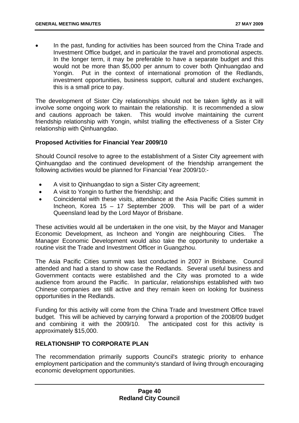In the past, funding for activities has been sourced from the China Trade and Investment Office budget, and in particular the travel and promotional aspects. In the longer term, it may be preferable to have a separate budget and this would not be more than \$5,000 per annum to cover both Qinhuangdao and Yongin. Put in the context of international promotion of the Redlands, investment opportunities, business support, cultural and student exchanges, this is a small price to pay.

The development of Sister City relationships should not be taken lightly as it will involve some ongoing work to maintain the relationship. It is recommended a slow and cautions approach be taken. This would involve maintaining the current friendship relationship with Yongin, whilst trialling the effectiveness of a Sister City relationship with Qinhuangdao.

# **Proposed Activities for Financial Year 2009/10**

Should Council resolve to agree to the establishment of a Sister City agreement with Qinhuangdao and the continued development of the friendship arrangement the following activities would be planned for Financial Year 2009/10:-

- A visit to Qinhuangdao to sign a Sister City agreement:
- A visit to Yongin to further the friendship; and
- Coincidental with these visits, attendance at the Asia Pacific Cities summit in Incheon, Korea 15 – 17 September 2009. This will be part of a wider Queensland lead by the Lord Mayor of Brisbane.

These activities would all be undertaken in the one visit, by the Mayor and Manager Economic Development, as Incheon and Yongin are neighbouring Cities. The Manager Economic Development would also take the opportunity to undertake a routine visit the Trade and Investment Officer in Guangzhou.

The Asia Pacific Cities summit was last conducted in 2007 in Brisbane. Council attended and had a stand to show case the Redlands. Several useful business and Government contacts were established and the City was promoted to a wide audience from around the Pacific. In particular, relationships established with two Chinese companies are still active and they remain keen on looking for business opportunities in the Redlands.

Funding for this activity will come from the China Trade and Investment Office travel budget. This will be achieved by carrying forward a proportion of the 2008/09 budget and combining it with the 2009/10. The anticipated cost for this activity is approximately \$15,000.

# **RELATIONSHIP TO CORPORATE PLAN**

The recommendation primarily supports Council's strategic priority to enhance employment participation and the community's standard of living through encouraging economic development opportunities.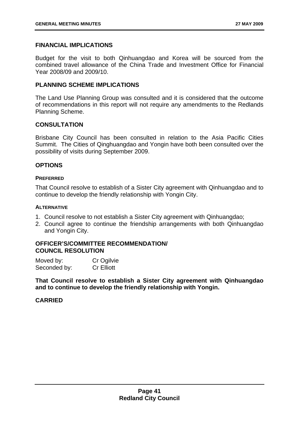# **FINANCIAL IMPLICATIONS**

Budget for the visit to both Qinhuangdao and Korea will be sourced from the combined travel allowance of the China Trade and Investment Office for Financial Year 2008/09 and 2009/10.

# **PLANNING SCHEME IMPLICATIONS**

The Land Use Planning Group was consulted and it is considered that the outcome of recommendations in this report will not require any amendments to the Redlands Planning Scheme.

# **CONSULTATION**

Brisbane City Council has been consulted in relation to the Asia Pacific Cities Summit. The Cities of Qinghuangdao and Yongin have both been consulted over the possibility of visits during September 2009.

# **OPTIONS**

#### **PREFERRED**

That Council resolve to establish of a Sister City agreement with Qinhuangdao and to continue to develop the friendly relationship with Yongin City.

#### **ALTERNATIVE**

- 1. Council resolve to not establish a Sister City agreement with Qinhuangdao;
- 2. Council agree to continue the friendship arrangements with both Qinhuangdao and Yongin City.

### **OFFICER'S/COMMITTEE RECOMMENDATION/ COUNCIL RESOLUTION**

| Moved by:    | Cr Ogilvie        |
|--------------|-------------------|
| Seconded by: | <b>Cr Elliott</b> |

**That Council resolve to establish a Sister City agreement with Qinhuangdao and to continue to develop the friendly relationship with Yongin.**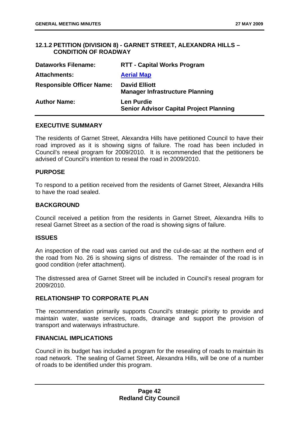# **12.1.2 PETITION (DIVISION 8) - GARNET STREET, ALEXANDRA HILLS – CONDITION OF ROADWAY**

| <b>Dataworks Filename:</b>       | <b>RTT - Capital Works Program</b>                                  |
|----------------------------------|---------------------------------------------------------------------|
| <b>Attachments:</b>              | <b>Aerial Map</b>                                                   |
| <b>Responsible Officer Name:</b> | <b>David Elliott</b><br><b>Manager Infrastructure Planning</b>      |
| <b>Author Name:</b>              | <b>Len Purdie</b><br><b>Senior Advisor Capital Project Planning</b> |

### **EXECUTIVE SUMMARY**

The residents of Garnet Street, Alexandra Hills have petitioned Council to have their road improved as it is showing signs of failure. The road has been included in Council's reseal program for 2009/2010. It is recommended that the petitioners be advised of Council's intention to reseal the road in 2009/2010.

#### **PURPOSE**

To respond to a petition received from the residents of Garnet Street, Alexandra Hills to have the road sealed.

#### **BACKGROUND**

Council received a petition from the residents in Garnet Street, Alexandra Hills to reseal Garnet Street as a section of the road is showing signs of failure.

#### **ISSUES**

An inspection of the road was carried out and the cul-de-sac at the northern end of the road from No. 26 is showing signs of distress. The remainder of the road is in good condition (refer attachment).

The distressed area of Garnet Street will be included in Council's reseal program for 2009/2010.

### **RELATIONSHIP TO CORPORATE PLAN**

The recommendation primarily supports Council's strategic priority to provide and maintain water, waste services, roads, drainage and support the provision of transport and waterways infrastructure.

# **FINANCIAL IMPLICATIONS**

Council in its budget has included a program for the resealing of roads to maintain its road network. The sealing of Garnet Street, Alexandra Hills, will be one of a number of roads to be identified under this program.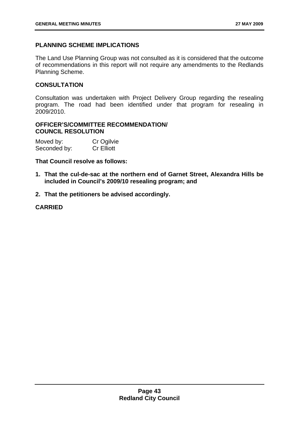# **PLANNING SCHEME IMPLICATIONS**

The Land Use Planning Group was not consulted as it is considered that the outcome of recommendations in this report will not require any amendments to the Redlands Planning Scheme.

# **CONSULTATION**

Consultation was undertaken with Project Delivery Group regarding the resealing program. The road had been identified under that program for resealing in 2009/2010.

# **OFFICER'S/COMMITTEE RECOMMENDATION/ COUNCIL RESOLUTION**

| Moved by:    | Cr Ogilvie        |
|--------------|-------------------|
| Seconded by: | <b>Cr Elliott</b> |

# **That Council resolve as follows:**

- **1. That the cul-de-sac at the northern end of Garnet Street, Alexandra Hills be included in Council's 2009/10 resealing program; and**
- **2. That the petitioners be advised accordingly.**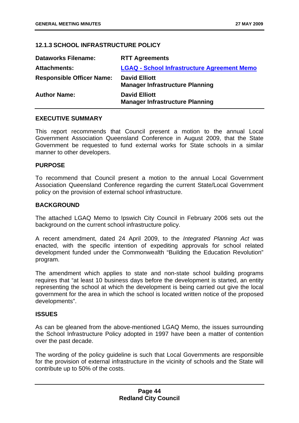# **12.1.3 SCHOOL INFRASTRUCTURE POLICY**

| <b>Dataworks Filename:</b>       | <b>RTT Agreements</b>                                          |
|----------------------------------|----------------------------------------------------------------|
| <b>Attachments:</b>              | <b>LGAQ - School Infrastructure Agreement Memo</b>             |
| <b>Responsible Officer Name:</b> | <b>David Elliott</b><br><b>Manager Infrastructure Planning</b> |
| <b>Author Name:</b>              | <b>David Elliott</b><br><b>Manager Infrastructure Planning</b> |

# **EXECUTIVE SUMMARY**

This report recommends that Council present a motion to the annual Local Government Association Queensland Conference in August 2009, that the State Government be requested to fund external works for State schools in a similar manner to other developers.

### **PURPOSE**

To recommend that Council present a motion to the annual Local Government Association Queensland Conference regarding the current State/Local Government policy on the provision of external school infrastructure.

# **BACKGROUND**

The attached LGAQ Memo to Ipswich City Council in February 2006 sets out the background on the current school infrastructure policy.

A recent amendment, dated 24 April 2009, to the *Integrated Planning Act* was enacted, with the specific intention of expediting approvals for school related development funded under the Commonwealth "Building the Education Revolution" program.

The amendment which applies to state and non-state school building programs requires that "at least 10 business days before the development is started, an entity representing the school at which the development is being carried out give the local government for the area in which the school is located written notice of the proposed developments".

### **ISSUES**

As can be gleaned from the above-mentioned LGAQ Memo, the issues surrounding the School Infrastructure Policy adopted in 1997 have been a matter of contention over the past decade.

The wording of the policy guideline is such that Local Governments are responsible for the provision of external infrastructure in the vicinity of schools and the State will contribute up to 50% of the costs.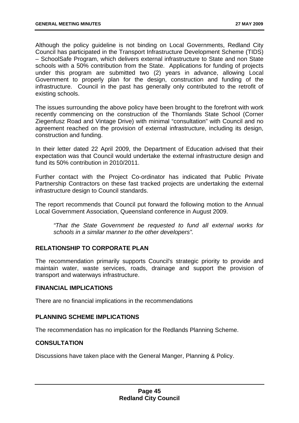Although the policy guideline is not binding on Local Governments, Redland City Council has participated in the Transport Infrastructure Development Scheme (TIDS) – SchoolSafe Program, which delivers external infrastructure to State and non State schools with a 50% contribution from the State. Applications for funding of projects under this program are submitted two (2) years in advance, allowing Local Government to properly plan for the design, construction and funding of the infrastructure. Council in the past has generally only contributed to the retrofit of existing schools.

The issues surrounding the above policy have been brought to the forefront with work recently commencing on the construction of the Thornlands State School (Corner Ziegenfusz Road and Vintage Drive) with minimal "consultation" with Council and no agreement reached on the provision of external infrastructure, including its design, construction and funding.

In their letter dated 22 April 2009, the Department of Education advised that their expectation was that Council would undertake the external infrastructure design and fund its 50% contribution in 2010/2011.

Further contact with the Project Co-ordinator has indicated that Public Private Partnership Contractors on these fast tracked projects are undertaking the external infrastructure design to Council standards.

The report recommends that Council put forward the following motion to the Annual Local Government Association, Queensland conference in August 2009.

*"That the State Government be requested to fund all external works for schools in a similar manner to the other developers".* 

# **RELATIONSHIP TO CORPORATE PLAN**

The recommendation primarily supports Council's strategic priority to provide and maintain water, waste services, roads, drainage and support the provision of transport and waterways infrastructure.

### **FINANCIAL IMPLICATIONS**

There are no financial implications in the recommendations

### **PLANNING SCHEME IMPLICATIONS**

The recommendation has no implication for the Redlands Planning Scheme.

### **CONSULTATION**

Discussions have taken place with the General Manger, Planning & Policy.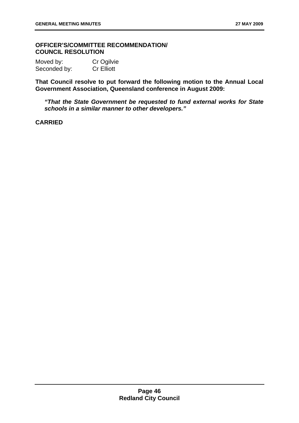# **OFFICER'S/COMMITTEE RECOMMENDATION/ COUNCIL RESOLUTION**

| Moved by:    | Cr Ogilvie        |
|--------------|-------------------|
| Seconded by: | <b>Cr Elliott</b> |

**That Council resolve to put forward the following motion to the Annual Local Government Association, Queensland conference in August 2009:** 

*"That the State Government be requested to fund external works for State schools in a similar manner to other developers."*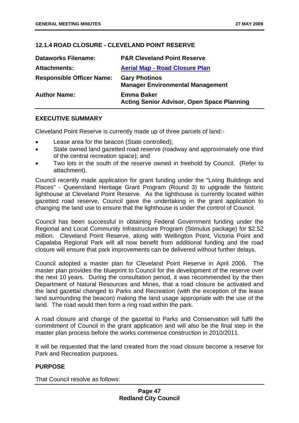# **12.1.4 ROAD CLOSURE - CLEVELAND POINT RESERVE**

| <b>Dataworks Filename:</b>       | <b>P&amp;R Cleveland Point Reserve</b>                                 |
|----------------------------------|------------------------------------------------------------------------|
| <b>Attachments:</b>              | <b>Aerial Map - Road Closure Plan</b>                                  |
| <b>Responsible Officer Name:</b> | <b>Gary Photinos</b><br><b>Manager Environmental Management</b>        |
| <b>Author Name:</b>              | <b>Emma Baker</b><br><b>Acting Senior Advisor, Open Space Planning</b> |

# **EXECUTIVE SUMMARY**

Cleveland Point Reserve is currently made up of three parcels of land:-

- Lease area for the beacon (State controlled);
- State owned land gazetted road reserve (roadway and approximately one third of the central recreation space); and
- Two lots in the south of the reserve owned in freehold by Council. (Refer to attachment).

Council recently made application for grant funding under the "Living Buildings and Places" - Queensland Heritage Grant Program (Round 3) to upgrade the historic lighthouse at Cleveland Point Reserve. As the lighthouse is currently located within gazetted road reserve, Council gave the undertaking in the grant application to changing the land use to ensure that the lighthouse is under the control of Council.

Council has been successful in obtaining Federal Government funding under the Regional and Local Community Infrastructure Program (Stimulus package) for \$2.52 million. Cleveland Point Reserve, along with Wellington Point, Victoria Point and Capalaba Regional Park will all now benefit from additional funding and the road closure will ensure that park improvements can be delivered without further delays.

Council adopted a master plan for Cleveland Point Reserve in April 2006. The master plan provides the blueprint to Council for the development of the reserve over the next 10 years. During the consultation period, it was recommended by the then Department of Natural Resources and Mines, that a road closure be activated and the land gazettal changed to Parks and Recreation (with the exception of the lease land surrounding the beacon) making the land usage appropriate with the use of the land. The road would then form a ring road within the park.

A road closure and change of the gazettal to Parks and Conservation will fulfil the commitment of Council in the grant application and will also be the final step in the master plan process before the works commence construction in 2010/2011.

It will be requested that the land created from the road closure become a reserve for Park and Recreation purposes.

# **PURPOSE**

That Council resolve as follows: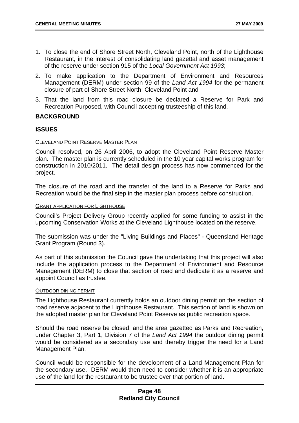- 1. To close the end of Shore Street North, Cleveland Point, north of the Lighthouse Restaurant, in the interest of consolidating land gazettal and asset management of the reserve under section 915 of the *Local Government Act 1993*;
- 2. To make application to the Department of Environment and Resources Management (DERM) under section 99 of the *Land Act 1994* for the permanent closure of part of Shore Street North; Cleveland Point and
- 3. That the land from this road closure be declared a Reserve for Park and Recreation Purposed, with Council accepting trusteeship of this land.

# **BACKGROUND**

# **ISSUES**

#### CLEVELAND POINT RESERVE MASTER PLAN

Council resolved, on 26 April 2006, to adopt the Cleveland Point Reserve Master plan. The master plan is currently scheduled in the 10 year capital works program for construction in 2010/2011. The detail design process has now commenced for the project.

The closure of the road and the transfer of the land to a Reserve for Parks and Recreation would be the final step in the master plan process before construction.

#### GRANT APPLICATION FOR LIGHTHOUSE

Council's Project Delivery Group recently applied for some funding to assist in the upcoming Conservation Works at the Cleveland Lighthouse located on the reserve.

The submission was under the "Living Buildings and Places" - Queensland Heritage Grant Program (Round 3).

As part of this submission the Council gave the undertaking that this project will also include the application process to the Department of Environment and Resource Management (DERM) to close that section of road and dedicate it as a reserve and appoint Council as trustee.

#### OUTDOOR DINING PERMIT

The Lighthouse Restaurant currently holds an outdoor dining permit on the section of road reserve adjacent to the Lighthouse Restaurant. This section of land is shown on the adopted master plan for Cleveland Point Reserve as public recreation space.

Should the road reserve be closed, and the area gazetted as Parks and Recreation, under Chapter 3, Part 1, Division 7 of the *Land Act 1994* the outdoor dining permit would be considered as a secondary use and thereby trigger the need for a Land Management Plan.

Council would be responsible for the development of a Land Management Plan for the secondary use. DERM would then need to consider whether it is an appropriate use of the land for the restaurant to be trustee over that portion of land.

# **Page 48 Redland City Council**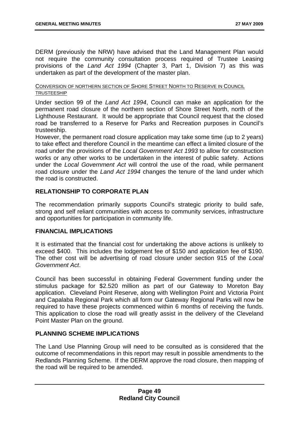DERM (previously the NRW) have advised that the Land Management Plan would not require the community consultation process required of Trustee Leasing provisions of the *Land Act 1994* (Chapter 3, Part 1, Division 7) as this was undertaken as part of the development of the master plan.

#### CONVERSION OF NORTHERN SECTION OF SHORE STREET NORTH TO RESERVE IN COUNCIL TRUSTEESHIP

Under section 99 of the *Land Act 1994*, Council can make an application for the permanent road closure of the northern section of Shore Street North, north of the Lighthouse Restaurant. It would be appropriate that Council request that the closed road be transferred to a Reserve for Parks and Recreation purposes in Council's trusteeship.

However, the permanent road closure application may take some time (up to 2 years) to take effect and therefore Council in the meantime can effect a limited closure of the road under the provisions of the *Local Government Act 1993* to allow for construction works or any other works to be undertaken in the interest of public safety. Actions under the *Local Government Act* will control the use of the road, while permanent road closure under the *Land Act 1994* changes the tenure of the land under which the road is constructed.

# **RELATIONSHIP TO CORPORATE PLAN**

The recommendation primarily supports Council's strategic priority to build safe, strong and self reliant communities with access to community services, infrastructure and opportunities for participation in community life.

# **FINANCIAL IMPLICATIONS**

It is estimated that the financial cost for undertaking the above actions is unlikely to exceed \$400. This includes the lodgement fee of \$150 and application fee of \$190. The other cost will be advertising of road closure under section 915 of the *Local Government Act*.

Council has been successful in obtaining Federal Government funding under the stimulus package for \$2.520 million as part of our Gateway to Moreton Bay application. Cleveland Point Reserve, along with Wellington Point and Victoria Point and Capalaba Regional Park which all form our Gateway Regional Parks will now be required to have these projects commenced within 6 months of receiving the funds. This application to close the road will greatly assist in the delivery of the Cleveland Point Master Plan on the ground.

# **PLANNING SCHEME IMPLICATIONS**

The Land Use Planning Group will need to be consulted as is considered that the outcome of recommendations in this report may result in possible amendments to the Redlands Planning Scheme. If the DERM approve the road closure, then mapping of the road will be required to be amended.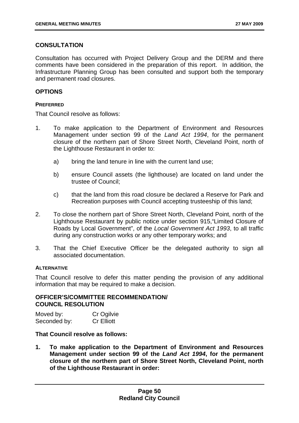# **CONSULTATION**

Consultation has occurred with Project Delivery Group and the DERM and there comments have been considered in the preparation of this report. In addition, the Infrastructure Planning Group has been consulted and support both the temporary and permanent road closures.

### **OPTIONS**

#### **PREFERRED**

That Council resolve as follows:

- 1. To make application to the Department of Environment and Resources Management under section 99 of the *Land Act 1994*, for the permanent closure of the northern part of Shore Street North, Cleveland Point, north of the Lighthouse Restaurant in order to:
	- a) bring the land tenure in line with the current land use;
	- b) ensure Council assets (the lighthouse) are located on land under the trustee of Council;
	- c) that the land from this road closure be declared a Reserve for Park and Recreation purposes with Council accepting trusteeship of this land;
- 2. To close the northern part of Shore Street North, Cleveland Point, north of the Lighthouse Restaurant by public notice under section 915,"Limited Closure of Roads by Local Government", of the *Local Government Act 1993*, to all traffic during any construction works or any other temporary works; and
- 3. That the Chief Executive Officer be the delegated authority to sign all associated documentation.

### **ALTERNATIVE**

That Council resolve to defer this matter pending the provision of any additional information that may be required to make a decision.

### **OFFICER'S/COMMITTEE RECOMMENDATION/ COUNCIL RESOLUTION**

| Moved by:    | Cr Ogilvie        |
|--------------|-------------------|
| Seconded by: | <b>Cr Elliott</b> |

### **That Council resolve as follows:**

**1. To make application to the Department of Environment and Resources Management under section 99 of the** *Land Act 1994***, for the permanent closure of the northern part of Shore Street North, Cleveland Point, north of the Lighthouse Restaurant in order:**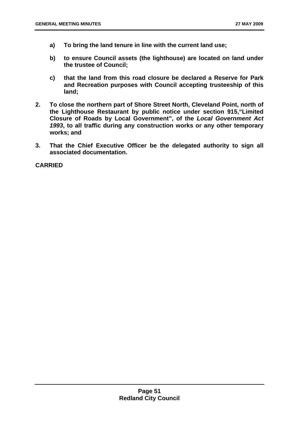- **a) To bring the land tenure in line with the current land use;**
- **b) to ensure Council assets (the lighthouse) are located on land under the trustee of Council;**
- **c) that the land from this road closure be declared a Reserve for Park and Recreation purposes with Council accepting trusteeship of this land;**
- **2. To close the northern part of Shore Street North, Cleveland Point, north of the Lighthouse Restaurant by public notice under section 915,"Limited Closure of Roads by Local Government", of the** *Local Government Act 1993***, to all traffic during any construction works or any other temporary works; and**
- **3. That the Chief Executive Officer be the delegated authority to sign all associated documentation.**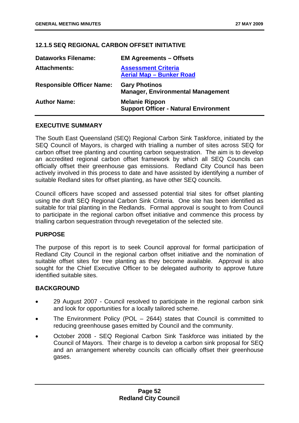# **12.1.5 SEQ REGIONAL CARBON OFFSET INITIATIVE**

| <b>Dataworks Filename:</b>       | <b>EM Agreements - Offsets</b>                                        |
|----------------------------------|-----------------------------------------------------------------------|
| <b>Attachments:</b>              | <b>Assessment Criteria</b><br><b>Aerial Map - Bunker Road</b>         |
| <b>Responsible Officer Name:</b> | <b>Gary Photinos</b><br><b>Manager, Environmental Management</b>      |
| <b>Author Name:</b>              | <b>Melanie Rippon</b><br><b>Support Officer - Natural Environment</b> |

# **EXECUTIVE SUMMARY**

The South East Queensland (SEQ) Regional Carbon Sink Taskforce, initiated by the SEQ Council of Mayors, is charged with trialling a number of sites across SEQ for carbon offset tree planting and counting carbon sequestration. The aim is to develop an accredited regional carbon offset framework by which all SEQ Councils can officially offset their greenhouse gas emissions. Redland City Council has been actively involved in this process to date and have assisted by identifying a number of suitable Redland sites for offset planting, as have other SEQ councils.

Council officers have scoped and assessed potential trial sites for offset planting using the draft SEQ Regional Carbon Sink Criteria. One site has been identified as suitable for trial planting in the Redlands. Formal approval is sought to from Council to participate in the regional carbon offset initiative and commence this process by trialling carbon sequestration through revegetation of the selected site.

# **PURPOSE**

The purpose of this report is to seek Council approval for formal participation of Redland City Council in the regional carbon offset initiative and the nomination of suitable offset sites for tree planting as they become available. Approval is also sought for the Chief Executive Officer to be delegated authority to approve future identified suitable sites.

# **BACKGROUND**

- 29 August 2007 Council resolved to participate in the regional carbon sink and look for opportunities for a locally tailored scheme.
- The Environment Policy (POL  $-$  2644) states that Council is committed to reducing greenhouse gases emitted by Council and the community.
- October 2008 SEQ Regional Carbon Sink Taskforce was initiated by the Council of Mayors. Their charge is to develop a carbon sink proposal for SEQ and an arrangement whereby councils can officially offset their greenhouse gases.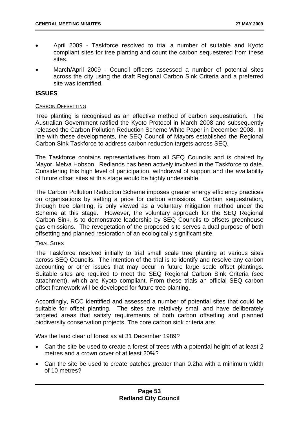- April 2009 Taskforce resolved to trial a number of suitable and Kyoto compliant sites for tree planting and count the carbon sequestered from these sites.
- March/April 2009 Council officers assessed a number of potential sites across the city using the draft Regional Carbon Sink Criteria and a preferred site was identified.

### **ISSUES**

#### CARBON OFFSETTING

Tree planting is recognised as an effective method of carbon sequestration. The Australian Government ratified the Kyoto Protocol in March 2008 and subsequently released the Carbon Pollution Reduction Scheme White Paper in December 2008. In line with these developments, the SEQ Council of Mayors established the Regional Carbon Sink Taskforce to address carbon reduction targets across SEQ.

The Taskforce contains representatives from all SEQ Councils and is chaired by Mayor, Melva Hobson. Redlands has been actively involved in the Taskforce to date. Considering this high level of participation, withdrawal of support and the availability of future offset sites at this stage would be highly undesirable.

The Carbon Pollution Reduction Scheme imposes greater energy efficiency practices on organisations by setting a price for carbon emissions. Carbon sequestration, through tree planting, is only viewed as a voluntary mitigation method under the Scheme at this stage. However, the voluntary approach for the SEQ Regional Carbon Sink, is to demonstrate leadership by SEQ Councils to offsets greenhouse gas emissions. The revegetation of the proposed site serves a dual purpose of both offsetting and planned restoration of an ecologically significant site.

### TRIAL SITES

The Taskforce resolved initially to trial small scale tree planting at various sites across SEQ Councils. The intention of the trial is to identify and resolve any carbon accounting or other issues that may occur in future large scale offset plantings. Suitable sites are required to meet the SEQ Regional Carbon Sink Criteria (see attachment), which are Kyoto compliant. From these trials an official SEQ carbon offset framework will be developed for future tree planting.

Accordingly, RCC identified and assessed a number of potential sites that could be suitable for offset planting. The sites are relatively small and have deliberately targeted areas that satisfy requirements of both carbon offsetting and planned biodiversity conservation projects. The core carbon sink criteria are:

Was the land clear of forest as at 31 December 1989?

- Can the site be used to create a forest of trees with a potential height of at least 2 metres and a crown cover of at least 20%?
- Can the site be used to create patches greater than 0.2ha with a minimum width of 10 metres?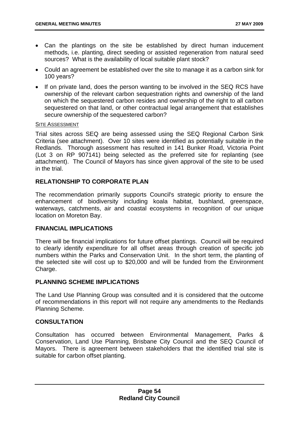- Can the plantings on the site be established by direct human inducement methods, i.e. planting, direct seeding or assisted regeneration from natural seed sources? What is the availability of local suitable plant stock?
- Could an agreement be established over the site to manage it as a carbon sink for 100 years?
- If on private land, does the person wanting to be involved in the SEQ RCS have ownership of the relevant carbon sequestration rights and ownership of the land on which the sequestered carbon resides and ownership of the right to all carbon sequestered on that land, or other contractual legal arrangement that establishes secure ownership of the sequestered carbon?

#### SITE ASSESSMENT

Trial sites across SEQ are being assessed using the SEQ Regional Carbon Sink Criteria (see attachment). Over 10 sites were identified as potentially suitable in the Redlands. Thorough assessment has resulted in 141 Bunker Road, Victoria Point (Lot 3 on RP 907141) being selected as the preferred site for replanting (see attachment). The Council of Mayors has since given approval of the site to be used in the trial.

# **RELATIONSHIP TO CORPORATE PLAN**

The recommendation primarily supports Council's strategic priority to ensure the enhancement of biodiversity including koala habitat, bushland, greenspace, waterways, catchments, air and coastal ecosystems in recognition of our unique location on Moreton Bay.

### **FINANCIAL IMPLICATIONS**

There will be financial implications for future offset plantings. Council will be required to clearly identify expenditure for all offset areas through creation of specific job numbers within the Parks and Conservation Unit. In the short term, the planting of the selected site will cost up to \$20,000 and will be funded from the Environment Charge.

# **PLANNING SCHEME IMPLICATIONS**

The Land Use Planning Group was consulted and it is considered that the outcome of recommendations in this report will not require any amendments to the Redlands Planning Scheme.

### **CONSULTATION**

Consultation has occurred between Environmental Management, Parks & Conservation, Land Use Planning, Brisbane City Council and the SEQ Council of Mayors. There is agreement between stakeholders that the identified trial site is suitable for carbon offset planting.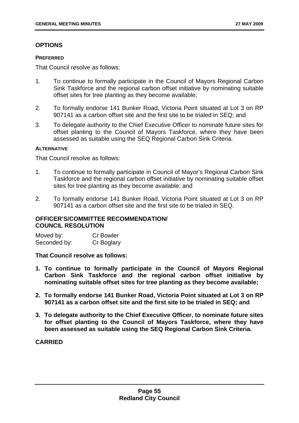# **OPTIONS**

#### **PREFERRED**

That Council resolve as follows:

- 1. To continue to formally participate in the Council of Mayors Regional Carbon Sink Taskforce and the regional carbon offset initiative by nominating suitable offset sites for tree planting as they become available;
- 2. To formally endorse 141 Bunker Road, Victoria Point situated at Lot 3 on RP 907141 as a carbon offset site and the first site to be trialed in SEQ; and
- 3. To delegate authority to the Chief Executive Officer to nominate future sites for offset planting to the Council of Mayors Taskforce, where they have been assessed as suitable using the SEQ Regional Carbon Sink Criteria.

### **ALTERNATIVE**

That Council resolve as follows:

- 1. To continue to formally participate in Council of Mayor's Regional Carbon Sink Taskforce and the regional carbon offset initiative by nominating suitable offset sites for tree planting as they become available; and
- 2. To formally endorse 141 Bunker Road, Victoria Point situated at Lot 3 on RP 907141 as a carbon offset site and the first site to be trialed in SEQ.

# **OFFICER'S/COMMITTEE RECOMMENDATION/ COUNCIL RESOLUTION**

| Moved by:    | <b>Cr Bowler</b> |
|--------------|------------------|
| Seconded by: | Cr Boglary       |

### **That Council resolve as follows:**

- **1. To continue to formally participate in the Council of Mayors Regional Carbon Sink Taskforce and the regional carbon offset initiative by nominating suitable offset sites for tree planting as they become available;**
- **2. To formally endorse 141 Bunker Road, Victoria Point situated at Lot 3 on RP 907141 as a carbon offset site and the first site to be trialed in SEQ; and**
- **3. To delegate authority to the Chief Executive Officer, to nominate future sites for offset planting to the Council of Mayors Taskforce, where they have been assessed as suitable using the SEQ Regional Carbon Sink Criteria.**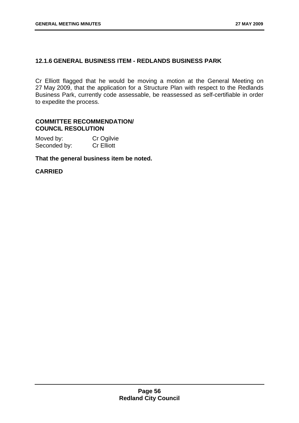# **12.1.6 GENERAL BUSINESS ITEM - REDLANDS BUSINESS PARK**

Cr Elliott flagged that he would be moving a motion at the General Meeting on 27 May 2009, that the application for a Structure Plan with respect to the Redlands Business Park, currently code assessable, be reassessed as self-certifiable in order to expedite the process.

# **COMMITTEE RECOMMENDATION/ COUNCIL RESOLUTION**

| Moved by:    | Cr Ogilvie        |
|--------------|-------------------|
| Seconded by: | <b>Cr Elliott</b> |

**That the general business item be noted.**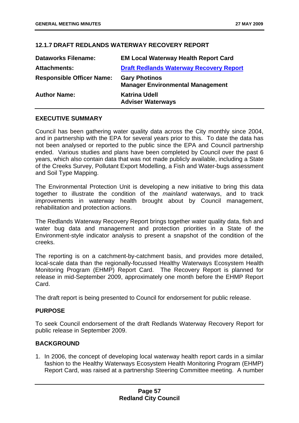# **12.1.7 DRAFT REDLANDS WATERWAY RECOVERY REPORT**

| <b>Dataworks Filename:</b>       | <b>EM Local Waterway Health Report Card</b>                     |
|----------------------------------|-----------------------------------------------------------------|
| <b>Attachments:</b>              | <b>Draft Redlands Waterway Recovery Report</b>                  |
| <b>Responsible Officer Name:</b> | <b>Gary Photinos</b><br><b>Manager Environmental Management</b> |
| <b>Author Name:</b>              | <b>Katrina Udell</b><br><b>Adviser Waterways</b>                |

# **EXECUTIVE SUMMARY**

Council has been gathering water quality data across the City monthly since 2004, and in partnership with the EPA for several years prior to this. To date the data has not been analysed or reported to the public since the EPA and Council partnership ended. Various studies and plans have been completed by Council over the past 6 years, which also contain data that was not made publicly available, including a State of the Creeks Survey, Pollutant Export Modelling, a Fish and Water-bugs assessment and Soil Type Mapping.

The Environmental Protection Unit is developing a new initiative to bring this data together to illustrate the condition of the *mainland* waterways, and to track improvements in waterway health brought about by Council management, rehabilitation and protection actions.

The Redlands Waterway Recovery Report brings together water quality data, fish and water bug data and management and protection priorities in a State of the Environment-style indicator analysis to present a snapshot of the condition of the creeks.

The reporting is on a catchment-by-catchment basis, and provides more detailed, local-scale data than the regionally-focussed Healthy Waterways Ecosystem Health Monitoring Program (EHMP) Report Card. The Recovery Report is planned for release in mid-September 2009, approximately one month before the EHMP Report Card.

The draft report is being presented to Council for endorsement for public release.

# **PURPOSE**

To seek Council endorsement of the draft Redlands Waterway Recovery Report for public release in September 2009.

# **BACKGROUND**

1. In 2006, the concept of developing local waterway health report cards in a similar fashion to the Healthy Waterways Ecosystem Health Monitoring Program (EHMP) Report Card, was raised at a partnership Steering Committee meeting. A number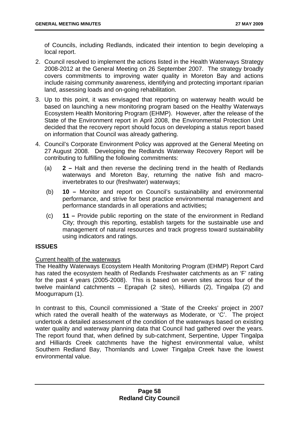of Councils, including Redlands, indicated their intention to begin developing a local report.

- 2. Council resolved to implement the actions listed in the Health Waterways Strategy 2008-2012 at the General Meeting on 26 September 2007. The strategy broadly covers commitments to improving water quality in Moreton Bay and actions include raising community awareness, identifying and protecting important riparian land, assessing loads and on-going rehabilitation.
- 3. Up to this point, it was envisaged that reporting on waterway health would be based on launching a new monitoring program based on the Healthy Waterways Ecosystem Health Monitoring Program (EHMP). However, after the release of the State of the Environment report in April 2008, the Environmental Protection Unit decided that the recovery report should focus on developing a status report based on information that Council was already gathering.
- 4. Council's Corporate Environment Policy was approved at the General Meeting on 27 August 2008. Developing the Redlands Waterway Recovery Report will be contributing to fulfilling the following commitments:
	- (a) **2 –** Halt and then reverse the declining trend in the health of Redlands waterways and Moreton Bay, returning the native fish and macroinvertebrates to our (freshwater) waterways;
	- (b) **10** Monitor and report on Council's sustainability and environmental performance, and strive for best practice environmental management and performance standards in all operations and activities**;**
	- (c) **11** Provide public reporting on the state of the environment in Redland City; through this reporting, establish targets for the sustainable use and management of natural resources and track progress toward sustainability using indicators and ratings.

# **ISSUES**

### Current health of the waterways

The Healthy Waterways Ecosystem Health Monitoring Program (EHMP) Report Card has rated the ecosystem health of Redlands Freshwater catchments as an 'F' rating for the past 4 years (2005-2008). This is based on seven sites across four of the twelve mainland catchments – Eprapah (2 sites), Hilliards (2), Tingalpa (2) and Moogurrapum (1).

In contrast to this, Council commissioned a 'State of the Creeks' project in 2007 which rated the overall health of the waterways as Moderate, or 'C'. The project undertook a detailed assessment of the condition of the waterways based on existing water quality and waterway planning data that Council had gathered over the years. The report found that, when defined by sub-catchment, Serpentine, Upper Tingalpa and Hilliards Creek catchments have the highest environmental value, whilst Southern Redland Bay, Thornlands and Lower Tingalpa Creek have the lowest environmental value.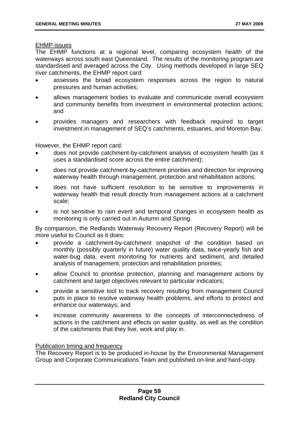EHMP issues

The EHMP functions at a regional level, comparing ecosystem health of the waterways across south east Queensland. The results of the monitoring program are standardised and averaged across the City. Using methods developed in large SEQ river catchments, the EHMP report card:

- assesses the broad ecosystem responses across the region to natural pressures and human activities;
- allows management bodies to evaluate and communicate overall ecosystem and community benefits from investment in environmental protection actions; and
- provides managers and researchers with feedback required to target investment in management of SEQ's catchments, estuaries, and Moreton Bay.

However, the EHMP report card:

- does not provide catchment-by-catchment analysis of ecosystem health (as it uses a standardised score across the entire catchment);
- does not provide catchment-by-catchment priorities and direction for improving waterway health through management, protection and rehabilitation actions;
- does not have sufficient resolution to be sensitive to improvements in waterway health that result directly from management actions at a catchment scale;
- is not sensitive to rain event and temporal changes in ecosystem health as monitoring is only carried out in Autumn and Spring.

By comparison, the Redlands Waterway Recovery Report (Recovery Report) will be more useful to Council as it does:

- provide a catchment-by-catchment snapshot of the condition based on monthly (possibly quarterly in future) water quality data, twice-yearly fish and water-bug data, event monitoring for nutrients and sediment, and detailed analysis of management, protection and rehabilitation priorities;
- allow Council to prioritise protection, planning and management actions by catchment and target objectives relevant to particular indicators;
- provide a sensitive tool to track recovery resulting from management Council puts in place to resolve waterway health problems, and efforts to protect and enhance our waterways; and
- increase community awareness to the concepts of interconnectedness of actions in the catchment and effects on water quality, as well as the condition of the catchments that they live, work and play in.

### Publication timing and frequency

The Recovery Report is to be produced in-house by the Environmental Management Group and Corporate Communications Team and published on-line and hard-copy.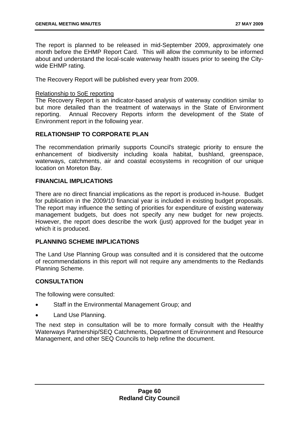The report is planned to be released in mid-September 2009, approximately one month before the EHMP Report Card. This will allow the community to be informed about and understand the local-scale waterway health issues prior to seeing the Citywide EHMP rating.

The Recovery Report will be published every year from 2009.

### Relationship to SoE reporting

The Recovery Report is an indicator-based analysis of waterway condition similar to but more detailed than the treatment of waterways in the State of Environment reporting. Annual Recovery Reports inform the development of the State of Environment report in the following year.

# **RELATIONSHIP TO CORPORATE PLAN**

The recommendation primarily supports Council's strategic priority to ensure the enhancement of biodiversity including koala habitat, bushland, greenspace, waterways, catchments, air and coastal ecosystems in recognition of our unique location on Moreton Bay.

# **FINANCIAL IMPLICATIONS**

There are no direct financial implications as the report is produced in-house. Budget for publication in the 2009/10 financial year is included in existing budget proposals. The report may influence the setting of priorities for expenditure of existing waterway management budgets, but does not specify any new budget for new projects. However, the report does describe the work (just) approved for the budget year in which it is produced.

# **PLANNING SCHEME IMPLICATIONS**

The Land Use Planning Group was consulted and it is considered that the outcome of recommendations in this report will not require any amendments to the Redlands Planning Scheme.

### **CONSULTATION**

The following were consulted:

- Staff in the Environmental Management Group; and
- Land Use Planning.

The next step in consultation will be to more formally consult with the Healthy Waterways Partnership/SEQ Catchments, Department of Environment and Resource Management, and other SEQ Councils to help refine the document.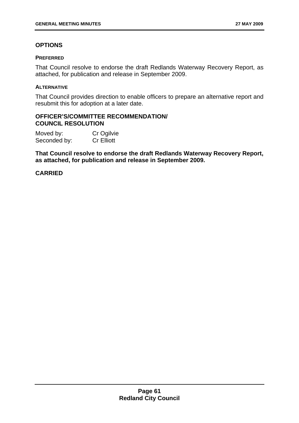# **OPTIONS**

#### **PREFERRED**

That Council resolve to endorse the draft Redlands Waterway Recovery Report, as attached, for publication and release in September 2009.

#### **ALTERNATIVE**

That Council provides direction to enable officers to prepare an alternative report and resubmit this for adoption at a later date.

#### **OFFICER'S/COMMITTEE RECOMMENDATION/ COUNCIL RESOLUTION**

Moved by: Cr Ogilvie Seconded by: Cr Elliott

**That Council resolve to endorse the draft Redlands Waterway Recovery Report, as attached, for publication and release in September 2009.**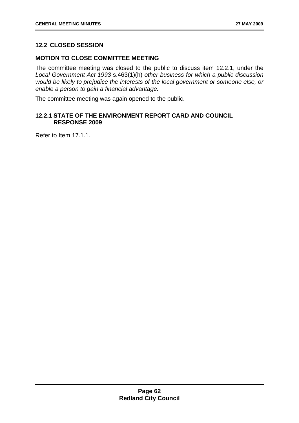# **12.2 CLOSED SESSION**

# **MOTION TO CLOSE COMMITTEE MEETING**

The committee meeting was closed to the public to discuss item 12.2.1, under the *Local Government Act 1993* s.463(1)(h) *other business for which a public discussion would be likely to prejudice the interests of the local government or someone else, or enable a person to gain a financial advantage.* 

The committee meeting was again opened to the public.

# **12.2.1 STATE OF THE ENVIRONMENT REPORT CARD AND COUNCIL RESPONSE 2009**

Refer to Item 17.1.1.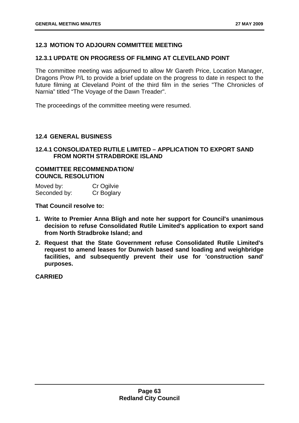# **12.3 MOTION TO ADJOURN COMMITTEE MEETING**

## **12.3.1 UPDATE ON PROGRESS OF FILMING AT CLEVELAND POINT**

The committee meeting was adjourned to allow Mr Gareth Price, Location Manager, Dragons Prow P/L to provide a brief update on the progress to date in respect to the future filming at Cleveland Point of the third film in the series "The Chronicles of Narnia" titled "The Voyage of the Dawn Treader".

The proceedings of the committee meeting were resumed.

### **12.4 GENERAL BUSINESS**

**12.4.1 CONSOLIDATED RUTILE LIMITED – APPLICATION TO EXPORT SAND FROM NORTH STRADBROKE ISLAND** 

### **COMMITTEE RECOMMENDATION/ COUNCIL RESOLUTION**

| Moved by:    | Cr Ogilvie |
|--------------|------------|
| Seconded by: | Cr Boglary |

**That Council resolve to:** 

- **1. Write to Premier Anna Bligh and note her support for Council's unanimous decision to refuse Consolidated Rutile Limited's application to export sand from North Stradbroke Island; and**
- **2. Request that the State Government refuse Consolidated Rutile Limited's request to amend leases for Dunwich based sand loading and weighbridge facilities, and subsequently prevent their use for 'construction sand' purposes.**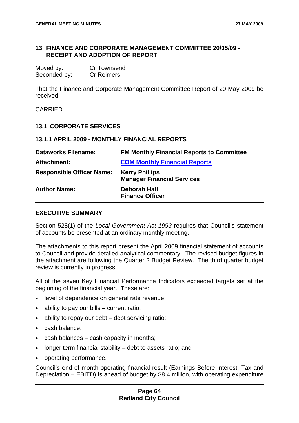### **13 FINANCE AND CORPORATE MANAGEMENT COMMITTEE 20/05/09 - RECEIPT AND ADOPTION OF REPORT**

| Moved by:    | <b>Cr Townsend</b> |
|--------------|--------------------|
| Seconded by: | <b>Cr Reimers</b>  |

That the Finance and Corporate Management Committee Report of 20 May 2009 be received.

CARRIED

#### **13.1 CORPORATE SERVICES**

#### **13.1.1 APRIL 2009 - MONTHLY FINANCIAL REPORTS**

| <b>Dataworks Filename:</b>       | <b>FM Monthly Financial Reports to Committee</b>           |
|----------------------------------|------------------------------------------------------------|
| Attachment:                      | <b>EOM Monthly Financial Reports</b>                       |
| <b>Responsible Officer Name:</b> | <b>Kerry Phillips</b><br><b>Manager Financial Services</b> |
| <b>Author Name:</b>              | Deborah Hall<br><b>Finance Officer</b>                     |

### **EXECUTIVE SUMMARY**

Section 528(1) of the *Local Government Act 1993* requires that Council's statement of accounts be presented at an ordinary monthly meeting.

The attachments to this report present the April 2009 financial statement of accounts to Council and provide detailed analytical commentary. The revised budget figures in the attachment are following the Quarter 2 Budget Review. The third quarter budget review is currently in progress.

All of the seven Key Financial Performance Indicators exceeded targets set at the beginning of the financial year. These are:

- level of dependence on general rate revenue;
- ability to pay our bills current ratio;
- ability to repay our debt debt servicing ratio;
- cash balance;
- cash balances cash capacity in months;
- longer term financial stability debt to assets ratio; and
- operating performance.

Council's end of month operating financial result (Earnings Before Interest, Tax and Depreciation – EBITD) is ahead of budget by \$8.4 million, with operating expenditure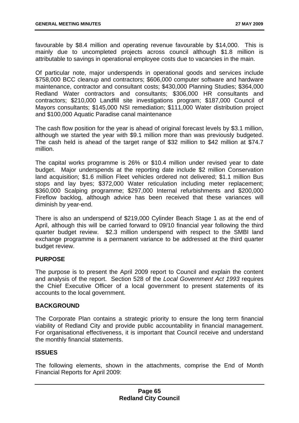favourable by \$8.4 million and operating revenue favourable by \$14,000. This is mainly due to uncompleted projects across council although \$1.8 million is attributable to savings in operational employee costs due to vacancies in the main.

Of particular note, major underspends in operational goods and services include \$758,000 BCC cleanup and contractors; \$606,000 computer software and hardware maintenance, contractor and consultant costs; \$430,000 Planning Studies; \$364,000 Redland Water contractors and consultants; \$306,000 HR consultants and contractors; \$210,000 Landfill site investigations program; \$187,000 Council of Mayors consultants; \$145,000 NSI remediation; \$111,000 Water distribution project and \$100,000 Aquatic Paradise canal maintenance

The cash flow position for the year is ahead of original forecast levels by \$3.1 million, although we started the year with \$9.1 million more than was previously budgeted. The cash held is ahead of the target range of \$32 million to \$42 million at \$74.7 million.

The capital works programme is 26% or \$10.4 million under revised year to date budget. Major underspends at the reporting date include \$2 million Conservation land acquisition; \$1.6 million Fleet vehicles ordered not delivered; \$1.1 million Bus stops and lay byes; \$372,000 Water reticulation including meter replacement; \$360,000 Scalping programme; \$297,000 Internal refurbishments and \$200,000 Fireflow backlog, although advice has been received that these variances will diminish by year-end.

There is also an underspend of \$219,000 Cylinder Beach Stage 1 as at the end of April, although this will be carried forward to 09/10 financial year following the third quarter budget review. \$2.3 million underspend with respect to the SMBI land exchange programme is a permanent variance to be addressed at the third quarter budget review.

# **PURPOSE**

The purpose is to present the April 2009 report to Council and explain the content and analysis of the report. Section 528 of the *Local Government Act 1993* requires the Chief Executive Officer of a local government to present statements of its accounts to the local government.

### **BACKGROUND**

The Corporate Plan contains a strategic priority to ensure the long term financial viability of Redland City and provide public accountability in financial management. For organisational effectiveness, it is important that Council receive and understand the monthly financial statements.

### **ISSUES**

The following elements, shown in the attachments, comprise the End of Month Financial Reports for April 2009: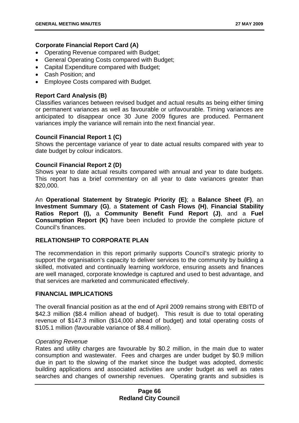# **Corporate Financial Report Card (A)**

- Operating Revenue compared with Budget;
- General Operating Costs compared with Budget;
- Capital Expenditure compared with Budget;
- Cash Position; and
- Employee Costs compared with Budget.

# **Report Card Analysis (B)**

Classifies variances between revised budget and actual results as being either timing or permanent variances as well as favourable or unfavourable. Timing variances are anticipated to disappear once 30 June 2009 figures are produced. Permanent variances imply the variance will remain into the next financial year.

# **Council Financial Report 1 (C)**

Shows the percentage variance of year to date actual results compared with year to date budget by colour indicators.

# **Council Financial Report 2 (D)**

Shows year to date actual results compared with annual and year to date budgets. This report has a brief commentary on all year to date variances greater than \$20,000.

An **Operational Statement by Strategic Priority (E)**; a **Balance Sheet (F)**, an **Investment Summary (G)**, a **Statement of Cash Flows (H)**, **Financial Stability Ratios Report (I),** a **Community Benefit Fund Report (J)**, and a **Fuel Consumption Report (K)** have been included to provide the complete picture of Council's finances.

# **RELATIONSHIP TO CORPORATE PLAN**

The recommendation in this report primarily supports Council's strategic priority to support the organisation's capacity to deliver services to the community by building a skilled, motivated and continually learning workforce, ensuring assets and finances are well managed, corporate knowledge is captured and used to best advantage, and that services are marketed and communicated effectively.

### **FINANCIAL IMPLICATIONS**

The overall financial position as at the end of April 2009 remains strong with EBITD of \$42.3 million (\$8.4 million ahead of budget). This result is due to total operating revenue of \$147.3 million (\$14,000 ahead of budget) and total operating costs of \$105.1 million (favourable variance of \$8.4 million).

### *Operating Revenue*

Rates and utility charges are favourable by \$0.2 million, in the main due to water consumption and wastewater. Fees and charges are under budget by \$0.9 million due in part to the slowing of the market since the budget was adopted, domestic building applications and associated activities are under budget as well as rates searches and changes of ownership revenues. Operating grants and subsidies is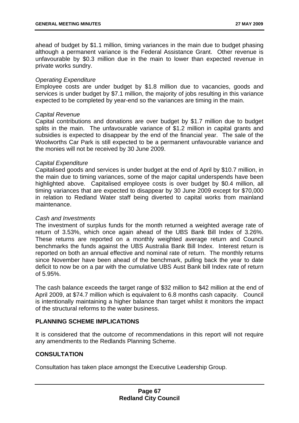ahead of budget by \$1.1 million, timing variances in the main due to budget phasing although a permanent variance is the Federal Assistance Grant. Other revenue is unfavourable by \$0.3 million due in the main to lower than expected revenue in private works sundry.

### *Operating Expenditure*

Employee costs are under budget by \$1.8 million due to vacancies, goods and services is under budget by \$7.1 million, the majority of jobs resulting in this variance expected to be completed by year-end so the variances are timing in the main.

### *Capital Revenue*

Capital contributions and donations are over budget by \$1.7 million due to budget splits in the main. The unfavourable variance of \$1.2 million in capital grants and subsidies is expected to disappear by the end of the financial year. The sale of the Woolworths Car Park is still expected to be a permanent unfavourable variance and the monies will not be received by 30 June 2009.

# *Capital Expenditure*

Capitalised goods and services is under budget at the end of April by \$10.7 million, in the main due to timing variances, some of the major capital underspends have been highlighted above. Capitalised employee costs is over budget by \$0.4 million, all timing variances that are expected to disappear by 30 June 2009 except for \$70,000 in relation to Redland Water staff being diverted to capital works from mainland maintenance.

### *Cash and Investments*

The investment of surplus funds for the month returned a weighted average rate of return of 3.53%, which once again ahead of the UBS Bank Bill Index of 3.26%. These returns are reported on a monthly weighted average return and Council benchmarks the funds against the UBS Australia Bank Bill Index. Interest return is reported on both an annual effective and nominal rate of return. The monthly returns since November have been ahead of the benchmark, pulling back the year to date deficit to now be on a par with the cumulative UBS Aust Bank bill Index rate of return of 5.95%.

The cash balance exceeds the target range of \$32 million to \$42 million at the end of April 2009, at \$74.7 million which is equivalent to 6.8 months cash capacity. Council is intentionally maintaining a higher balance than target whilst it monitors the impact of the structural reforms to the water business.

# **PI ANNING SCHEME IMPLICATIONS**

It is considered that the outcome of recommendations in this report will not require any amendments to the Redlands Planning Scheme.

# **CONSULTATION**

Consultation has taken place amongst the Executive Leadership Group.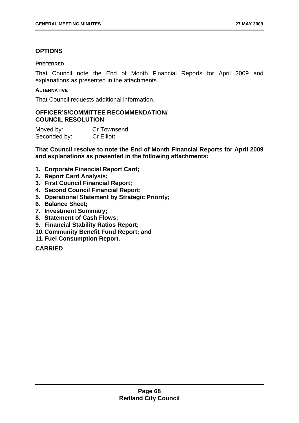# **OPTIONS**

## **PREFERRED**

That Council note the End of Month Financial Reports for April 2009 and explanations as presented in the attachments.

## **ALTERNATIVE**

That Council requests additional information.

# **OFFICER'S/COMMITTEE RECOMMENDATION/ COUNCIL RESOLUTION**

Moved by: Cr Townsend Seconded by: Cr Elliott

**That Council resolve to note the End of Month Financial Reports for April 2009 and explanations as presented in the following attachments:** 

- **1. Corporate Financial Report Card;**
- **2. Report Card Analysis;**
- **3. First Council Financial Report;**
- **4. Second Council Financial Report;**
- **5. Operational Statement by Strategic Priority;**
- **6. Balance Sheet;**
- **7. Investment Summary;**
- **8. Statement of Cash Flows;**
- **9. Financial Stability Ratios Report;**
- **10. Community Benefit Fund Report; and**
- **11. Fuel Consumption Report.**

**CARRIED**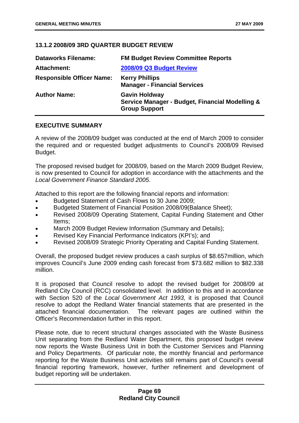## **13.1.2 2008/09 3RD QUARTER BUDGET REVIEW**

| <b>Dataworks Filename:</b>       | <b>FM Budget Review Committee Reports</b>                                                       |
|----------------------------------|-------------------------------------------------------------------------------------------------|
| <b>Attachment:</b>               | 2008/09 Q3 Budget Review                                                                        |
| <b>Responsible Officer Name:</b> | <b>Kerry Phillips</b><br><b>Manager - Financial Services</b>                                    |
| <b>Author Name:</b>              | <b>Gavin Holdway</b><br>Service Manager - Budget, Financial Modelling &<br><b>Group Support</b> |

### **EXECUTIVE SUMMARY**

A review of the 2008/09 budget was conducted at the end of March 2009 to consider the required and or requested budget adjustments to Council's 2008/09 Revised Budget.

The proposed revised budget for 2008/09, based on the March 2009 Budget Review, is now presented to Council for adoption in accordance with the attachments and the *Local Government Finance Standard 2005*.

Attached to this report are the following financial reports and information:

- Budgeted Statement of Cash Flows to 30 June 2009;
- Budgeted Statement of Financial Position 2008/09(Balance Sheet);
- Revised 2008/09 Operating Statement, Capital Funding Statement and Other Items;
- March 2009 Budget Review Information (Summary and Details);
- Revised Key Financial Performance Indicators (KPI's); and
- Revised 2008/09 Strategic Priority Operating and Capital Funding Statement.

Overall, the proposed budget review produces a cash surplus of \$8.657million, which improves Council's June 2009 ending cash forecast from \$73.682 million to \$82.338 million.

It is proposed that Council resolve to adopt the revised budget for 2008/09 at Redland City Council (RCC) consolidated level. In addition to this and in accordance with Section 520 of the *Local Government Act 1993,* it is proposed that Council resolve to adopt the Redland Water financial statements that are presented in the attached financial documentation. The relevant pages are outlined within the Officer's Recommendation further in this report.

Please note, due to recent structural changes associated with the Waste Business Unit separating from the Redland Water Department, this proposed budget review now reports the Waste Business Unit in both the Customer Services and Planning and Policy Departments. Of particular note, the monthly financial and performance reporting for the Waste Business Unit activities still remains part of Council's overall financial reporting framework, however, further refinement and development of budget reporting will be undertaken.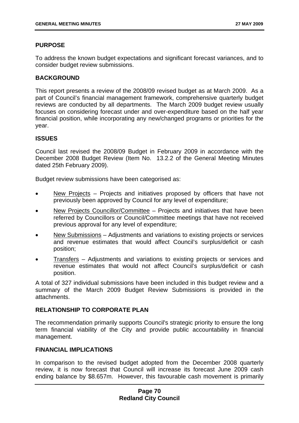# **PURPOSE**

To address the known budget expectations and significant forecast variances, and to consider budget review submissions.

## **BACKGROUND**

This report presents a review of the 2008/09 revised budget as at March 2009. As a part of Council's financial management framework, comprehensive quarterly budget reviews are conducted by all departments. The March 2009 budget review usually focuses on considering forecast under and over-expenditure based on the half year financial position, while incorporating any new/changed programs or priorities for the year.

### **ISSUES**

Council last revised the 2008/09 Budget in February 2009 in accordance with the December 2008 Budget Review (Item No. 13.2.2 of the General Meeting Minutes dated 25th February 2009).

Budget review submissions have been categorised as:

- New Projects Projects and initiatives proposed by officers that have not previously been approved by Council for any level of expenditure;
- New Projects Councillor/Committee Projects and initiatives that have been referred by Councillors or Council/Committee meetings that have not received previous approval for any level of expenditure;
- New Submissions Adiustments and variations to existing projects or services and revenue estimates that would affect Council's surplus/deficit or cash position;
- Transfers Adjustments and variations to existing projects or services and revenue estimates that would not affect Council's surplus/deficit or cash position.

A total of 327 individual submissions have been included in this budget review and a summary of the March 2009 Budget Review Submissions is provided in the attachments.

### **RELATIONSHIP TO CORPORATE PLAN**

The recommendation primarily supports Council's strategic priority to ensure the long term financial viability of the City and provide public accountability in financial management.

### **FINANCIAL IMPLICATIONS**

In comparison to the revised budget adopted from the December 2008 quarterly review, it is now forecast that Council will increase its forecast June 2009 cash ending balance by \$8.657m. However, this favourable cash movement is primarily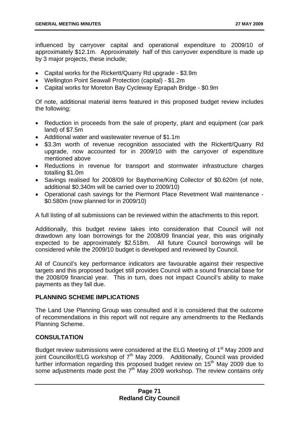influenced by carryover capital and operational expenditure to 2009/10 of approximately \$12.1m. Approximately half of this carryover expenditure is made up by 3 major projects, these include;

- Capital works for the Rickertt/Quarry Rd upgrade \$3.9m
- Wellington Point Seawall Protection (capital) \$1.2m
- Capital works for Moreton Bay Cycleway Eprapah Bridge \$0.9m

Of note, additional material items featured in this proposed budget review includes the following;

- Reduction in proceeds from the sale of property, plant and equipment (car park land) of \$7.5m
- Additional water and wastewater revenue of \$1.1m
- \$3.3m worth of revenue recognition associated with the Rickertt/Quarry Rd upgrade, now accounted for in 2009/10 with the carryover of expenditure mentioned above
- Reductions in revenue for transport and stormwater infrastructure charges totalling \$1.0m
- Savings realised for 2008/09 for Baythorne/King Collector of \$0.620m (of note, additional \$0.340m will be carried over to 2009/10)
- Operational cash savings for the Piermont Place Revetment Wall maintenance \$0.580m (now planned for in 2009/10)

A full listing of all submissions can be reviewed within the attachments to this report.

Additionally, this budget review takes into consideration that Council will not drawdown any loan borrowings for the 2008/09 financial year, this was originally expected to be approximately \$2.518m. All future Council borrowings will be considered while the 2009/10 budget is developed and reviewed by Council.

All of Council's key performance indicators are favourable against their respective targets and this proposed budget still provides Council with a sound financial base for the 2008/09 financial year. This in turn, does not impact Council's ability to make payments as they fall due.

# **PLANNING SCHEME IMPLICATIONS**

The Land Use Planning Group was consulted and it is considered that the outcome of recommendations in this report will not require any amendments to the Redlands Planning Scheme.

# **CONSULTATION**

Budget review submissions were considered at the ELG Meeting of 1<sup>st</sup> May 2009 and  $\frac{1}{10}$  ioint Councillor/ELG workshop of  $7<sup>th</sup>$  May 2009. Additionally, Council was provided further information regarding this proposed budget review on 15th May 2009 due to some adjustments made post the  $7<sup>th</sup>$  May 2009 workshop. The review contains only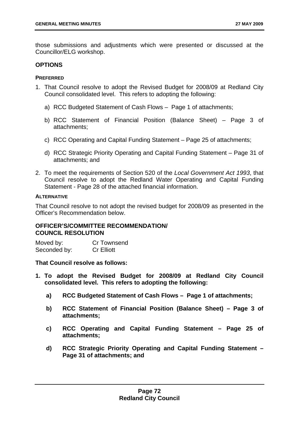those submissions and adjustments which were presented or discussed at the Councillor/ELG workshop.

# **OPTIONS**

### **PREFERRED**

- 1. That Council resolve to adopt the Revised Budget for 2008/09 at Redland City Council consolidated level. This refers to adopting the following:
	- a) RCC Budgeted Statement of Cash Flows Page 1 of attachments;
	- b) RCC Statement of Financial Position (Balance Sheet) Page 3 of attachments;
	- c) RCC Operating and Capital Funding Statement Page 25 of attachments;
	- d) RCC Strategic Priority Operating and Capital Funding Statement Page 31 of attachments; and
- 2. To meet the requirements of Section 520 of the *Local Government Act 1993*, that Council resolve to adopt the Redland Water Operating and Capital Funding Statement - Page 28 of the attached financial information.

### **ALTERNATIVE**

That Council resolve to not adopt the revised budget for 2008/09 as presented in the Officer's Recommendation below.

# **OFFICER'S/COMMITTEE RECOMMENDATION/ COUNCIL RESOLUTION**

Moved by: Cr Townsend Seconded by: Cr Elliott

### **That Council resolve as follows:**

- **1. To adopt the Revised Budget for 2008/09 at Redland City Council consolidated level. This refers to adopting the following:** 
	- **a) RCC Budgeted Statement of Cash Flows Page 1 of attachments;**
	- **b) RCC Statement of Financial Position (Balance Sheet) Page 3 of attachments;**
	- **c) RCC Operating and Capital Funding Statement Page 25 of attachments;**
	- **d) RCC Strategic Priority Operating and Capital Funding Statement Page 31 of attachments; and**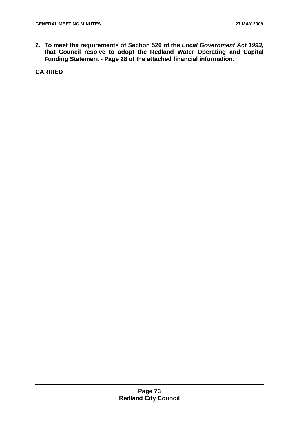**2. To meet the requirements of Section 520 of the** *Local Government Act 1993***, that Council resolve to adopt the Redland Water Operating and Capital Funding Statement - Page 28 of the attached financial information.** 

**CARRIED**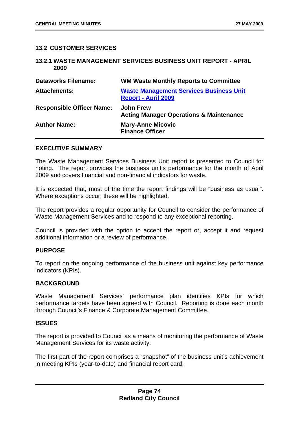### **13.2 CUSTOMER SERVICES**

#### **13.2.1 WASTE MANAGEMENT SERVICES BUSINESS UNIT REPORT - APRIL 2009**

| <b>Dataworks Filename:</b>       | <b>WM Waste Monthly Reports to Committee</b>                                 |
|----------------------------------|------------------------------------------------------------------------------|
| <b>Attachments:</b>              | <b>Waste Management Services Business Unit</b><br><b>Report - April 2009</b> |
| <b>Responsible Officer Name:</b> | <b>John Frew</b><br><b>Acting Manager Operations &amp; Maintenance</b>       |
| <b>Author Name:</b>              | <b>Mary-Anne Micovic</b><br><b>Finance Officer</b>                           |

### **EXECUTIVE SUMMARY**

The Waste Management Services Business Unit report is presented to Council for noting. The report provides the business unit's performance for the month of April 2009 and covers financial and non-financial indicators for waste.

It is expected that, most of the time the report findings will be "business as usual". Where exceptions occur, these will be highlighted.

The report provides a regular opportunity for Council to consider the performance of Waste Management Services and to respond to any exceptional reporting.

Council is provided with the option to accept the report or, accept it and request additional information or a review of performance.

# **PURPOSE**

To report on the ongoing performance of the business unit against key performance indicators (KPIs).

### **BACKGROUND**

Waste Management Services' performance plan identifies KPIs for which performance targets have been agreed with Council. Reporting is done each month through Council's Finance & Corporate Management Committee.

#### **ISSUES**

The report is provided to Council as a means of monitoring the performance of Waste Management Services for its waste activity.

The first part of the report comprises a "snapshot" of the business unit's achievement in meeting KPIs (year-to-date) and financial report card.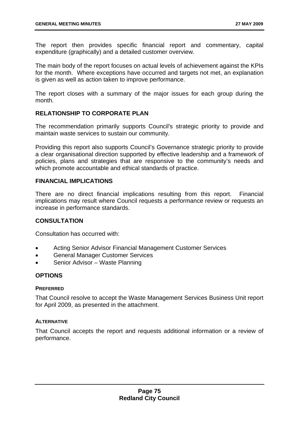The report then provides specific financial report and commentary, capital expenditure (graphically) and a detailed customer overview.

The main body of the report focuses on actual levels of achievement against the KPIs for the month. Where exceptions have occurred and targets not met, an explanation is given as well as action taken to improve performance.

The report closes with a summary of the major issues for each group during the month.

# **RELATIONSHIP TO CORPORATE PLAN**

The recommendation primarily supports Council's strategic priority to provide and maintain waste services to sustain our community.

Providing this report also supports Council's Governance strategic priority to provide a clear organisational direction supported by effective leadership and a framework of policies, plans and strategies that are responsive to the community's needs and which promote accountable and ethical standards of practice.

### **FINANCIAL IMPLICATIONS**

There are no direct financial implications resulting from this report. Financial implications may result where Council requests a performance review or requests an increase in performance standards.

# **CONSULTATION**

Consultation has occurred with:

- Acting Senior Advisor Financial Management Customer Services
- General Manager Customer Services
- Senior Advisor Waste Planning

### **OPTIONS**

#### **PREFERRED**

That Council resolve to accept the Waste Management Services Business Unit report for April 2009, as presented in the attachment.

### **ALTERNATIVE**

That Council accepts the report and requests additional information or a review of performance.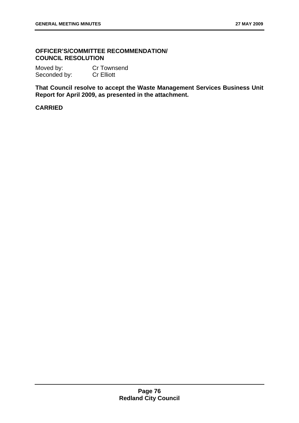# **OFFICER'S/COMMITTEE RECOMMENDATION/ COUNCIL RESOLUTION**

| Moved by:    | <b>Cr Townsend</b> |
|--------------|--------------------|
| Seconded by: | <b>Cr Elliott</b>  |

**That Council resolve to accept the Waste Management Services Business Unit Report for April 2009, as presented in the attachment.** 

# **CARRIED**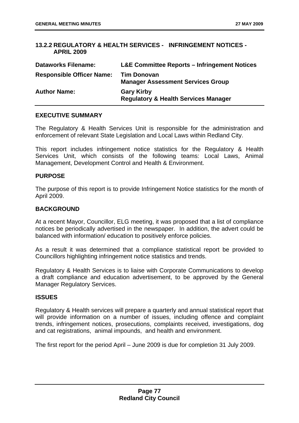# **13.2.2 REGULATORY & HEALTH SERVICES - INFRINGEMENT NOTICES - APRIL 2009**

| <b>Dataworks Filename:</b>       | <b>L&amp;E Committee Reports – Infringement Notices</b>              |
|----------------------------------|----------------------------------------------------------------------|
| <b>Responsible Officer Name:</b> | <b>Tim Donovan</b><br><b>Manager Assessment Services Group</b>       |
| <b>Author Name:</b>              | <b>Gary Kirby</b><br><b>Regulatory &amp; Health Services Manager</b> |

### **EXECUTIVE SUMMARY**

The Regulatory & Health Services Unit is responsible for the administration and enforcement of relevant State Legislation and Local Laws within Redland City.

This report includes infringement notice statistics for the Regulatory & Health Services Unit, which consists of the following teams: Local Laws, Animal Management, Development Control and Health & Environment.

### **PURPOSE**

The purpose of this report is to provide Infringement Notice statistics for the month of April 2009.

# **BACKGROUND**

At a recent Mayor, Councillor, ELG meeting, it was proposed that a list of compliance notices be periodically advertised in the newspaper. In addition, the advert could be balanced with information/ education to positively enforce policies.

As a result it was determined that a compliance statistical report be provided to Councillors highlighting infringement notice statistics and trends.

Regulatory & Health Services is to liaise with Corporate Communications to develop a draft compliance and education advertisement, to be approved by the General Manager Regulatory Services.

### **ISSUES**

Regulatory & Health services will prepare a quarterly and annual statistical report that will provide information on a number of issues, including offence and complaint trends, infringement notices, prosecutions, complaints received, investigations, dog and cat registrations, animal impounds, and health and environment.

The first report for the period April – June 2009 is due for completion 31 July 2009.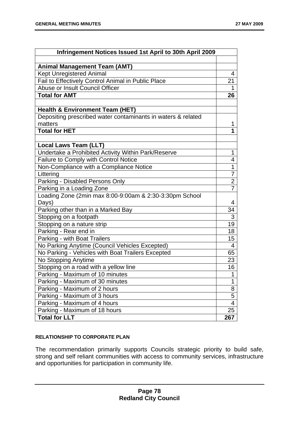| Infringement Notices Issued 1st April to 30th April 2009     |                |
|--------------------------------------------------------------|----------------|
|                                                              |                |
| <b>Animal Management Team (AMT)</b>                          |                |
| <b>Kept Unregistered Animal</b>                              | 4              |
| Fail to Effectively Control Animal in Public Place           | 21             |
| Abuse or Insult Council Officer                              |                |
| <b>Total for AMT</b>                                         | 26             |
|                                                              |                |
| <b>Health &amp; Environment Team (HET)</b>                   |                |
| Depositing prescribed water contaminants in waters & related |                |
| matters                                                      | 1              |
| <b>Total for HET</b>                                         | 1              |
|                                                              |                |
| <b>Local Laws Team (LLT)</b>                                 |                |
| Undertake a Prohibited Activity Within Park/Reserve          | 1              |
| Failure to Comply with Control Notice                        | 4              |
| Non-Compliance with a Compliance Notice                      | $\overline{1}$ |
| Littering                                                    | $\overline{7}$ |
| Parking - Disabled Persons Only                              | $\overline{2}$ |
| Parking in a Loading Zone                                    | $\overline{7}$ |
| Loading Zone (2min max 8:00-9:00am & 2:30-3:30pm School      |                |
| Days)                                                        | 4              |
| Parking other than in a Marked Bay                           | 34             |
| Stopping on a footpath                                       | $\overline{3}$ |
| Stopping on a nature strip                                   | 19             |
| Parking - Rear end in                                        | 18             |
| Parking - with Boat Trailers                                 | 15             |
| No Parking Anytime (Council Vehicles Excepted)               | $\overline{4}$ |
| No Parking - Vehicles with Boat Trailers Excepted            | 65             |
| No Stopping Anytime                                          | 23             |
| Stopping on a road with a yellow line                        | 16             |
| Parking - Maximum of 10 minutes                              | 1              |
| Parking - Maximum of 30 minutes                              | 1              |
| Parking - Maximum of 2 hours                                 | 8              |
| Parking - Maximum of 3 hours                                 | 5              |
| Parking - Maximum of 4 hours                                 | 4              |
| Parking - Maximum of 18 hours                                | 25             |
| <b>Total for LLT</b>                                         | 267            |

### **RELATIONSHIP TO CORPORATE PLAN**

The recommendation primarily supports Councils strategic priority to build safe, strong and self reliant communities with access to community services, infrastructure and opportunities for participation in community life.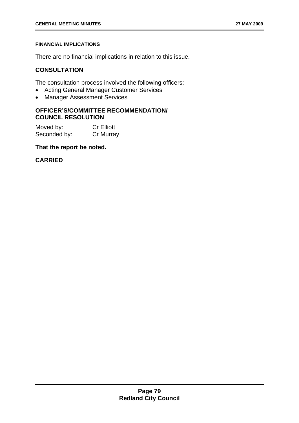### **FINANCIAL IMPLICATIONS**

There are no financial implications in relation to this issue.

# **CONSULTATION**

The consultation process involved the following officers:

- Acting General Manager Customer Services
- Manager Assessment Services

# **OFFICER'S/COMMITTEE RECOMMENDATION/ COUNCIL RESOLUTION**

Moved by: Cr Elliott Seconded by: Cr Murray

## **That the report be noted.**

# **CARRIED**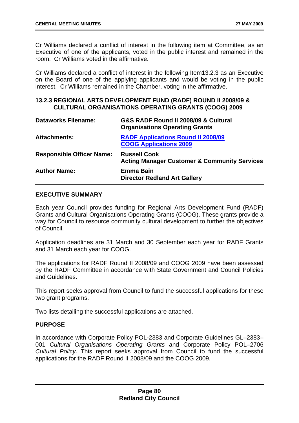Cr Williams declared a conflict of interest in the following item at Committee, as an Executive of one of the applicants, voted in the public interest and remained in the room. Cr Williams voted in the affirmative.

Cr Williams declared a conflict of interest in the following Item13.2.3 as an Executive on the Board of one of the applying applicants and would be voting in the public interest. Cr Williams remained in the Chamber, voting in the affirmative.

### **13.2.3 REGIONAL ARTS DEVELOPMENT FUND (RADF) ROUND II 2008/09 & CULTURAL ORGANISATIONS OPERATING GRANTS (COOG) 2009**

| <b>Dataworks Filename:</b>       | G&S RADF Round II 2008/09 & Cultural<br><b>Organisations Operating Grants</b>  |
|----------------------------------|--------------------------------------------------------------------------------|
| <b>Attachments:</b>              | <b>RADF Applications Round II 2008/09</b><br><b>COOG Applications 2009</b>     |
| <b>Responsible Officer Name:</b> | <b>Russell Cook</b><br><b>Acting Manager Customer &amp; Community Services</b> |
| <b>Author Name:</b>              | <b>Emma Bain</b><br><b>Director Redland Art Gallery</b>                        |

## **EXECUTIVE SUMMARY**

Each year Council provides funding for Regional Arts Development Fund (RADF) Grants and Cultural Organisations Operating Grants (COOG). These grants provide a way for Council to resource community cultural development to further the objectives of Council.

Application deadlines are 31 March and 30 September each year for RADF Grants and 31 March each year for COOG.

The applications for RADF Round II 2008/09 and COOG 2009 have been assessed by the RADF Committee in accordance with State Government and Council Policies and Guidelines.

This report seeks approval from Council to fund the successful applications for these two grant programs.

Two lists detailing the successful applications are attached.

### **PURPOSE**

In accordance with Corporate Policy POL-2383 and Corporate Guidelines GL–2383– 001 *Cultural Organisations Operating Grants* and Corporate Policy POL–2706 *Cultural Policy*. This report seeks approval from Council to fund the successful applications for the RADF Round II 2008/09 and the COOG 2009.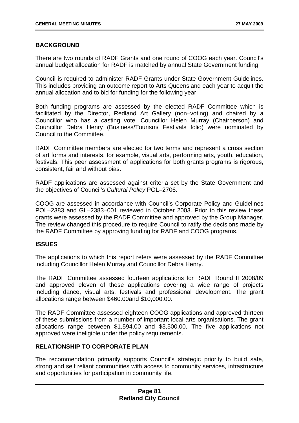# **BACKGROUND**

There are two rounds of RADF Grants and one round of COOG each year. Council's annual budget allocation for RADF is matched by annual State Government funding.

Council is required to administer RADF Grants under State Government Guidelines. This includes providing an outcome report to Arts Queensland each year to acquit the annual allocation and to bid for funding for the following year.

Both funding programs are assessed by the elected RADF Committee which is facilitated by the Director, Redland Art Gallery (non–voting) and chaired by a Councillor who has a casting vote. Councillor Helen Murray (Chairperson) and Councillor Debra Henry (Business/Tourism/ Festivals folio) were nominated by Council to the Committee.

RADF Committee members are elected for two terms and represent a cross section of art forms and interests, for example, visual arts, performing arts, youth, education, festivals. This peer assessment of applications for both grants programs is rigorous, consistent, fair and without bias.

RADF applications are assessed against criteria set by the State Government and the objectives of Council's *Cultural Policy* POL–2706.

COOG are assessed in accordance with Council's Corporate Policy and Guidelines POL–2383 and GL–2383–001 reviewed in October 2003. Prior to this review these grants were assessed by the RADF Committee and approved by the Group Manager. The review changed this procedure to require Council to ratify the decisions made by the RADF Committee by approving funding for RADF and COOG programs.

### **ISSUES**

The applications to which this report refers were assessed by the RADF Committee including Councillor Helen Murray and Councillor Debra Henry.

The RADF Committee assessed fourteen applications for RADF Round II 2008/09 and approved eleven of these applications covering a wide range of projects including dance, visual arts, festivals and professional development. The grant allocations range between \$460.00and \$10,000.00.

The RADF Committee assessed eighteen COOG applications and approved thirteen of these submissions from a number of important local arts organisations. The grant allocations range between \$1,594.00 and \$3,500.00. The five applications not approved were ineligible under the policy requirements.

# **RELATIONSHIP TO CORPORATE PLAN**

The recommendation primarily supports Council's strategic priority to build safe, strong and self reliant communities with access to community services, infrastructure and opportunities for participation in community life.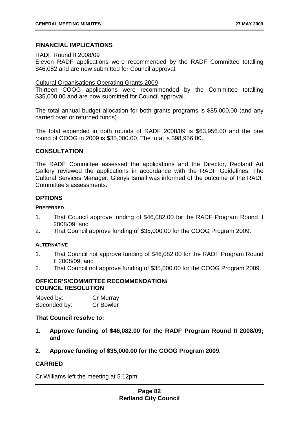# **FINANCIAL IMPLICATIONS**

### RADF Round II 2008/09

Eleven RADF applications were recommended by the RADF Committee totalling \$46,082 and are now submitted for Council approval.

#### Cultural Organisations Operating Grants 2009

Thirteen COOG applications were recommended by the Committee totalling \$35,000.00 and are now submitted for Council approval.

The total annual budget allocation for both grants programs is \$85,000.00 (and any carried over or returned funds).

The total expended in both rounds of RADF 2008/09 is \$63,956.00 and the one round of COOG in 2009 is \$35,000.00. The total is \$98,956.00.

## **CONSULTATION**

The RADF Committee assessed the applications and the Director, Redland Art Gallery reviewed the applications in accordance with the RADF Guidelines. The Cultural Services Manager, Glenys Ismail was informed of the outcome of the RADF Committee's assessments.

## **OPTIONS**

### **PREFERRED**

- 1. That Council approve funding of \$46,082.00 for the RADF Program Round II 2008/09; and
- 2. That Council approve funding of \$35,000.00 for the COOG Program 2009.

### **ALTERNATIVE**

- 1. That Council not approve funding of \$46,082.00 for the RADF Program Round II 2008/09; and
- 2. That Council not approve funding of \$35,000.00 for the COOG Program 2009.

### **OFFICER'S/COMMITTEE RECOMMENDATION/ COUNCIL RESOLUTION**

| Moved by:    | Cr Murray        |
|--------------|------------------|
| Seconded by: | <b>Cr Bowler</b> |

### **That Council resolve to:**

- **1. Approve funding of \$46,082.00 for the RADF Program Round II 2008/09; and**
- **2. Approve funding of \$35,000.00 for the COOG Program 2009.**

# **CARRIED**

Cr Williams left the meeting at 5.12pm.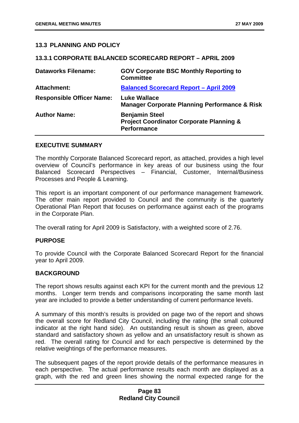# **13.3 PLANNING AND POLICY**

#### **13.3.1 CORPORATE BALANCED SCORECARD REPORT – APRIL 2009**

| <b>Dataworks Filename:</b>       | <b>GOV Corporate BSC Monthly Reporting to</b><br><b>Committee</b>                                  |
|----------------------------------|----------------------------------------------------------------------------------------------------|
| <b>Attachment:</b>               | <b>Balanced Scorecard Report - April 2009</b>                                                      |
| <b>Responsible Officer Name:</b> | <b>Luke Wallace</b><br><b>Manager Corporate Planning Performance &amp; Risk</b>                    |
| <b>Author Name:</b>              | <b>Benjamin Steel</b><br><b>Project Coordinator Corporate Planning &amp;</b><br><b>Performance</b> |

#### **EXECUTIVE SUMMARY**

The monthly Corporate Balanced Scorecard report, as attached, provides a high level overview of Council's performance in key areas of our business using the four Balanced Scorecard Perspectives – Financial, Customer, Internal/Business Processes and People & Learning.

This report is an important component of our performance management framework. The other main report provided to Council and the community is the quarterly Operational Plan Report that focuses on performance against each of the programs in the Corporate Plan.

The overall rating for April 2009 is Satisfactory, with a weighted score of 2.76.

### **PURPOSE**

To provide Council with the Corporate Balanced Scorecard Report for the financial year to April 2009.

### **BACKGROUND**

The report shows results against each KPI for the current month and the previous 12 months. Longer term trends and comparisons incorporating the same month last year are included to provide a better understanding of current performance levels.

A summary of this month's results is provided on page two of the report and shows the overall score for Redland City Council, including the rating (the small coloured indicator at the right hand side). An outstanding result is shown as green, above standard and satisfactory shown as yellow and an unsatisfactory result is shown as red. The overall rating for Council and for each perspective is determined by the relative weightings of the performance measures.

The subsequent pages of the report provide details of the performance measures in each perspective. The actual performance results each month are displayed as a graph, with the red and green lines showing the normal expected range for the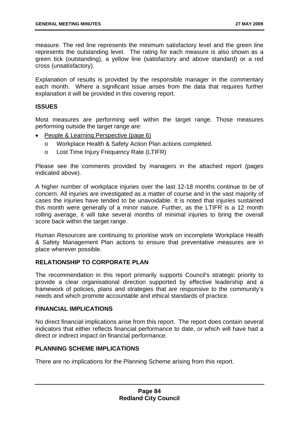measure. The red line represents the minimum satisfactory level and the green line represents the outstanding level. The rating for each measure is also shown as a green tick (outstanding), a yellow line (satisfactory and above standard) or a red cross (unsatisfactory).

Explanation of results is provided by the responsible manager in the commentary each month. Where a significant issue arises from the data that requires further explanation it will be provided in this covering report.

## **ISSUES**

Most measures are performing well within the target range. Those measures performing outside the target range are:

- People & Learning Perspective (page 6)
	- o Workplace Health & Safety Action Plan actions completed.
	- o Lost Time Injury Frequency Rate (LTIFR)

Please see the comments provided by managers in the attached report (pages indicated above).

A higher number of workplace injuries over the last 12-18 months continue to be of concern. All injuries are investigated as a matter of course and in the vast majority of cases the injuries have tended to be unavoidable. It is noted that injuries sustained this month were generally of a minor nature. Further, as the LTIFR is a 12 month rolling average, it will take several months of minimal injuries to bring the overall score back within the target range.

Human Resources are continuing to prioritise work on incomplete Workplace Health & Safety Management Plan actions to ensure that preventative measures are in place wherever possible.

### **RELATIONSHIP TO CORPORATE PLAN**

The recommendation in this report primarily supports Council's strategic priority to provide a clear organisational direction supported by effective leadership and a framework of policies, plans and strategies that are responsive to the community's needs and which promote accountable and ethical standards of practice.

### **FINANCIAL IMPLICATIONS**

No direct financial implications arise from this report. The report does contain several indicators that either reflects financial performance to date, or which will have had a direct or indirect impact on financial performance.

# **PLANNING SCHEME IMPLICATIONS**

There are no implications for the Planning Scheme arising from this report.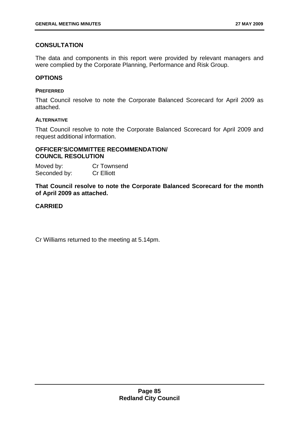# **CONSULTATION**

The data and components in this report were provided by relevant managers and were complied by the Corporate Planning, Performance and Risk Group.

## **OPTIONS**

#### **PREFERRED**

That Council resolve to note the Corporate Balanced Scorecard for April 2009 as attached.

#### **ALTERNATIVE**

That Council resolve to note the Corporate Balanced Scorecard for April 2009 and request additional information.

# **OFFICER'S/COMMITTEE RECOMMENDATION/ COUNCIL RESOLUTION**

| Moved by:    | Cr Townsend       |
|--------------|-------------------|
| Seconded by: | <b>Cr Elliott</b> |

**That Council resolve to note the Corporate Balanced Scorecard for the month of April 2009 as attached.** 

# **CARRIED**

Cr Williams returned to the meeting at 5.14pm.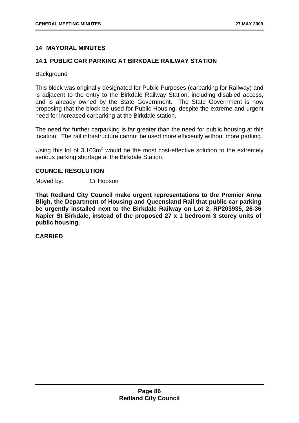## **14 MAYORAL MINUTES**

### **14.1 PUBLIC CAR PARKING AT BIRKDALE RAILWAY STATION**

#### **Background**

This block was originally designated for Public Purposes (carparking for Railway) and is adjacent to the entry to the Birkdale Railway Station, including disabled access, and is already owned by the State Government. The State Government is now proposing that the block be used for Public Housing, despite the extreme and urgent need for increased carparking at the Birkdale station.

The need for further carparking is far greater than the need for public housing at this location. The rail infrastructure cannot be used more efficiently without more parking.

Using this lot of  $3,103m^2$  would be the most cost-effective solution to the extremely serious parking shortage at the Birkdale Station.

### **COUNCIL RESOLUTION**

Moved by: Cr Hobson

**That Redland City Council make urgent representations to the Premier Anna Bligh, the Department of Housing and Queensland Rail that public car parking be urgently installed next to the Birkdale Railway on Lot 2, RP203935, 26-36 Napier St Birkdale, instead of the proposed 27 x 1 bedroom 3 storey units of public housing.** 

#### **CARRIED**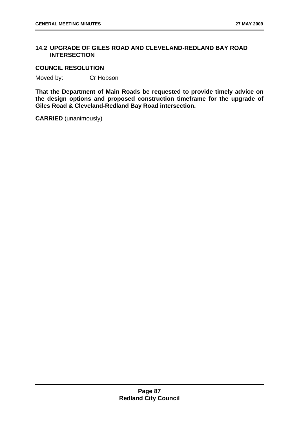# **14.2 UPGRADE OF GILES ROAD AND CLEVELAND-REDLAND BAY ROAD INTERSECTION**

### **COUNCIL RESOLUTION**

Moved by: Cr Hobson

**That the Department of Main Roads be requested to provide timely advice on the design options and proposed construction timeframe for the upgrade of Giles Road & Cleveland-Redland Bay Road intersection.** 

**CARRIED** (unanimously)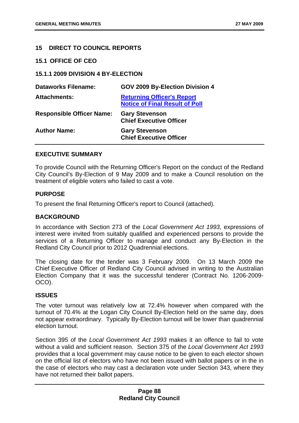# **15 DIRECT TO COUNCIL REPORTS**

**15.1 OFFICE OF CEO** 

**15.1.1 2009 DIVISION 4 BY-ELECTION** 

| <b>Dataworks Filename:</b>       | GOV 2009 By-Election Division 4                                            |
|----------------------------------|----------------------------------------------------------------------------|
| <b>Attachments:</b>              | <b>Returning Officer's Report</b><br><b>Notice of Final Result of Poll</b> |
| <b>Responsible Officer Name:</b> | <b>Gary Stevenson</b><br><b>Chief Executive Officer</b>                    |
| <b>Author Name:</b>              | <b>Gary Stevenson</b><br><b>Chief Executive Officer</b>                    |

### **EXECUTIVE SUMMARY**

To provide Council with the Returning Officer's Report on the conduct of the Redland City Council's By-Election of 9 May 2009 and to make a Council resolution on the treatment of eligible voters who failed to cast a vote.

### **PURPOSE**

To present the final Returning Officer's report to Council (attached).

### **BACKGROUND**

In accordance with Section 273 of the *Local Government Act 1993*, expressions of interest were invited from suitably qualified and experienced persons to provide the services of a Returning Officer to manage and conduct any By-Election in the Redland City Council prior to 2012 Quadrennial elections.

The closing date for the tender was 3 February 2009. On 13 March 2009 the Chief Executive Officer of Redland City Council advised in writing to the Australian Election Company that it was the successful tenderer (Contract No. 1206-2009- OCO).

### **ISSUES**

The voter turnout was relatively low at 72.4% however when compared with the turnout of 70.4% at the Logan City Council By-Election held on the same day, does not appear extraordinary. Typically By-Election turnout will be lower than quadrennial election turnout.

Section 395 of the *Local Government Act 1993* makes it an offence to fail to vote without a valid and sufficient reason. Section 375 of the *Local Government Act 1993* provides that a local government may cause notice to be given to each elector shown on the official list of electors who have not been issued with ballot papers or in the in the case of electors who may cast a declaration vote under Section 343, where they have not returned their ballot papers.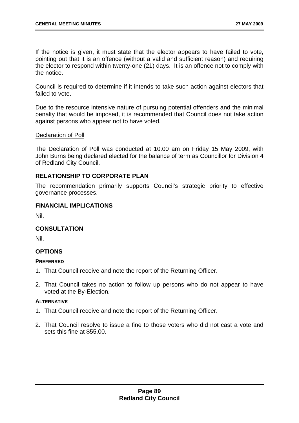If the notice is given, it must state that the elector appears to have failed to vote, pointing out that it is an offence (without a valid and sufficient reason) and requiring the elector to respond within twenty-one (21) days. It is an offence not to comply with the notice.

Council is required to determine if it intends to take such action against electors that failed to vote.

Due to the resource intensive nature of pursuing potential offenders and the minimal penalty that would be imposed, it is recommended that Council does not take action against persons who appear not to have voted.

### Declaration of Poll

The Declaration of Poll was conducted at 10.00 am on Friday 15 May 2009, with John Burns being declared elected for the balance of term as Councillor for Division 4 of Redland City Council.

## **RELATIONSHIP TO CORPORATE PLAN**

The recommendation primarily supports Council's strategic priority to effective governance processes.

### **FINANCIAL IMPLICATIONS**

Nil.

### **CONSULTATION**

Nil.

### **OPTIONS**

#### **PREFERRED**

- 1. That Council receive and note the report of the Returning Officer.
- 2. That Council takes no action to follow up persons who do not appear to have voted at the By-Election.

#### **ALTERNATIVE**

- 1. That Council receive and note the report of the Returning Officer.
- 2. That Council resolve to issue a fine to those voters who did not cast a vote and sets this fine at \$55.00.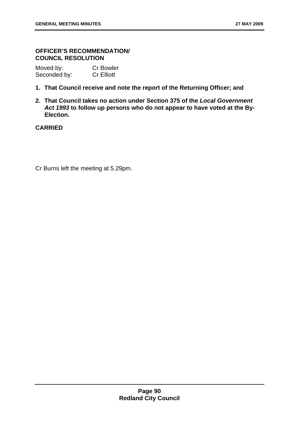# **OFFICER'S RECOMMENDATION/ COUNCIL RESOLUTION**

| Moved by:    | <b>Cr Bowler</b>  |
|--------------|-------------------|
| Seconded by: | <b>Cr Elliott</b> |

- **1. That Council receive and note the report of the Returning Officer; and**
- **2. That Council takes no action under Section 375 of the** *Local Government Act 1993* **to follow up persons who do not appear to have voted at the By-Election.**

# **CARRIED**

Cr Burns left the meeting at 5.29pm.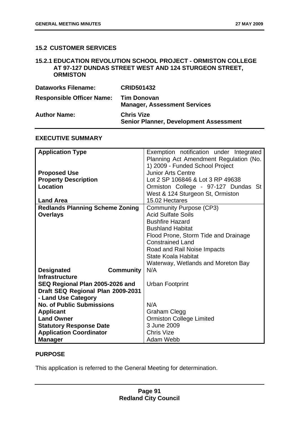# **15.2 CUSTOMER SERVICES**

## **15.2.1 EDUCATION REVOLUTION SCHOOL PROJECT - ORMISTON COLLEGE AT 97-127 DUNDAS STREET WEST AND 124 STURGEON STREET, ORMISTON**

| <b>Dataworks Filename:</b>       | <b>CRID501432</b>                                                  |
|----------------------------------|--------------------------------------------------------------------|
| <b>Responsible Officer Name:</b> | <b>Tim Donovan</b><br><b>Manager, Assessment Services</b>          |
| <b>Author Name:</b>              | <b>Chris Vize</b><br><b>Senior Planner, Development Assessment</b> |

### **EXECUTIVE SUMMARY**

| <b>Application Type</b>                | Exemption notification under Integrated |
|----------------------------------------|-----------------------------------------|
|                                        | Planning Act Amendment Regulation (No.  |
|                                        | 1) 2009 - Funded School Project         |
| <b>Proposed Use</b>                    | <b>Junior Arts Centre</b>               |
| <b>Property Description</b>            | Lot 2 SP 106846 & Lot 3 RP 49638        |
| <b>Location</b>                        | Ormiston College - 97-127 Dundas St     |
|                                        | West & 124 Sturgeon St, Ormiston        |
| <b>Land Area</b>                       | 15.02 Hectares                          |
| <b>Redlands Planning Scheme Zoning</b> | <b>Community Purpose (CP3)</b>          |
| <b>Overlays</b>                        | <b>Acid Sulfate Soils</b>               |
|                                        | <b>Bushfire Hazard</b>                  |
|                                        | <b>Bushland Habitat</b>                 |
|                                        | Flood Prone, Storm Tide and Drainage    |
|                                        | <b>Constrained Land</b>                 |
|                                        | Road and Rail Noise Impacts             |
|                                        | State Koala Habitat                     |
|                                        | Waterway, Wetlands and Moreton Bay      |
| <b>Designated</b><br><b>Community</b>  | N/A                                     |
| <b>Infrastructure</b>                  |                                         |
| SEQ Regional Plan 2005-2026 and        | <b>Urban Footprint</b>                  |
| Draft SEQ Regional Plan 2009-2031      |                                         |
| - Land Use Category                    |                                         |
| <b>No. of Public Submissions</b>       | N/A                                     |
| <b>Applicant</b>                       | Graham Clegg                            |
| <b>Land Owner</b>                      | <b>Ormiston College Limited</b>         |
| <b>Statutory Response Date</b>         | 3 June 2009                             |
| <b>Application Coordinator</b>         | <b>Chris Vize</b>                       |
| <b>Manager</b>                         | Adam Webb                               |

### **PURPOSE**

This application is referred to the General Meeting for determination.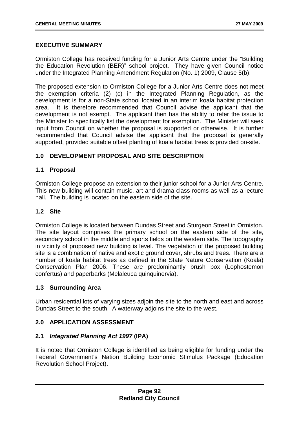## **EXECUTIVE SUMMARY**

Ormiston College has received funding for a Junior Arts Centre under the "Building the Education Revolution (BER)" school project. They have given Council notice under the Integrated Planning Amendment Regulation (No. 1) 2009, Clause 5(b).

The proposed extension to Ormiston College for a Junior Arts Centre does not meet the exemption criteria (2) (c) in the Integrated Planning Regulation, as the development is for a non-State school located in an interim koala habitat protection area. It is therefore recommended that Council advise the applicant that the development is not exempt. The applicant then has the ability to refer the issue to the Minister to specifically list the development for exemption. The Minister will seek input from Council on whether the proposal is supported or otherwise. It is further recommended that Council advise the applicant that the proposal is generally supported, provided suitable offset planting of koala habitat trees is provided on-site.

# **1.0 DEVELOPMENT PROPOSAL AND SITE DESCRIPTION**

## **1.1 Proposal**

Ormiston College propose an extension to their junior school for a Junior Arts Centre. This new building will contain music, art and drama class rooms as well as a lecture hall. The building is located on the eastern side of the site.

## **1.2 Site**

Ormiston College is located between Dundas Street and Sturgeon Street in Ormiston. The site layout comprises the primary school on the eastern side of the site, secondary school in the middle and sports fields on the western side. The topography in vicinity of proposed new building is level. The vegetation of the proposed building site is a combination of native and exotic ground cover, shrubs and trees. There are a number of koala habitat trees as defined in the State Nature Conservation (Koala) Conservation Plan 2006. These are predominantly brush box (Lophostemon confertus) and paperbarks (Melaleuca quinquinervia).

### **1.3 Surrounding Area**

Urban residential lots of varying sizes adjoin the site to the north and east and across Dundas Street to the south. A waterway adjoins the site to the west.

### **2.0 APPLICATION ASSESSMENT**

### **2.1** *Integrated Planning Act 1997* **(IPA)**

It is noted that Ormiston College is identified as being eligible for funding under the Federal Government's Nation Building Economic Stimulus Package (Education Revolution School Project).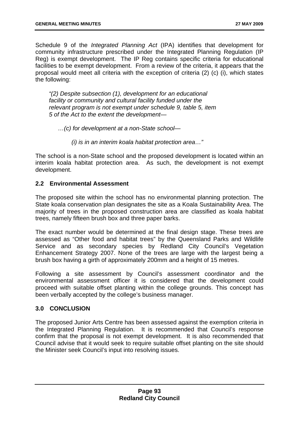Schedule 9 of the *Integrated Planning Act* (IPA) identifies that development for community infrastructure prescribed under the Integrated Planning Regulation (IP Reg) is exempt development. The IP Reg contains specific criteria for educational facilities to be exempt development. From a review of the criteria, it appears that the proposal would meet all criteria with the exception of criteria (2) (c) (i), which states the following:

*"(2) Despite subsection (1), development for an educational facility or community and cultural facility funded under the relevant program is not exempt under schedule 9, table 5, item 5 of the Act to the extent the development—* 

*…(c) for development at a non-State school—* 

*(i) is in an interim koala habitat protection area…"* 

The school is a non-State school and the proposed development is located within an interim koala habitat protection area. As such, the development is not exempt development.

## **2.2 Environmental Assessment**

The proposed site within the school has no environmental planning protection. The State koala conservation plan designates the site as a Koala Sustainability Area. The majority of trees in the proposed construction area are classified as koala habitat trees, namely fifteen brush box and three paper barks.

The exact number would be determined at the final design stage. These trees are assessed as "Other food and habitat trees" by the Queensland Parks and Wildlife Service and as secondary species by Redland City Council's Vegetation Enhancement Strategy 2007. None of the trees are large with the largest being a brush box having a girth of approximately 200mm and a height of 15 metres.

Following a site assessment by Council's assessment coordinator and the environmental assessment officer it is considered that the development could proceed with suitable offset planting within the college grounds. This concept has been verbally accepted by the college's business manager.

# **3.0 CONCLUSION**

The proposed Junior Arts Centre has been assessed against the exemption criteria in the Integrated Planning Regulation. It is recommended that Council's response confirm that the proposal is not exempt development. It is also recommended that Council advise that it would seek to require suitable offset planting on the site should the Minister seek Council's input into resolving issues.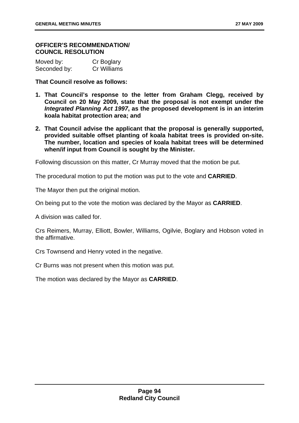#### **OFFICER'S RECOMMENDATION/ COUNCIL RESOLUTION**

| Moved by:    | Cr Boglary  |
|--------------|-------------|
| Seconded by: | Cr Williams |

**That Council resolve as follows:** 

- **1. That Council's response to the letter from Graham Clegg, received by Council on 20 May 2009, state that the proposal is not exempt under the**  *Integrated Planning Act 1997***, as the proposed development is in an interim koala habitat protection area; and**
- **2. That Council advise the applicant that the proposal is generally supported, provided suitable offset planting of koala habitat trees is provided on-site. The number, location and species of koala habitat trees will be determined when/if input from Council is sought by the Minister.**

Following discussion on this matter, Cr Murray moved that the motion be put.

The procedural motion to put the motion was put to the vote and **CARRIED**.

The Mayor then put the original motion.

On being put to the vote the motion was declared by the Mayor as **CARRIED**.

A division was called for.

Crs Reimers, Murray, Elliott, Bowler, Williams, Ogilvie, Boglary and Hobson voted in the affirmative.

Crs Townsend and Henry voted in the negative.

Cr Burns was not present when this motion was put.

The motion was declared by the Mayor as **CARRIED**.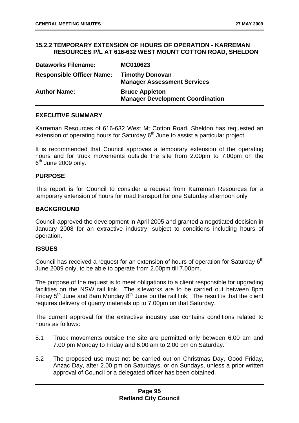### **15.2.2 TEMPORARY EXTENSION OF HOURS OF OPERATION - KARREMAN RESOURCES P/L AT 616-632 WEST MOUNT COTTON ROAD, SHELDON**

| <b>Dataworks Filename:</b>       | MC010623                                                         |
|----------------------------------|------------------------------------------------------------------|
| <b>Responsible Officer Name:</b> | <b>Timothy Donovan</b><br><b>Manager Assessment Services</b>     |
| <b>Author Name:</b>              | <b>Bruce Appleton</b><br><b>Manager Development Coordination</b> |

### **EXECUTIVE SUMMARY**

Karreman Resources of 616-632 West Mt Cotton Road, Sheldon has requested an extension of operating hours for Saturday  $6<sup>th</sup>$  June to assist a particular project.

It is recommended that Council approves a temporary extension of the operating hours and for truck movements outside the site from 2.00pm to 7.00pm on the  $6<sup>th</sup>$  June 2009 only.

#### **PURPOSE**

This report is for Council to consider a request from Karreman Resources for a temporary extension of hours for road transport for one Saturday afternoon only

#### **BACKGROUND**

Council approved the development in April 2005 and granted a negotiated decision in January 2008 for an extractive industry, subject to conditions including hours of operation.

### **ISSUES**

Council has received a request for an extension of hours of operation for Saturday  $6<sup>th</sup>$ June 2009 only, to be able to operate from 2.00pm till 7.00pm.

The purpose of the request is to meet obligations to a client responsible for upgrading facilities on the NSW rail link. The siteworks are to be carried out between 8pm Friday  $5<sup>th</sup>$  June and 8am Monday  $8<sup>th</sup>$  June on the rail link. The result is that the client requires delivery of quarry materials up to 7.00pm on that Saturday.

The current approval for the extractive industry use contains conditions related to hours as follows:

- 5.1 Truck movements outside the site are permitted only between 6.00 am and 7.00 pm Monday to Friday and 6.00 am to 2.00 pm on Saturday.
- 5.2 The proposed use must not be carried out on Christmas Day, Good Friday, Anzac Day, after 2.00 pm on Saturdays, or on Sundays, unless a prior written approval of Council or a delegated officer has been obtained.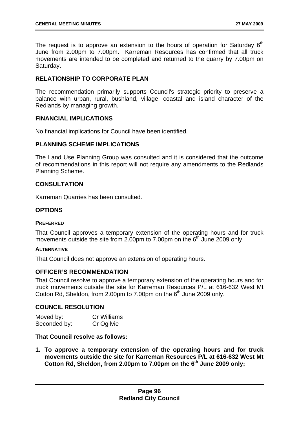The request is to approve an extension to the hours of operation for Saturdav  $6<sup>th</sup>$ June from 2.00pm to 7.00pm. Karreman Resources has confirmed that all truck movements are intended to be completed and returned to the quarry by 7.00pm on Saturday.

# **RELATIONSHIP TO CORPORATE PLAN**

The recommendation primarily supports Council's strategic priority to preserve a balance with urban, rural, bushland, village, coastal and island character of the Redlands by managing growth.

### **FINANCIAL IMPLICATIONS**

No financial implications for Council have been identified.

## **PLANNING SCHEME IMPLICATIONS**

The Land Use Planning Group was consulted and it is considered that the outcome of recommendations in this report will not require any amendments to the Redlands Planning Scheme.

## **CONSULTATION**

Karreman Quarries has been consulted.

## **OPTIONS**

#### **PREFERRED**

That Council approves a temporary extension of the operating hours and for truck movements outside the site from 2.00pm to 7.00pm on the  $6<sup>th</sup>$  June 2009 only.

#### **ALTERNATIVE**

That Council does not approve an extension of operating hours.

### **OFFICER'S RECOMMENDATION**

That Council resolve to approve a temporary extension of the operating hours and for truck movements outside the site for Karreman Resources P/L at 616-632 West Mt Cotton Rd, Sheldon, from 2.00pm to 7.00pm on the  $6<sup>th</sup>$  June 2009 only.

## **COUNCIL RESOLUTION**

| Moved by:    | <b>Cr Williams</b> |
|--------------|--------------------|
| Seconded by: | Cr Ogilvie         |

### **That Council resolve as follows:**

**1. To approve a temporary extension of the operating hours and for truck movements outside the site for Karreman Resources P/L at 616-632 West Mt**  Cotton Rd, Sheldon, from 2.00pm to 7.00pm on the 6<sup>th</sup> June 2009 only;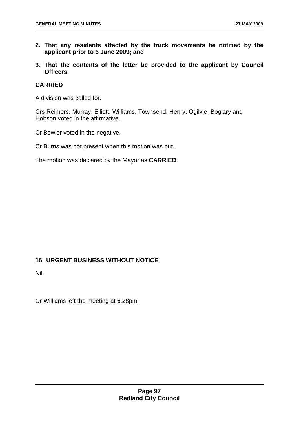- **2. That any residents affected by the truck movements be notified by the applicant prior to 6 June 2009; and**
- **3. That the contents of the letter be provided to the applicant by Council Officers.**

## **CARRIED**

A division was called for.

Crs Reimers, Murray, Elliott, Williams, Townsend, Henry, Ogilvie, Boglary and Hobson voted in the affirmative.

Cr Bowler voted in the negative.

Cr Burns was not present when this motion was put.

The motion was declared by the Mayor as **CARRIED**.

# **16 URGENT BUSINESS WITHOUT NOTICE**

Nil.

Cr Williams left the meeting at 6.28pm.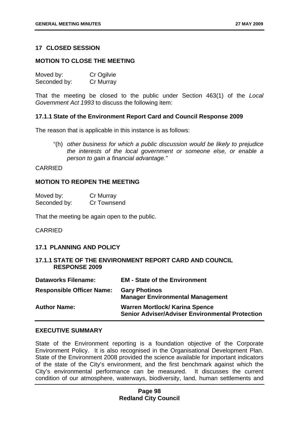# **17 CLOSED SESSION**

#### **MOTION TO CLOSE THE MEETING**

| Moved by:    | Cr Ogilvie |
|--------------|------------|
| Seconded by: | Cr Murray  |

That the meeting be closed to the public under Section 463(1) of the *Local Government Act 1993* to discuss the following item:

#### **17.1.1 State of the Environment Report Card and Council Response 2009**

The reason that is applicable in this instance is as follows:

"(h) *other business for which a public discussion would be likely to prejudice the interests of the local government or someone else, or enable a person to gain a financial advantage."* 

#### CARRIED

#### **MOTION TO REOPEN THE MEETING**

| Moved by:    | Cr Murray   |
|--------------|-------------|
| Seconded by: | Cr Townsend |

That the meeting be again open to the public.

#### CARRIED

### **17.1 PLANNING AND POLICY**

### **17.1.1 STATE OF THE ENVIRONMENT REPORT CARD AND COUNCIL RESPONSE 2009**

| <b>Dataworks Filename:</b>       | <b>EM - State of the Environment</b>                                                            |
|----------------------------------|-------------------------------------------------------------------------------------------------|
| <b>Responsible Officer Name:</b> | <b>Gary Photinos</b><br><b>Manager Environmental Management</b>                                 |
| <b>Author Name:</b>              | <b>Warren Mortlock/ Karina Spence</b><br><b>Senior Adviser/Adviser Environmental Protection</b> |

### **EXECUTIVE SUMMARY**

State of the Environment reporting is a foundation objective of the Corporate Environment Policy. It is also recognised in the Organisational Development Plan. State of the Environment 2008 provided the science available for important indicators of the state of the City's environment, and the first benchmark against which the City's environmental performance can be measured. It discusses the current condition of our atmosphere, waterways, biodiversity, land, human settlements and

## **Page 98 Redland City Council**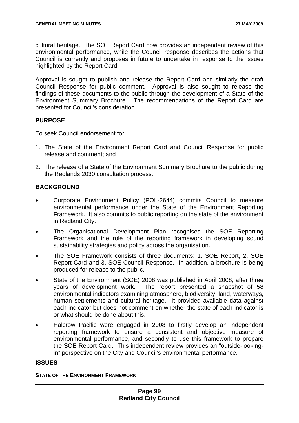cultural heritage. The SOE Report Card now provides an independent review of this environmental performance, while the Council response describes the actions that Council is currently and proposes in future to undertake in response to the issues highlighted by the Report Card.

Approval is sought to publish and release the Report Card and similarly the draft Council Response for public comment. Approval is also sought to release the findings of these documents to the public through the development of a State of the Environment Summary Brochure. The recommendations of the Report Card are presented for Council's consideration.

# **PURPOSE**

To seek Council endorsement for:

- 1. The State of the Environment Report Card and Council Response for public release and comment; and
- 2. The release of a State of the Environment Summary Brochure to the public during the Redlands 2030 consultation process.

# **BACKGROUND**

- Corporate Environment Policy (POL-2644) commits Council to measure environmental performance under the State of the Environment Reporting Framework. It also commits to public reporting on the state of the environment in Redland City.
- The Organisational Development Plan recognises the SOE Reporting Framework and the role of the reporting framework in developing sound sustainability strategies and policy across the organisation.
- The SOE Framework consists of three documents: 1. SOE Report, 2. SOE Report Card and 3. SOE Council Response. In addition, a brochure is being produced for release to the public.
- State of the Environment (SOE) 2008 was published in April 2008, after three years of development work. The report presented a snapshot of 58 environmental indicators examining atmosphere, biodiversity, land, waterways, human settlements and cultural heritage. It provided available data against each indicator but does not comment on whether the state of each indicator is or what should be done about this.
- Halcrow Pacific were engaged in 2008 to firstly develop an independent reporting framework to ensure a consistent and objective measure of environmental performance, and secondly to use this framework to prepare the SOE Report Card. This independent review provides an "outside-lookingin" perspective on the City and Council's environmental performance.

# **ISSUES**

#### **STATE OF THE ENVIRONMENT FRAMEWORK**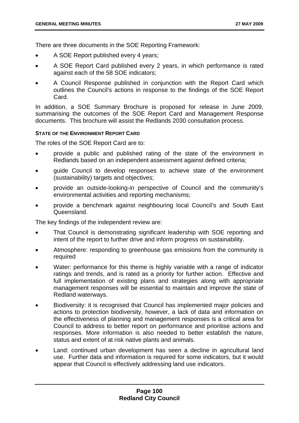There are three documents in the SOE Reporting Framework:

- A SOE Report published every 4 years;
- A SOE Report Card published every 2 years, in which performance is rated against each of the 58 SOE indicators;
- A Council Response published in conjunction with the Report Card which outlines the Council's actions in response to the findings of the SOE Report Card.

In addition, a SOE Summary Brochure is proposed for release in June 2009, summarising the outcomes of the SOE Report Card and Management Response documents. This brochure will assist the Redlands 2030 consultation process.

### **STATE OF THE ENVIRONMENT REPORT CARD**

The roles of the SOE Report Card are to:

- provide a public and published rating of the state of the environment in Redlands based on an independent assessment against defined criteria;
- guide Council to develop responses to achieve state of the environment (sustainability) targets and objectives;
- provide an outside-looking-in perspective of Council and the community's environmental activities and reporting mechanisms;
- provide a benchmark against neighbouring local Council's and South East Queensland.

The key findings of the independent review are:

- That Council is demonstrating significant leadership with SOE reporting and intent of the report to further drive and inform progress on sustainability.
- Atmosphere: responding to greenhouse gas emissions from the community is required
- Water: performance for this theme is highly variable with a range of indicator ratings and trends, and is rated as a priority for further action. Effective and full implementation of existing plans and strategies along with appropriate management responses will be essential to maintain and improve the state of Redland waterways.
- Biodiversity: it is recognised that Council has implemented major policies and actions to protection biodiversity, however, a lack of data and information on the effectiveness of planning and management responses is a critical area for Council to address to better report on performance and prioritise actions and responses. More information is also needed to better establish the nature, status and extent of at risk native plants and animals.
- Land: continued urban development has seen a decline in agricultural land use. Further data and information is required for some indicators, but it would appear that Council is effectively addressing land use indicators.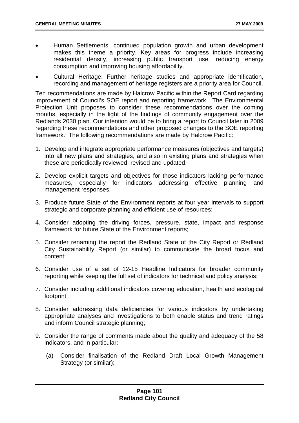- Human Settlements: continued population growth and urban development makes this theme a priority. Key areas for progress include increasing residential density, increasing public transport use, reducing energy consumption and improving housing affordability.
- Cultural Heritage: Further heritage studies and appropriate identification, recording and management of heritage registers are a priority area for Council.

Ten recommendations are made by Halcrow Pacific within the Report Card regarding improvement of Council's SOE report and reporting framework. The Environmental Protection Unit proposes to consider these recommendations over the coming months, especially in the light of the findings of community engagement over the Redlands 2030 plan. Our intention would be to bring a report to Council later in 2009 regarding these recommendations and other proposed changes to the SOE reporting framework. The following recommendations are made by Halcrow Pacific:

- 1. Develop and integrate appropriate performance measures (objectives and targets) into all new plans and strategies, and also in existing plans and strategies when these are periodically reviewed, revised and updated;
- 2. Develop explicit targets and objectives for those indicators lacking performance measures, especially for indicators addressing effective planning and management responses;
- 3. Produce future State of the Environment reports at four year intervals to support strategic and corporate planning and efficient use of resources;
- 4. Consider adopting the driving forces, pressure, state, impact and response framework for future State of the Environment reports;
- 5. Consider renaming the report the Redland State of the City Report or Redland City Sustainability Report (or similar) to communicate the broad focus and content;
- 6. Consider use of a set of 12-15 Headline Indicators for broader community reporting while keeping the full set of indicators for technical and policy analysis;
- 7. Consider including additional indicators covering education, health and ecological footprint;
- 8. Consider addressing data deficiencies for various indicators by undertaking appropriate analyses and investigations to both enable status and trend ratings and inform Council strategic planning;
- 9. Consider the range of comments made about the quality and adequacy of the 58 indicators, and in particular:
	- (a) Consider finalisation of the Redland Draft Local Growth Management Strategy (or similar);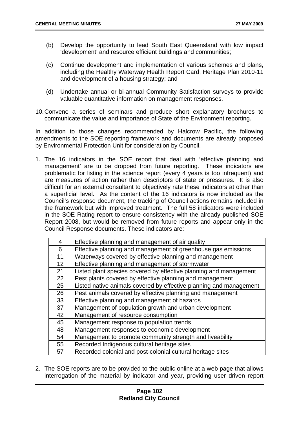- (b) Develop the opportunity to lead South East Queensland with low impact 'development' and resource efficient buildings and communities;
- (c) Continue development and implementation of various schemes and plans, including the Healthy Waterway Health Report Card, Heritage Plan 2010-11 and development of a housing strategy; and
- (d) Undertake annual or bi-annual Community Satisfaction surveys to provide valuable quantitative information on management responses.
- 10. Convene a series of seminars and produce short explanatory brochures to communicate the value and importance of State of the Environment reporting.

In addition to those changes recommended by Halcrow Pacific, the following amendments to the SOE reporting framework and documents are already proposed by Environmental Protection Unit for consideration by Council.

1. The 16 indicators in the SOE report that deal with 'effective planning and management' are to be dropped from future reporting. These indicators are problematic for listing in the science report (every 4 years is too infrequent) and are measures of action rather than descriptors of state or pressures. It is also difficult for an external consultant to objectively rate these indicators at other than a superficial level. As the content of the 16 indicators is now included as the Council's response document, the tracking of Council actions remains included in the framework but with improved treatment. The full 58 indicators were included in the SOE Rating report to ensure consistency with the already published SOE Report 2008, but would be removed from future reports and appear only in the Council Response documents. These indicators are:

| 4  | Effective planning and management of air quality                   |
|----|--------------------------------------------------------------------|
| 6  | Effective planning and management of greenhouse gas emissions      |
| 11 | Waterways covered by effective planning and management             |
| 12 | Effective planning and management of stormwater                    |
| 21 | Listed plant species covered by effective planning and management  |
| 22 | Pest plants covered by effective planning and management           |
| 25 | Listed native animals covered by effective planning and management |
| 26 | Pest animals covered by effective planning and management          |
| 33 | Effective planning and management of hazards                       |
| 37 | Management of population growth and urban development              |
| 42 | Management of resource consumption                                 |
| 45 | Management response to population trends                           |
| 48 | Management responses to economic development                       |
| 54 | Management to promote community strength and liveability           |
| 55 | Recorded Indigenous cultural heritage sites                        |
| 57 | Recorded colonial and post-colonial cultural heritage sites        |

2. The SOE reports are to be provided to the public online at a web page that allows interrogation of the material by indicator and year, providing user driven report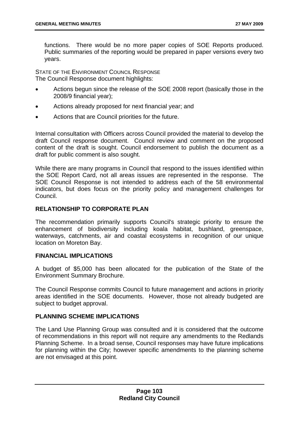functions. There would be no more paper copies of SOE Reports produced. Public summaries of the reporting would be prepared in paper versions every two years.

STATE OF THE ENVIRONMENT COUNCIL RESPONSE The Council Response document highlights:

- Actions begun since the release of the SOE 2008 report (basically those in the 2008/9 financial year);
- Actions already proposed for next financial year; and
- Actions that are Council priorities for the future.

Internal consultation with Officers across Council provided the material to develop the draft Council response document. Council review and comment on the proposed content of the draft is sought. Council endorsement to publish the document as a draft for public comment is also sought.

While there are many programs in Council that respond to the issues identified within the SOE Report Card, not all areas issues are represented in the response. The SOE Council Response is not intended to address each of the 58 environmental indicators, but does focus on the priority policy and management challenges for Council.

## **RELATIONSHIP TO CORPORATE PLAN**

The recommendation primarily supports Council's strategic priority to ensure the enhancement of biodiversity including koala habitat, bushland, greenspace, waterways, catchments, air and coastal ecosystems in recognition of our unique location on Moreton Bay.

### **FINANCIAL IMPLICATIONS**

A budget of \$5,000 has been allocated for the publication of the State of the Environment Summary Brochure.

The Council Response commits Council to future management and actions in priority areas identified in the SOE documents. However, those not already budgeted are subject to budget approval.

# **PLANNING SCHEME IMPLICATIONS**

The Land Use Planning Group was consulted and it is considered that the outcome of recommendations in this report will not require any amendments to the Redlands Planning Scheme. In a broad sense, Council responses may have future implications for planning within the City; however specific amendments to the planning scheme are not envisaged at this point.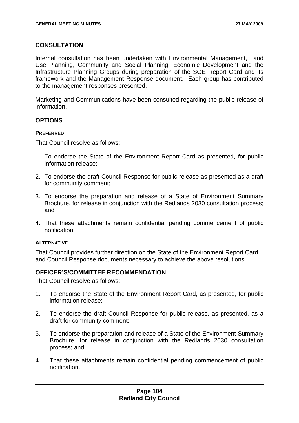# **CONSULTATION**

Internal consultation has been undertaken with Environmental Management, Land Use Planning, Community and Social Planning, Economic Development and the Infrastructure Planning Groups during preparation of the SOE Report Card and its framework and the Management Response document. Each group has contributed to the management responses presented.

Marketing and Communications have been consulted regarding the public release of information.

## **OPTIONS**

### **PREFERRED**

That Council resolve as follows:

- 1. To endorse the State of the Environment Report Card as presented, for public information release;
- 2. To endorse the draft Council Response for public release as presented as a draft for community comment;
- 3. To endorse the preparation and release of a State of Environment Summary Brochure, for release in conjunction with the Redlands 2030 consultation process; and
- 4. That these attachments remain confidential pending commencement of public notification.

### **ALTERNATIVE**

That Council provides further direction on the State of the Environment Report Card and Council Response documents necessary to achieve the above resolutions.

## **OFFICER'S/COMMITTEE RECOMMENDATION**

That Council resolve as follows:

- 1. To endorse the State of the Environment Report Card, as presented, for public information release;
- 2. To endorse the draft Council Response for public release, as presented, as a draft for community comment;
- 3. To endorse the preparation and release of a State of the Environment Summary Brochure, for release in conjunction with the Redlands 2030 consultation process; and
- 4. That these attachments remain confidential pending commencement of public notification.